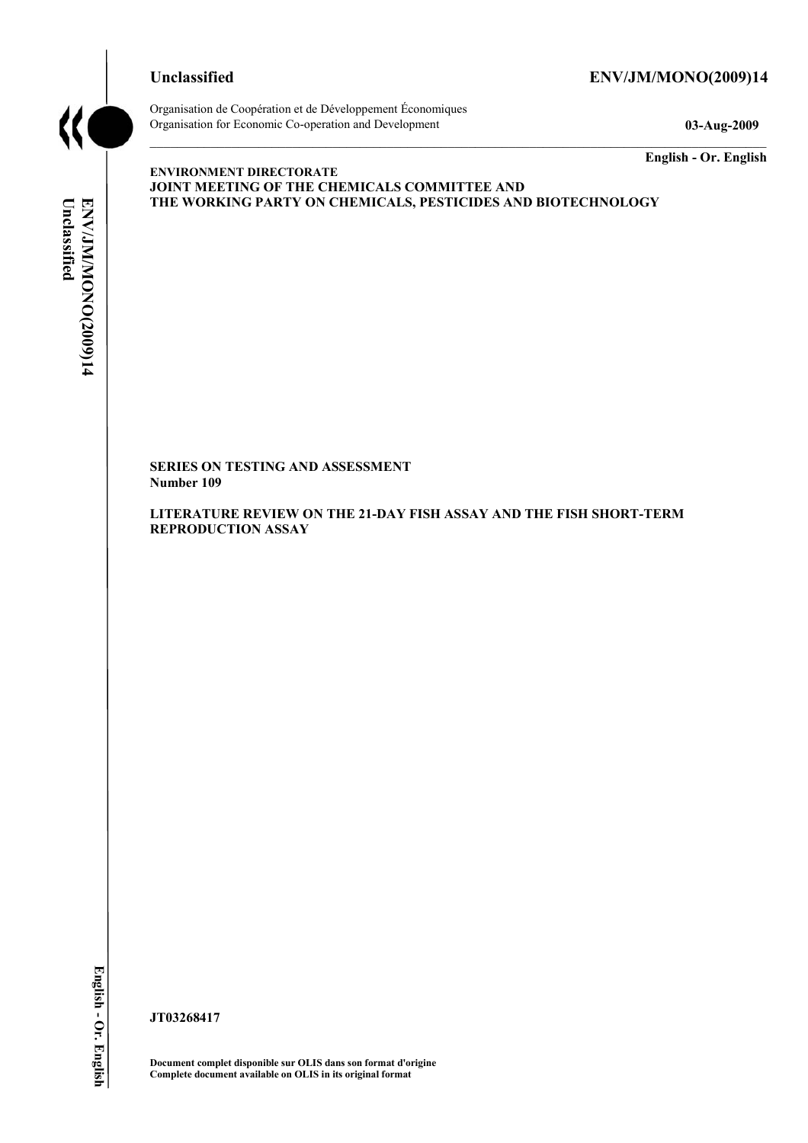# **Unclassified ENV/JM/MONO(2009)14**



Organisation de Coopération et de Développement Économiques Organisation for Economic Co-operation and Development **03-Aug-2009** 

**English - Or. English** 

# Unclassified ENV/JM/MONO(2009)14 **Unclassified ENV/JM/MONO(2009)14 English - Or. English**

**ENVIRONMENT DIRECTORATE JOINT MEETING OF THE CHEMICALS COMMITTEE AND THE WORKING PARTY ON CHEMICALS, PESTICIDES AND BIOTECHNOLOGY** 

**SERIES ON TESTING AND ASSESSMENT Number 109** 

**LITERATURE REVIEW ON THE 21-DAY FISH ASSAY AND THE FISH SHORT-TERM REPRODUCTION ASSAY** 

**JT03268417** 

**Document complet disponible sur OLIS dans son format d'origine Complete document available on OLIS in its original format**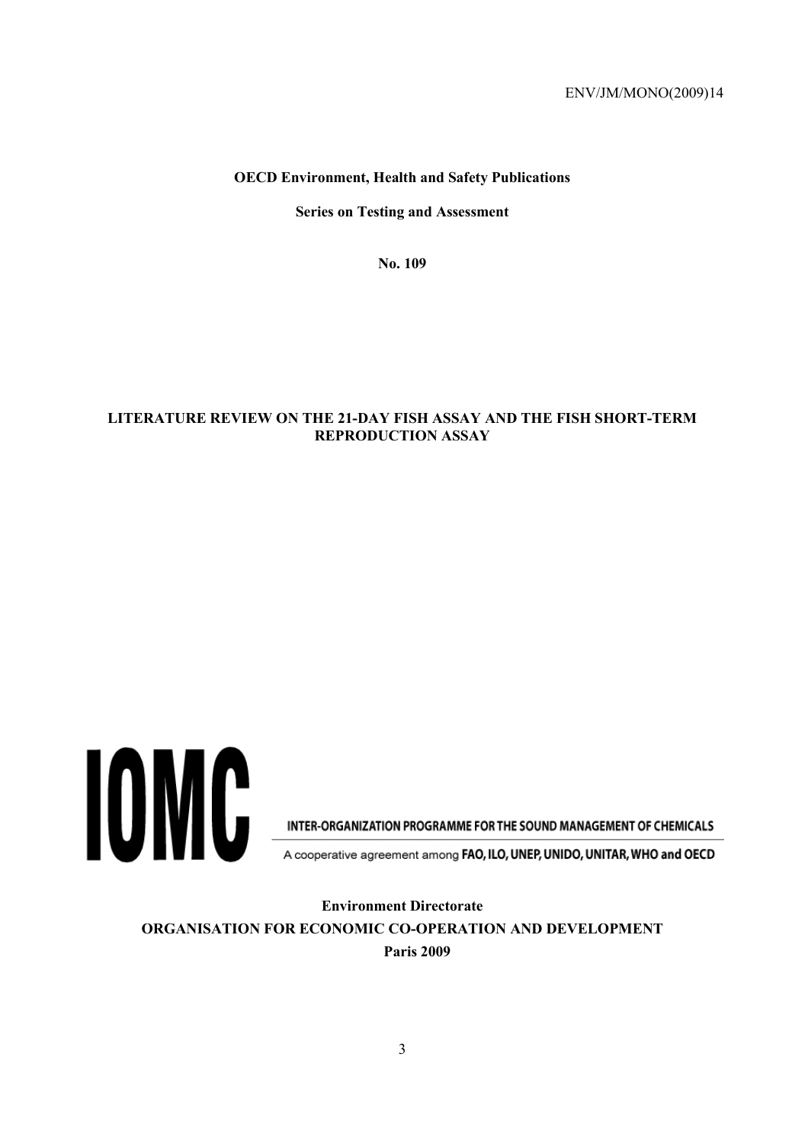#### **OECD Environment, Health and Safety Publications**

**Series on Testing and Assessment** 

**No. 109** 

#### **LITERATURE REVIEW ON THE 21-DAY FISH ASSAY AND THE FISH SHORT-TERM REPRODUCTION ASSAY**



INTER-ORGANIZATION PROGRAMME FOR THE SOUND MANAGEMENT OF CHEMICALS

A cooperative agreement among FAO, ILO, UNEP, UNIDO, UNITAR, WHO and OECD

**Environment Directorate ORGANISATION FOR ECONOMIC CO-OPERATION AND DEVELOPMENT Paris 2009**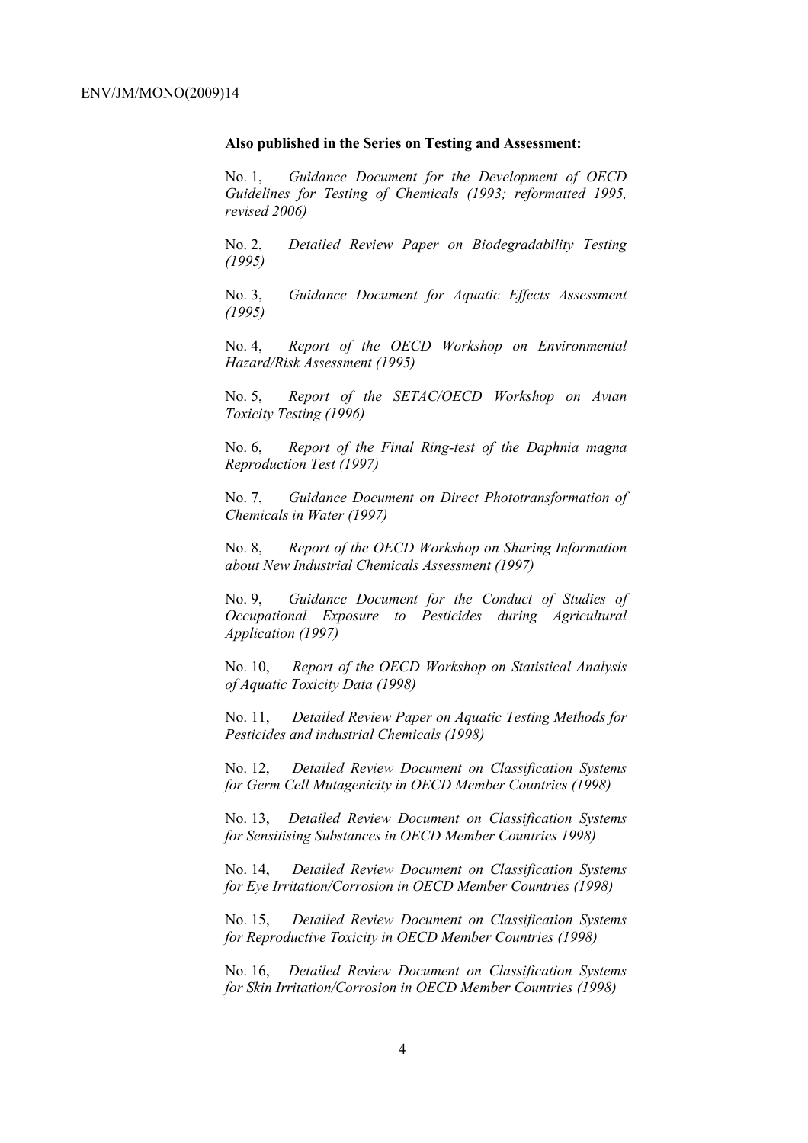#### **Also published in the Series on Testing and Assessment:**

No. 1, *Guidance Document for the Development of OECD Guidelines for Testing of Chemicals (1993; reformatted 1995, revised 2006)*

No. 2, *Detailed Review Paper on Biodegradability Testing (1995)*

No. 3, *Guidance Document for Aquatic Effects Assessment (1995)* 

No. 4, *Report of the OECD Workshop on Environmental Hazard/Risk Assessment (1995)*

No. 5, *Report of the SETAC/OECD Workshop on Avian Toxicity Testing (1996)*

No. 6, *Report of the Final Ring-test of the Daphnia magna Reproduction Test (1997)*

No. 7, *Guidance Document on Direct Phototransformation of Chemicals in Water (1997)* 

No. 8, *Report of the OECD Workshop on Sharing Information about New Industrial Chemicals Assessment (1997)*

No. 9, *Guidance Document for the Conduct of Studies of Occupational Exposure to Pesticides during Agricultural Application (1997)*

No. 10, *Report of the OECD Workshop on Statistical Analysis of Aquatic Toxicity Data (1998)*

No. 11, *Detailed Review Paper on Aquatic Testing Methods for Pesticides and industrial Chemicals (1998)*

No. 12, *Detailed Review Document on Classification Systems for Germ Cell Mutagenicity in OECD Member Countries (1998)*

No. 13, *Detailed Review Document on Classification Systems for Sensitising Substances in OECD Member Countries 1998)*

No. 14, *Detailed Review Document on Classification Systems for Eye Irritation/Corrosion in OECD Member Countries (1998)*

No. 15, *Detailed Review Document on Classification Systems for Reproductive Toxicity in OECD Member Countries (1998)*

No. 16, *Detailed Review Document on Classification Systems for Skin Irritation/Corrosion in OECD Member Countries (1998)*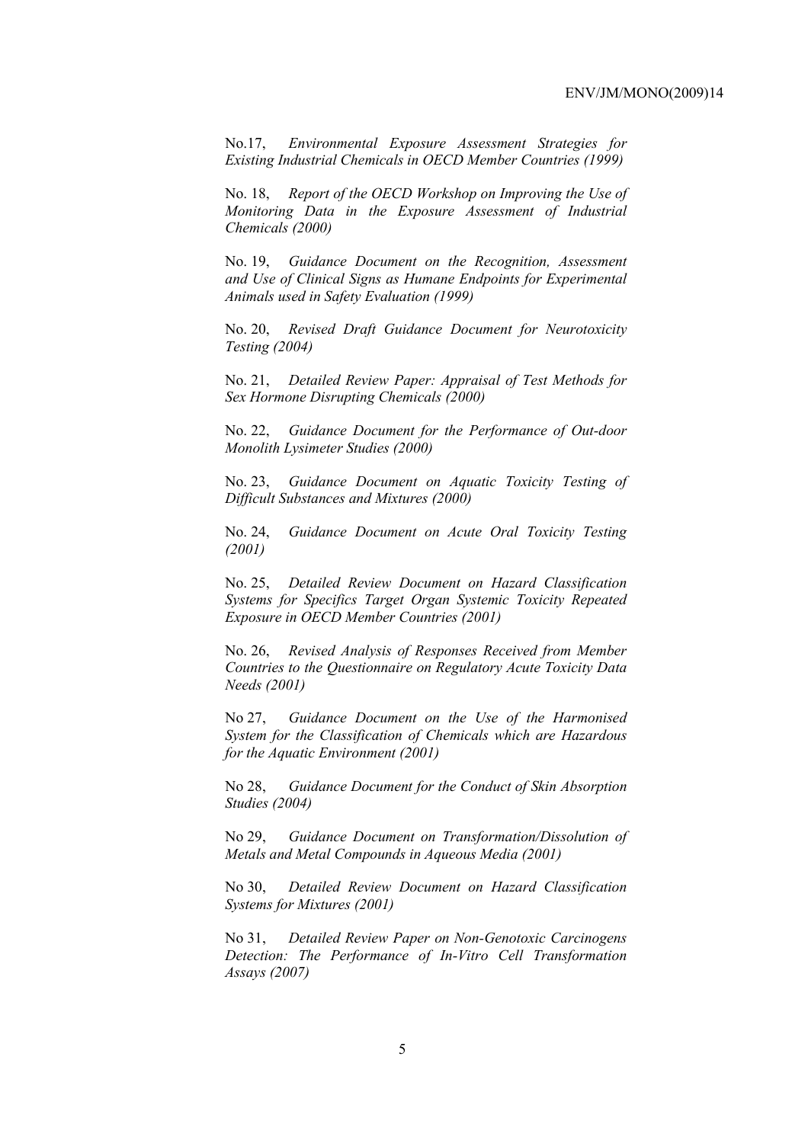No.17, *Environmental Exposure Assessment Strategies for Existing Industrial Chemicals in OECD Member Countries (1999)*

No. 18, *Report of the OECD Workshop on Improving the Use of Monitoring Data in the Exposure Assessment of Industrial Chemicals (2000)*

No. 19, *Guidance Document on the Recognition, Assessment and Use of Clinical Signs as Humane Endpoints for Experimental Animals used in Safety Evaluation (1999)*

No. 20, *Revised Draft Guidance Document for Neurotoxicity Testing (2004)*

No. 21, *Detailed Review Paper: Appraisal of Test Methods for Sex Hormone Disrupting Chemicals (2000)*

No. 22, *Guidance Document for the Performance of Out-door Monolith Lysimeter Studies (2000)*

No. 23, *Guidance Document on Aquatic Toxicity Testing of Difficult Substances and Mixtures (2000)*

No. 24, *Guidance Document on Acute Oral Toxicity Testing (2001)*

No. 25, *Detailed Review Document on Hazard Classification Systems for Specifics Target Organ Systemic Toxicity Repeated Exposure in OECD Member Countries (2001)*

No. 26, *Revised Analysis of Responses Received from Member Countries to the Questionnaire on Regulatory Acute Toxicity Data Needs (2001)*

No 27, *Guidance Document on the Use of the Harmonised System for the Classification of Chemicals which are Hazardous for the Aquatic Environment (2001)*

No 28, *Guidance Document for the Conduct of Skin Absorption Studies (2004)*

No 29, *Guidance Document on Transformation/Dissolution of Metals and Metal Compounds in Aqueous Media (2001)*

No 30, *Detailed Review Document on Hazard Classification Systems for Mixtures (2001)*

No 31, *Detailed Review Paper on Non-Genotoxic Carcinogens Detection: The Performance of In-Vitro Cell Transformation Assays (2007)*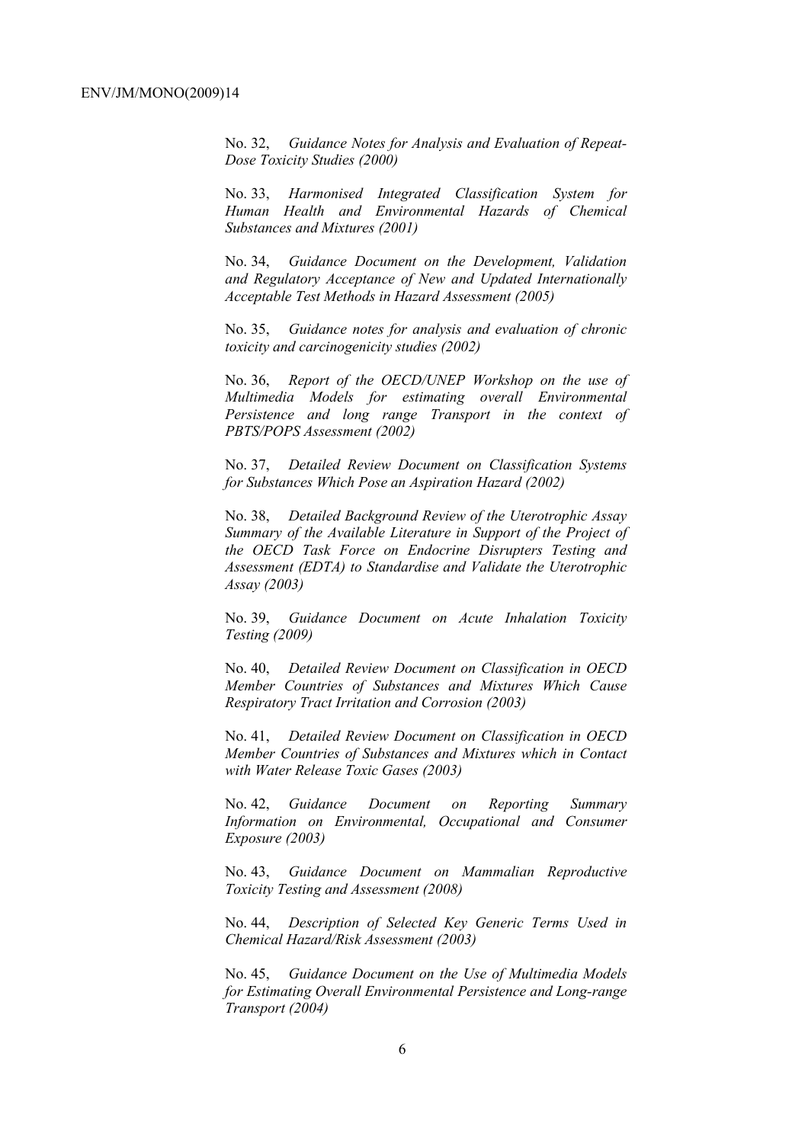No. 32, *Guidance Notes for Analysis and Evaluation of Repeat-Dose Toxicity Studies (2000)*

No. 33, *Harmonised Integrated Classification System for Human Health and Environmental Hazards of Chemical Substances and Mixtures (2001)*

No. 34, *Guidance Document on the Development, Validation and Regulatory Acceptance of New and Updated Internationally Acceptable Test Methods in Hazard Assessment (2005)*

No. 35, *Guidance notes for analysis and evaluation of chronic toxicity and carcinogenicity studies (2002)*

No. 36, *Report of the OECD/UNEP Workshop on the use of Multimedia Models for estimating overall Environmental Persistence and long range Transport in the context of PBTS/POPS Assessment (2002)*

No. 37, *Detailed Review Document on Classification Systems for Substances Which Pose an Aspiration Hazard (2002)*

No. 38, *Detailed Background Review of the Uterotrophic Assay Summary of the Available Literature in Support of the Project of the OECD Task Force on Endocrine Disrupters Testing and Assessment (EDTA) to Standardise and Validate the Uterotrophic Assay (2003)*

No. 39, *Guidance Document on Acute Inhalation Toxicity Testing (2009)* 

No. 40, *Detailed Review Document on Classification in OECD Member Countries of Substances and Mixtures Which Cause Respiratory Tract Irritation and Corrosion (2003)*

No. 41, *Detailed Review Document on Classification in OECD Member Countries of Substances and Mixtures which in Contact with Water Release Toxic Gases (2003)*

No. 42, *Guidance Document on Reporting Summary Information on Environmental, Occupational and Consumer Exposure (2003)*

No. 43, *Guidance Document on Mammalian Reproductive Toxicity Testing and Assessment (2008)*

No. 44, *Description of Selected Key Generic Terms Used in Chemical Hazard/Risk Assessment (2003)* 

No. 45, *Guidance Document on the Use of Multimedia Models for Estimating Overall Environmental Persistence and Long-range Transport (2004)*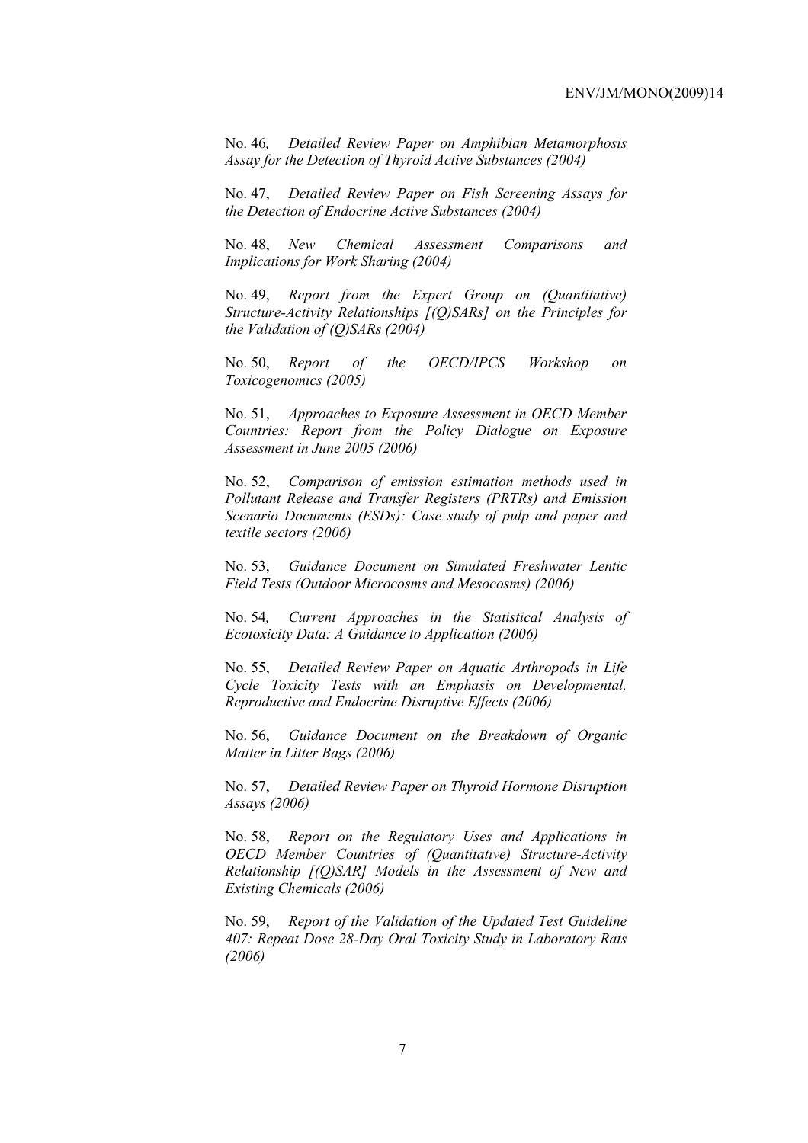No. 46*, Detailed Review Paper on Amphibian Metamorphosis Assay for the Detection of Thyroid Active Substances (2004)* 

No. 47, *Detailed Review Paper on Fish Screening Assays for the Detection of Endocrine Active Substances (2004)* 

No. 48, *New Chemical Assessment Comparisons and Implications for Work Sharing (2004)* 

No. 49, *Report from the Expert Group on (Quantitative) Structure-Activity Relationships [(Q)SARs] on the Principles for the Validation of (Q)SARs (2004)* 

No. 50, *Report of the OECD/IPCS Workshop on Toxicogenomics (2005)* 

No. 51, *Approaches to Exposure Assessment in OECD Member Countries: Report from the Policy Dialogue on Exposure Assessment in June 2005 (2006)* 

No. 52, *Comparison of emission estimation methods used in Pollutant Release and Transfer Registers (PRTRs) and Emission Scenario Documents (ESDs): Case study of pulp and paper and textile sectors (2006)* 

No. 53, *Guidance Document on Simulated Freshwater Lentic Field Tests (Outdoor Microcosms and Mesocosms) (2006)* 

No. 54*, Current Approaches in the Statistical Analysis of Ecotoxicity Data: A Guidance to Application (2006)* 

No. 55, *Detailed Review Paper on Aquatic Arthropods in Life Cycle Toxicity Tests with an Emphasis on Developmental, Reproductive and Endocrine Disruptive Effects (2006)* 

No. 56, *Guidance Document on the Breakdown of Organic Matter in Litter Bags (2006)* 

No. 57, *Detailed Review Paper on Thyroid Hormone Disruption Assays (2006)* 

No. 58, *Report on the Regulatory Uses and Applications in OECD Member Countries of (Quantitative) Structure-Activity Relationship [(Q)SAR] Models in the Assessment of New and Existing Chemicals (2006)* 

No. 59, *Report of the Validation of the Updated Test Guideline 407: Repeat Dose 28-Day Oral Toxicity Study in Laboratory Rats (2006)*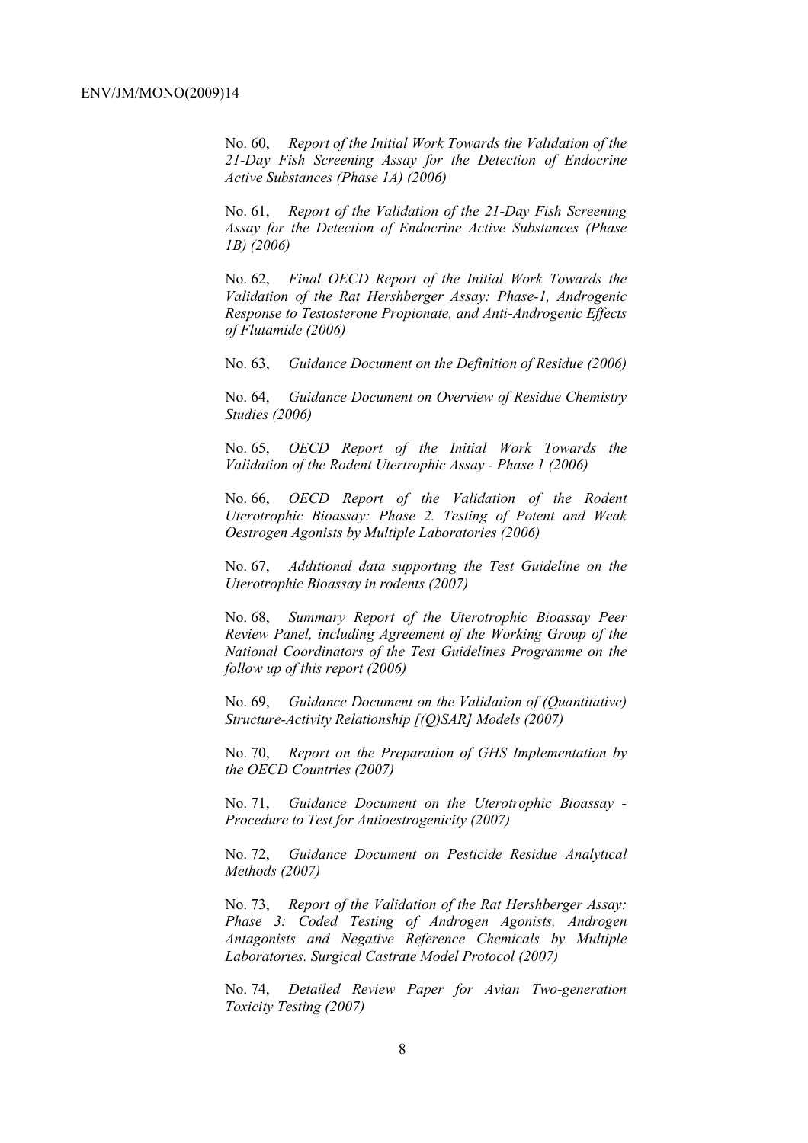No. 60, *Report of the Initial Work Towards the Validation of the 21-Day Fish Screening Assay for the Detection of Endocrine Active Substances (Phase 1A) (2006)* 

No. 61, *Report of the Validation of the 21-Day Fish Screening Assay for the Detection of Endocrine Active Substances (Phase 1B) (2006)* 

No. 62, *Final OECD Report of the Initial Work Towards the Validation of the Rat Hershberger Assay: Phase-1, Androgenic Response to Testosterone Propionate, and Anti-Androgenic Effects of Flutamide (2006)* 

No. 63, *Guidance Document on the Definition of Residue (2006)* 

No. 64, *Guidance Document on Overview of Residue Chemistry Studies (2006)* 

No. 65, *OECD Report of the Initial Work Towards the Validation of the Rodent Utertrophic Assay - Phase 1 (2006)* 

No. 66, *OECD Report of the Validation of the Rodent Uterotrophic Bioassay: Phase 2. Testing of Potent and Weak Oestrogen Agonists by Multiple Laboratories (2006)* 

No. 67, *Additional data supporting the Test Guideline on the Uterotrophic Bioassay in rodents (2007)* 

No. 68, *Summary Report of the Uterotrophic Bioassay Peer Review Panel, including Agreement of the Working Group of the National Coordinators of the Test Guidelines Programme on the follow up of this report (2006)* 

No. 69, *Guidance Document on the Validation of (Quantitative) Structure-Activity Relationship [(Q)SAR] Models (2007)* 

No. 70, *Report on the Preparation of GHS Implementation by the OECD Countries (2007)*

No. 71, *Guidance Document on the Uterotrophic Bioassay - Procedure to Test for Antioestrogenicity (2007)*

No. 72, *Guidance Document on Pesticide Residue Analytical Methods (2007)* 

No. 73, *Report of the Validation of the Rat Hershberger Assay: Phase 3: Coded Testing of Androgen Agonists, Androgen Antagonists and Negative Reference Chemicals by Multiple Laboratories. Surgical Castrate Model Protocol (2007)* 

No. 74, *Detailed Review Paper for Avian Two-generation Toxicity Testing (2007)*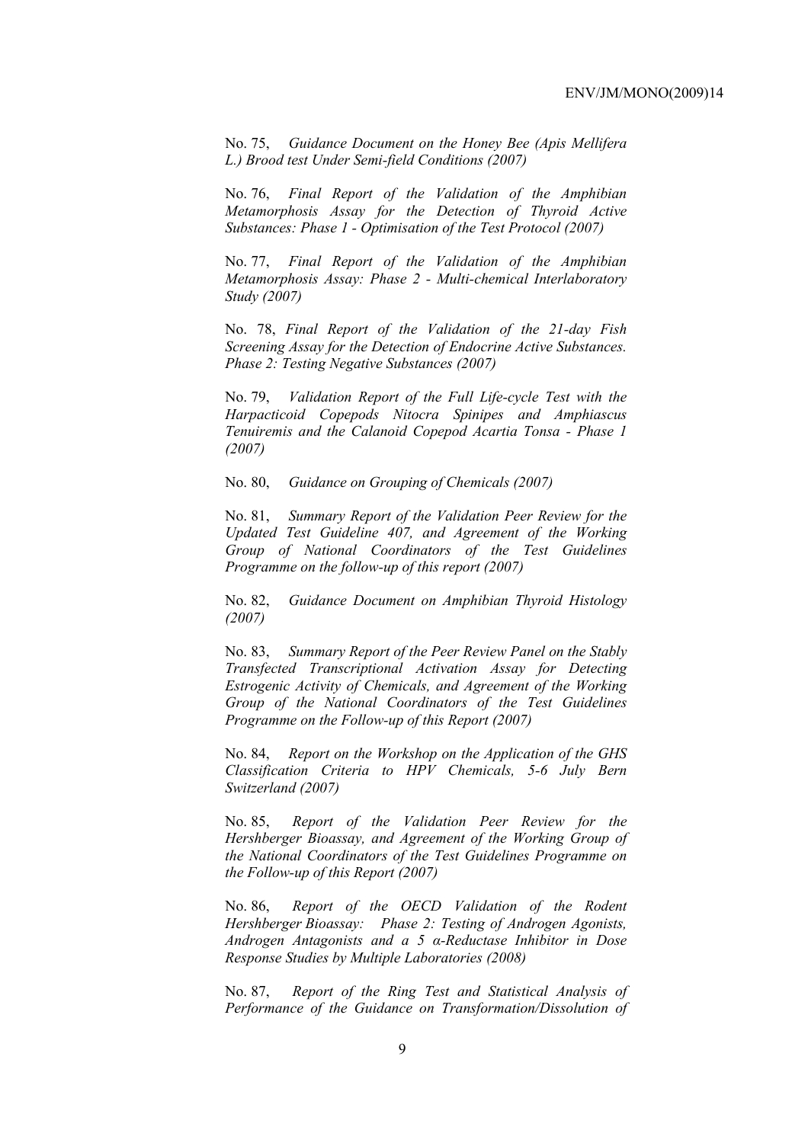No. 75, *Guidance Document on the Honey Bee (Apis Mellifera L.) Brood test Under Semi-field Conditions (2007)* 

No. 76, *Final Report of the Validation of the Amphibian Metamorphosis Assay for the Detection of Thyroid Active Substances: Phase 1 - Optimisation of the Test Protocol (2007)* 

No. 77, *Final Report of the Validation of the Amphibian Metamorphosis Assay: Phase 2 - Multi-chemical Interlaboratory Study (2007)* 

No. 78, *Final Report of the Validation of the 21-day Fish Screening Assay for the Detection of Endocrine Active Substances. Phase 2: Testing Negative Substances (2007)* 

No. 79, *Validation Report of the Full Life-cycle Test with the Harpacticoid Copepods Nitocra Spinipes and Amphiascus Tenuiremis and the Calanoid Copepod Acartia Tonsa - Phase 1 (2007)* 

No. 80, *Guidance on Grouping of Chemicals (2007)* 

No. 81, *Summary Report of the Validation Peer Review for the Updated Test Guideline 407, and Agreement of the Working Group of National Coordinators of the Test Guidelines Programme on the follow-up of this report (2007)* 

No. 82, *Guidance Document on Amphibian Thyroid Histology (2007)* 

No. 83, *Summary Report of the Peer Review Panel on the Stably Transfected Transcriptional Activation Assay for Detecting Estrogenic Activity of Chemicals, and Agreement of the Working Group of the National Coordinators of the Test Guidelines Programme on the Follow-up of this Report (2007)* 

No. 84, *Report on the Workshop on the Application of the GHS Classification Criteria to HPV Chemicals, 5-6 July Bern Switzerland (2007)* 

No. 85, *Report of the Validation Peer Review for the Hershberger Bioassay, and Agreement of the Working Group of the National Coordinators of the Test Guidelines Programme on the Follow-up of this Report (2007)* 

No. 86, *Report of the OECD Validation of the Rodent Hershberger Bioassay: Phase 2: Testing of Androgen Agonists, Androgen Antagonists and a 5 α-Reductase Inhibitor in Dose Response Studies by Multiple Laboratories (2008)*

No. 87, *Report of the Ring Test and Statistical Analysis of Performance of the Guidance on Transformation/Dissolution of*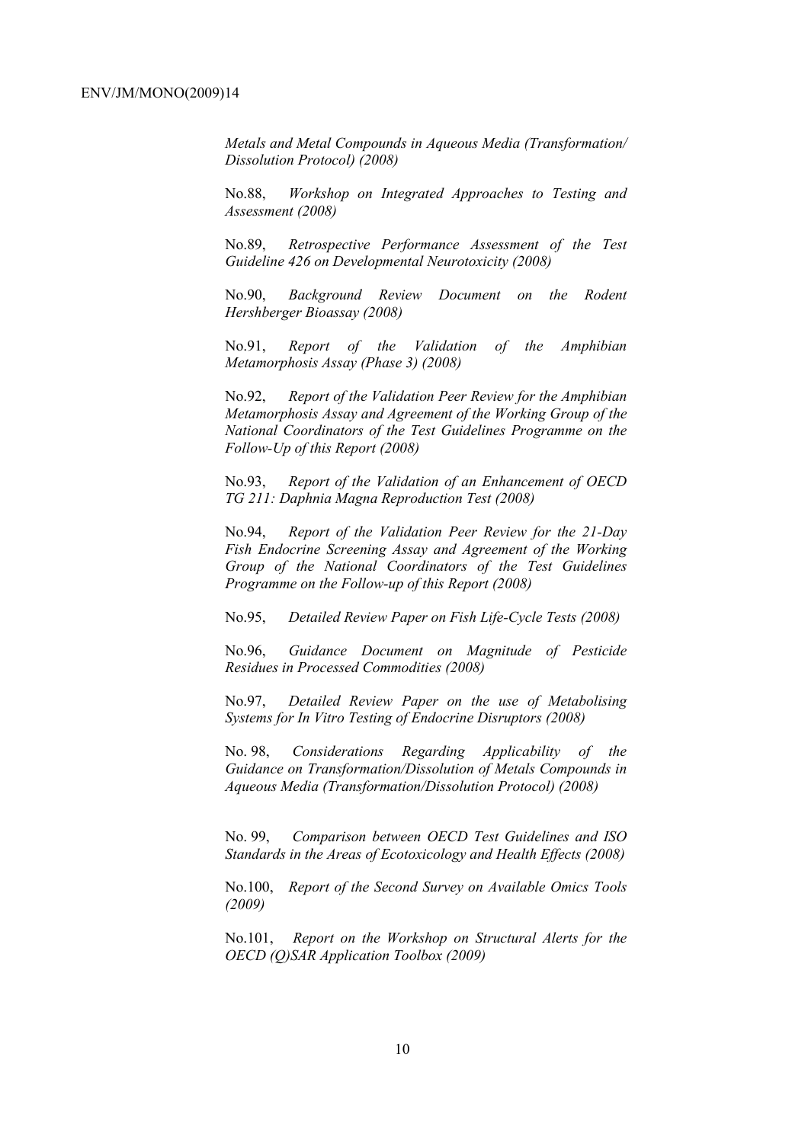*Metals and Metal Compounds in Aqueous Media (Transformation/ Dissolution Protocol) (2008)*

No.88, *Workshop on Integrated Approaches to Testing and Assessment (2008)* 

No.89, *Retrospective Performance Assessment of the Test Guideline 426 on Developmental Neurotoxicity (2008)* 

No.90, *Background Review Document on the Rodent Hershberger Bioassay (2008)* 

No.91, *Report of the Validation of the Amphibian Metamorphosis Assay (Phase 3) (2008)* 

No.92, *Report of the Validation Peer Review for the Amphibian Metamorphosis Assay and Agreement of the Working Group of the National Coordinators of the Test Guidelines Programme on the Follow-Up of this Report (2008)* 

No.93, *Report of the Validation of an Enhancement of OECD TG 211: Daphnia Magna Reproduction Test (2008)* 

No.94, *Report of the Validation Peer Review for the 21-Day Fish Endocrine Screening Assay and Agreement of the Working Group of the National Coordinators of the Test Guidelines Programme on the Follow-up of this Report (2008)* 

No.95, *Detailed Review Paper on Fish Life-Cycle Tests (2008)* 

No.96, *Guidance Document on Magnitude of Pesticide Residues in Processed Commodities (2008)* 

No.97, *Detailed Review Paper on the use of Metabolising Systems for In Vitro Testing of Endocrine Disruptors (2008)* 

No. 98, *Considerations Regarding Applicability of the Guidance on Transformation/Dissolution of Metals Compounds in Aqueous Media (Transformation/Dissolution Protocol) (2008)*

No. 99, *Comparison between OECD Test Guidelines and ISO Standards in the Areas of Ecotoxicology and Health Effects (2008)* 

No.100, *Report of the Second Survey on Available Omics Tools (2009)* 

No.101, *Report on the Workshop on Structural Alerts for the OECD (Q)SAR Application Toolbox (2009)*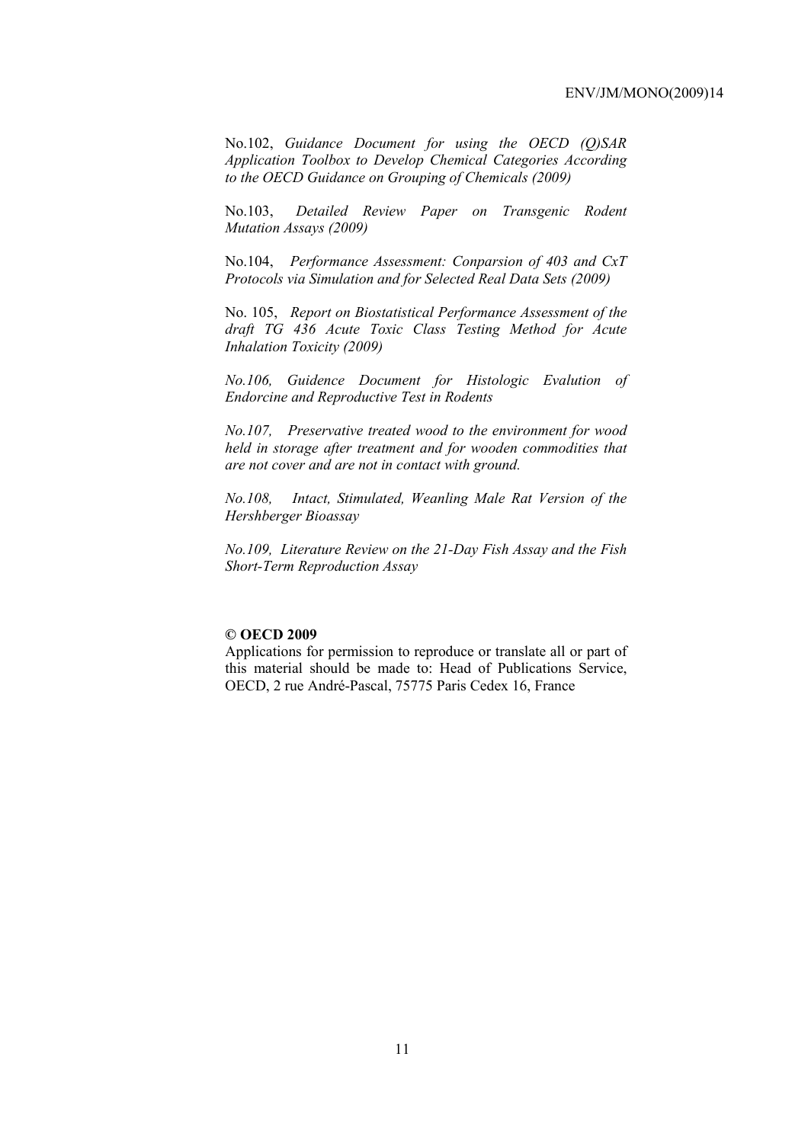No.102, *Guidance Document for using the OECD (Q)SAR Application Toolbox to Develop Chemical Categories According to the OECD Guidance on Grouping of Chemicals (2009)* 

No.103, *Detailed Review Paper on Transgenic Rodent Mutation Assays (2009)* 

No.104, *Performance Assessment: Conparsion of 403 and CxT Protocols via Simulation and for Selected Real Data Sets (2009)* 

No. 105, *Report on Biostatistical Performance Assessment of the draft TG 436 Acute Toxic Class Testing Method for Acute Inhalation Toxicity (2009)* 

*No.106, Guidence Document for Histologic Evalution of Endorcine and Reproductive Test in Rodents* 

*No.107, Preservative treated wood to the environment for wood held in storage after treatment and for wooden commodities that are not cover and are not in contact with ground.* 

*No.108, Intact, Stimulated, Weanling Male Rat Version of the Hershberger Bioassay* 

*No.109, Literature Review on the 21-Day Fish Assay and the Fish Short-Term Reproduction Assay* 

#### **© OECD 2009**

Applications for permission to reproduce or translate all or part of this material should be made to: Head of Publications Service, OECD, 2 rue André-Pascal, 75775 Paris Cedex 16, France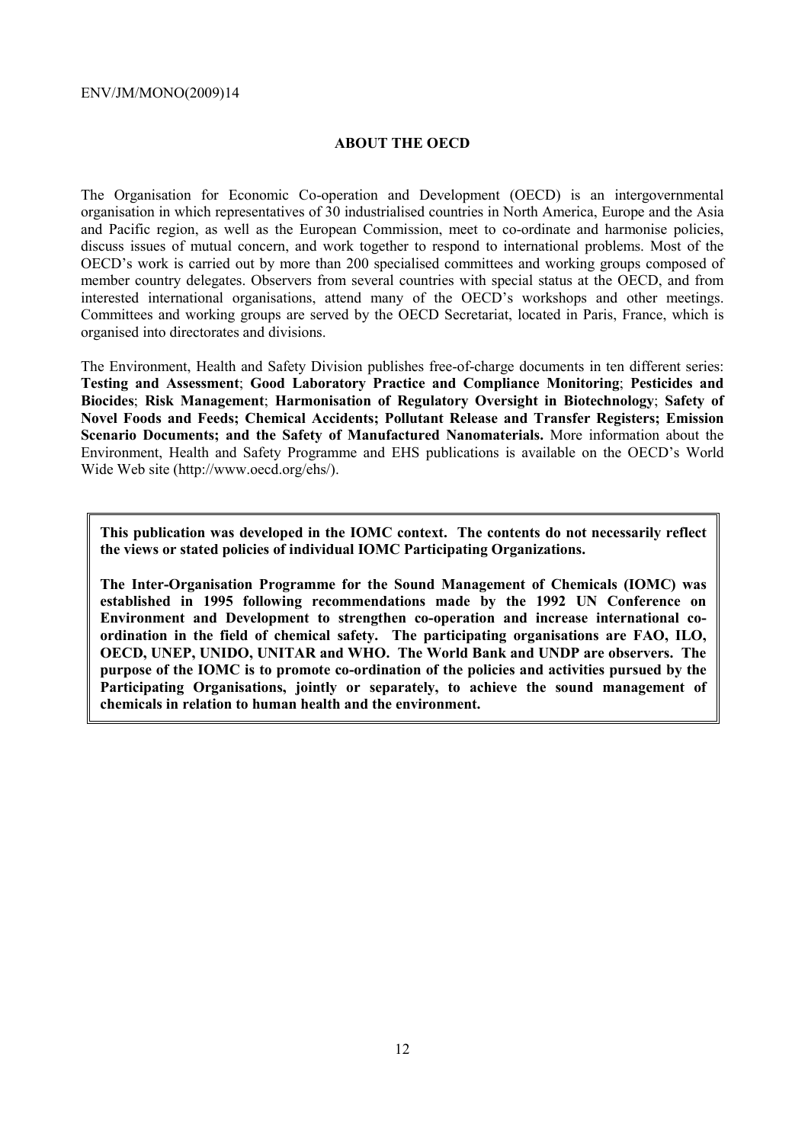#### **ABOUT THE OECD**

The Organisation for Economic Co-operation and Development (OECD) is an intergovernmental organisation in which representatives of 30 industrialised countries in North America, Europe and the Asia and Pacific region, as well as the European Commission, meet to co-ordinate and harmonise policies, discuss issues of mutual concern, and work together to respond to international problems. Most of the OECD's work is carried out by more than 200 specialised committees and working groups composed of member country delegates. Observers from several countries with special status at the OECD, and from interested international organisations, attend many of the OECD's workshops and other meetings. Committees and working groups are served by the OECD Secretariat, located in Paris, France, which is organised into directorates and divisions.

The Environment, Health and Safety Division publishes free-of-charge documents in ten different series: **Testing and Assessment**; **Good Laboratory Practice and Compliance Monitoring**; **Pesticides and Biocides**; **Risk Management**; **Harmonisation of Regulatory Oversight in Biotechnology**; **Safety of Novel Foods and Feeds; Chemical Accidents; Pollutant Release and Transfer Registers; Emission Scenario Documents; and the Safety of Manufactured Nanomaterials.** More information about the Environment, Health and Safety Programme and EHS publications is available on the OECD's World Wide Web site (http://www.oecd.org/ehs/).

**This publication was developed in the IOMC context. The contents do not necessarily reflect the views or stated policies of individual IOMC Participating Organizations.** 

**The Inter-Organisation Programme for the Sound Management of Chemicals (IOMC) was established in 1995 following recommendations made by the 1992 UN Conference on Environment and Development to strengthen co-operation and increase international coordination in the field of chemical safety. The participating organisations are FAO, ILO, OECD, UNEP, UNIDO, UNITAR and WHO. The World Bank and UNDP are observers. The purpose of the IOMC is to promote co-ordination of the policies and activities pursued by the Participating Organisations, jointly or separately, to achieve the sound management of chemicals in relation to human health and the environment.**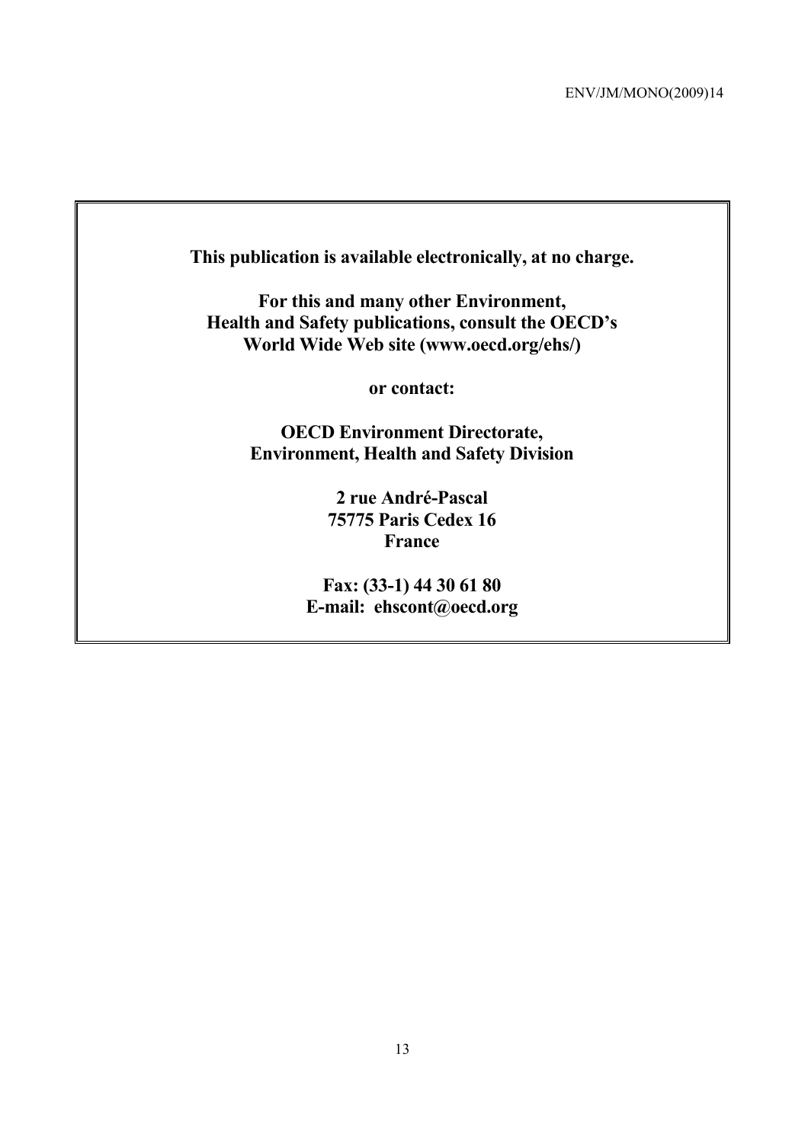| This publication is available electronically, at no charge. |
|-------------------------------------------------------------|
| For this and many other Environment,                        |
| <b>Health and Safety publications, consult the OECD's</b>   |
| World Wide Web site (www.oecd.org/ehs/)                     |
| or contact:                                                 |
| <b>OECD Environment Directorate,</b>                        |
| <b>Environment, Health and Safety Division</b>              |
| 2 rue André-Pascal                                          |
| <b>75775 Paris Cedex 16</b>                                 |
| <b>France</b>                                               |
| Fax: (33-1) 44 30 61 80                                     |

**E-mail: ehscont@oecd.org**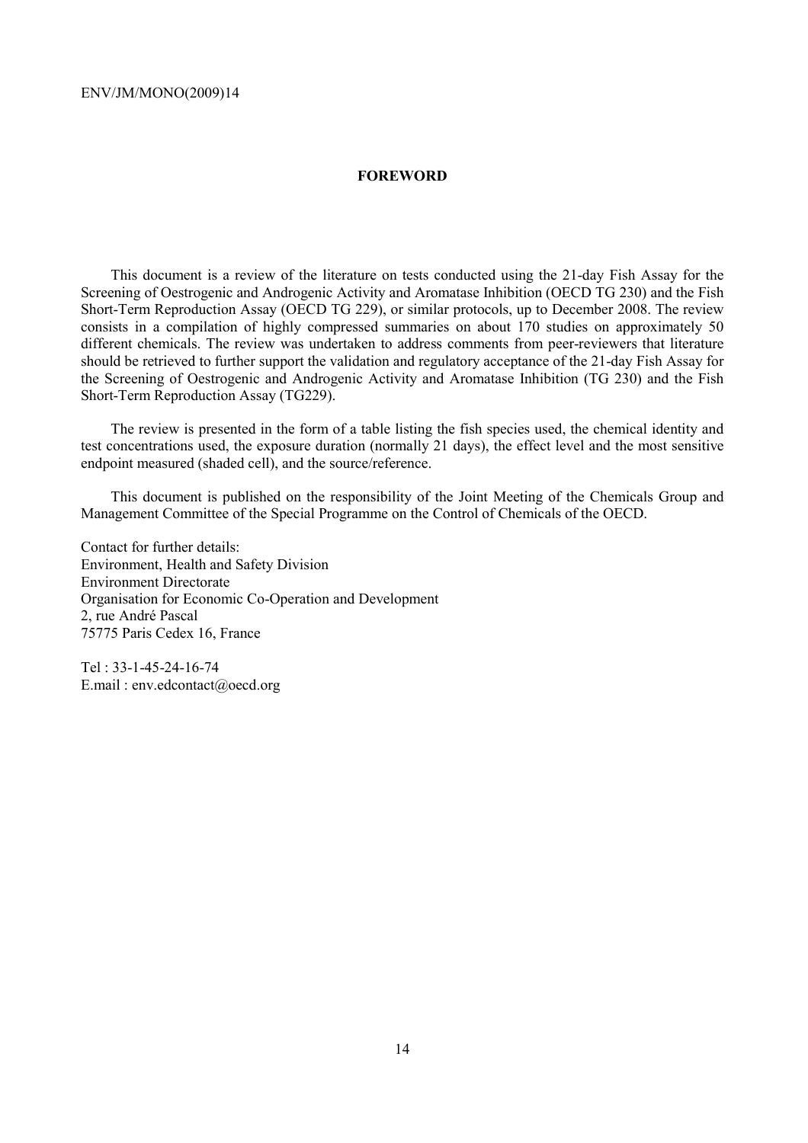#### **FOREWORD**

This document is a review of the literature on tests conducted using the 21-day Fish Assay for the Screening of Oestrogenic and Androgenic Activity and Aromatase Inhibition (OECD TG 230) and the Fish Short-Term Reproduction Assay (OECD TG 229), or similar protocols, up to December 2008. The review consists in a compilation of highly compressed summaries on about 170 studies on approximately 50 different chemicals. The review was undertaken to address comments from peer-reviewers that literature should be retrieved to further support the validation and regulatory acceptance of the 21-day Fish Assay for the Screening of Oestrogenic and Androgenic Activity and Aromatase Inhibition (TG 230) and the Fish Short-Term Reproduction Assay (TG229).

The review is presented in the form of a table listing the fish species used, the chemical identity and test concentrations used, the exposure duration (normally 21 days), the effect level and the most sensitive endpoint measured (shaded cell), and the source/reference.

This document is published on the responsibility of the Joint Meeting of the Chemicals Group and Management Committee of the Special Programme on the Control of Chemicals of the OECD.

Contact for further details: Environment, Health and Safety Division Environment Directorate Organisation for Economic Co-Operation and Development 2, rue André Pascal 75775 Paris Cedex 16, France

Tel : 33-1-45-24-16-74 E.mail : env.edcontact@oecd.org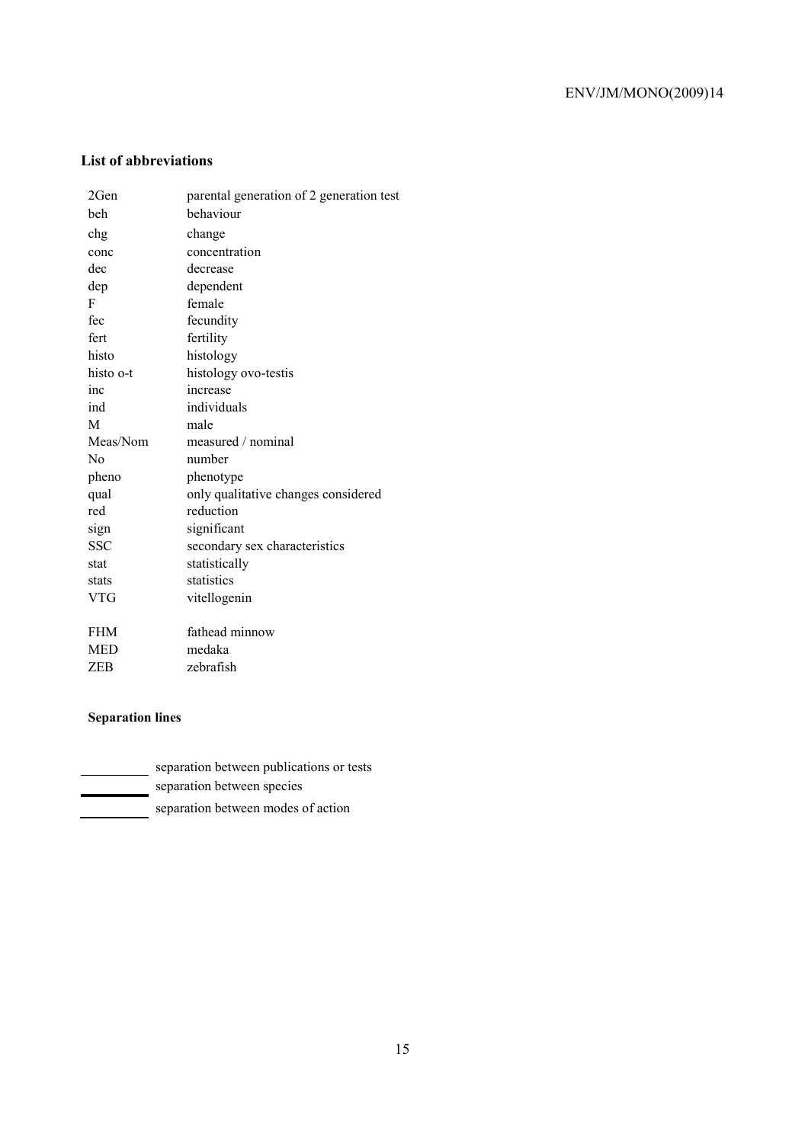# **List of abbreviations**

| 2Gen           | parental generation of 2 generation test |
|----------------|------------------------------------------|
| beh            | behaviour                                |
| chg            | change                                   |
| conc           | concentration                            |
| dec            | decrease                                 |
| dep            | dependent                                |
| F              | female                                   |
| fec            | fecundity                                |
| fert           | fertility                                |
| histo          | histology                                |
| histo o-t      | histology ovo-testis                     |
| inc            | increase                                 |
| ind            | individuals                              |
| M              | male                                     |
|                |                                          |
| Meas/Nom       | measured / nominal                       |
| N <sub>0</sub> | number                                   |
| pheno          | phenotype                                |
| qual           | only qualitative changes considered      |
| red            | reduction                                |
| sign           | significant                              |
| <b>SSC</b>     | secondary sex characteristics            |
| stat           | statistically                            |
| stats          | statistics                               |
| <b>VTG</b>     | vitellogenin                             |
|                |                                          |
| FHM            | fathead minnow                           |
| <b>MED</b>     | medaka                                   |

# **Separation lines**

| separation between publications or tests |
|------------------------------------------|
| separation between species               |
| separation between modes of action       |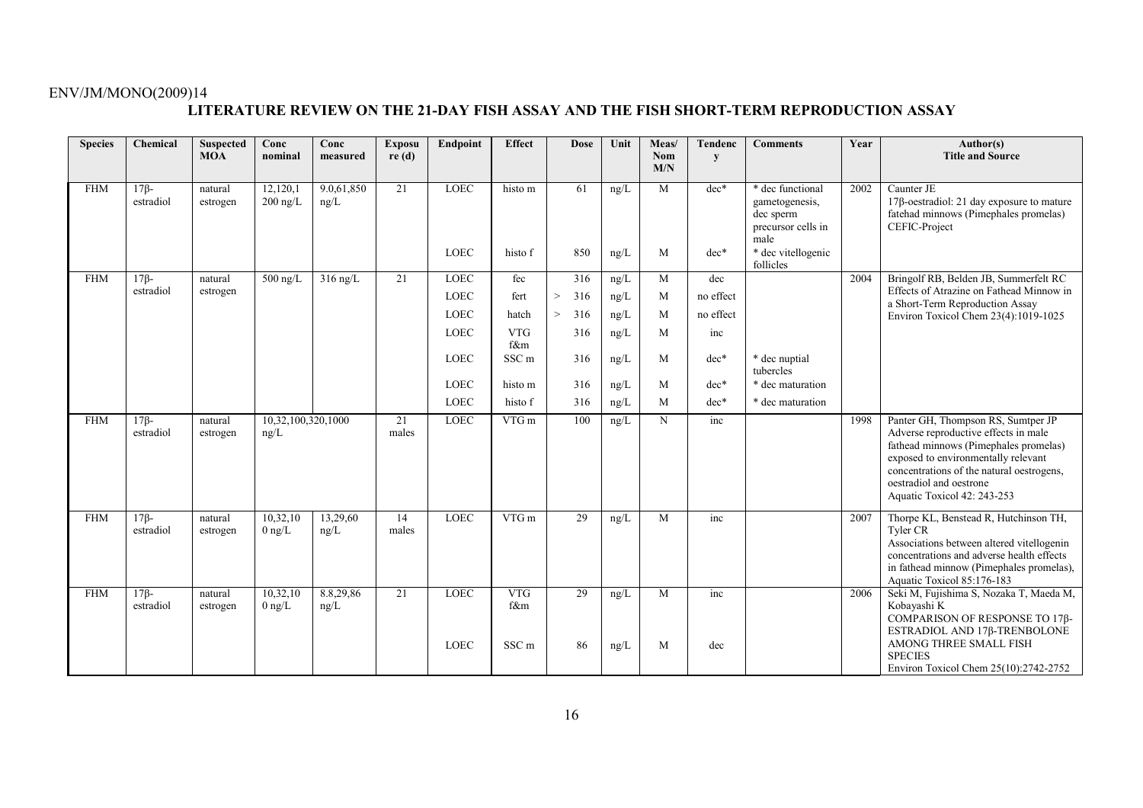#### **LITERATURE REVIEW ON THE 21-DAY FISH ASSAY AND THE FISH SHORT-TERM REPRODUCTION ASSAY**

| <b>Species</b> | Chemical                 | <b>Suspected</b><br><b>MOA</b> | Conc<br>nominal              | Conc<br>measured   | <b>Exposu</b><br>re(d) | Endpoint                   | <b>Effect</b>                         | <b>Dose</b>  | Unit         | Meas/<br>Nom<br>M/N | <b>Tendenc</b><br>y | <b>Comments</b>                                                               | Year | Author(s)<br><b>Title and Source</b>                                                                                                                                                                                                                              |
|----------------|--------------------------|--------------------------------|------------------------------|--------------------|------------------------|----------------------------|---------------------------------------|--------------|--------------|---------------------|---------------------|-------------------------------------------------------------------------------|------|-------------------------------------------------------------------------------------------------------------------------------------------------------------------------------------------------------------------------------------------------------------------|
| <b>FHM</b>     | $17\beta$ -<br>estradiol | natural<br>estrogen            | 12,120,1<br>$200$ ng/L       | 9.0.61,850<br>ng/L | 21                     | <b>LOEC</b>                | histo m                               | 61           | ng/L         | M                   | $dec*$              | * dec functional<br>gametogenesis,<br>dec sperm<br>precursor cells in<br>male | 2002 | Caunter JE<br>$17\beta$ -oestradiol: 21 day exposure to mature<br>fatehad minnows (Pimephales promelas)<br>CEFIC-Project                                                                                                                                          |
|                |                          |                                |                              |                    |                        | <b>LOEC</b>                | histo f                               | 850          | ng/L         | M                   | $dec*$              | * dec vitellogenic<br>follicles                                               |      |                                                                                                                                                                                                                                                                   |
| <b>FHM</b>     | $17\beta$ -              | natural                        | $500$ ng/L                   | $316$ ng/L         | 21                     | <b>LOEC</b>                | fec                                   | 316          | ng/L         | M                   | dec                 |                                                                               | 2004 | Bringolf RB, Belden JB, Summerfelt RC                                                                                                                                                                                                                             |
|                | estradiol                | estrogen                       |                              |                    |                        | <b>LOEC</b>                | fert                                  | 316<br>>     | ng/L         | M                   | no effect           |                                                                               |      | Effects of Atrazine on Fathead Minnow in<br>a Short-Term Reproduction Assay                                                                                                                                                                                       |
|                |                          |                                |                              |                    |                        | <b>LOEC</b>                | hatch                                 | $\,>$<br>316 | ng/L         | M                   | no effect           |                                                                               |      | Environ Toxicol Chem 23(4):1019-1025                                                                                                                                                                                                                              |
|                |                          |                                |                              |                    |                        | <b>LOEC</b>                | <b>VTG</b><br>f&m                     | 316          | $\rm ng/L$   | M                   | inc                 |                                                                               |      |                                                                                                                                                                                                                                                                   |
|                |                          |                                |                              |                    |                        | <b>LOEC</b>                | SSC <sub>m</sub>                      | 316          | ng/L         | M                   | $dec*$              | * dec nuptial<br>tubercles                                                    |      |                                                                                                                                                                                                                                                                   |
|                |                          |                                |                              |                    |                        | <b>LOEC</b>                | histo m                               | 316          | ng/L         | M                   | $dec*$              | * dec maturation                                                              |      |                                                                                                                                                                                                                                                                   |
|                |                          |                                |                              |                    |                        | <b>LOEC</b>                | histo f                               | 316          | ng/L         | M                   | $dec*$              | * dec maturation                                                              |      |                                                                                                                                                                                                                                                                   |
| <b>FHM</b>     | $17\beta$ -<br>estradiol | natural<br>estrogen            | 10,32,100,320,1000<br>ng/L   |                    | 21<br>males            | <b>LOEC</b>                | VTG m                                 | 100          | ng/L         | N                   | inc                 |                                                                               | 1998 | Panter GH, Thompson RS, Sumtper JP<br>Adverse reproductive effects in male<br>fathead minnows (Pimephales promelas)<br>exposed to environmentally relevant<br>concentrations of the natural oestrogens,<br>oestradiol and oestrone<br>Aquatic Toxicol 42: 243-253 |
| <b>FHM</b>     | $17\beta$ -<br>estradiol | natural<br>estrogen            | 10,32,10<br>$0$ ng/L         | 13,29,60<br>ng/L   | 14<br>males            | <b>LOEC</b>                | VTG m                                 | 29           | ng/L         | M                   | inc                 |                                                                               | 2007 | Thorpe KL, Benstead R, Hutchinson TH,<br>Tyler CR<br>Associations between altered vitellogenin<br>concentrations and adverse health effects<br>in fathead minnow (Pimephales promelas),<br>Aquatic Toxicol 85:176-183                                             |
| <b>FHM</b>     | $17\beta$ -<br>estradiol | natural<br>estrogen            | 10,32,10<br>$0 \text{ ng/L}$ | 8.8,29,86<br>ng/L  | 21                     | <b>LOEC</b><br><b>LOEC</b> | <b>VTG</b><br>f&m<br>SSC <sub>m</sub> | 29<br>86     | ng/L<br>ng/L | M<br>M              | inc<br>dec          |                                                                               | 2006 | Seki M, Fujishima S, Nozaka T, Maeda M,<br>Kobayashi K<br>COMPARISON OF RESPONSE TO 17β-<br>ESTRADIOL AND 17β-TRENBOLONE<br>AMONG THREE SMALL FISH<br><b>SPECIES</b><br>Environ Toxicol Chem 25(10):2742-2752                                                     |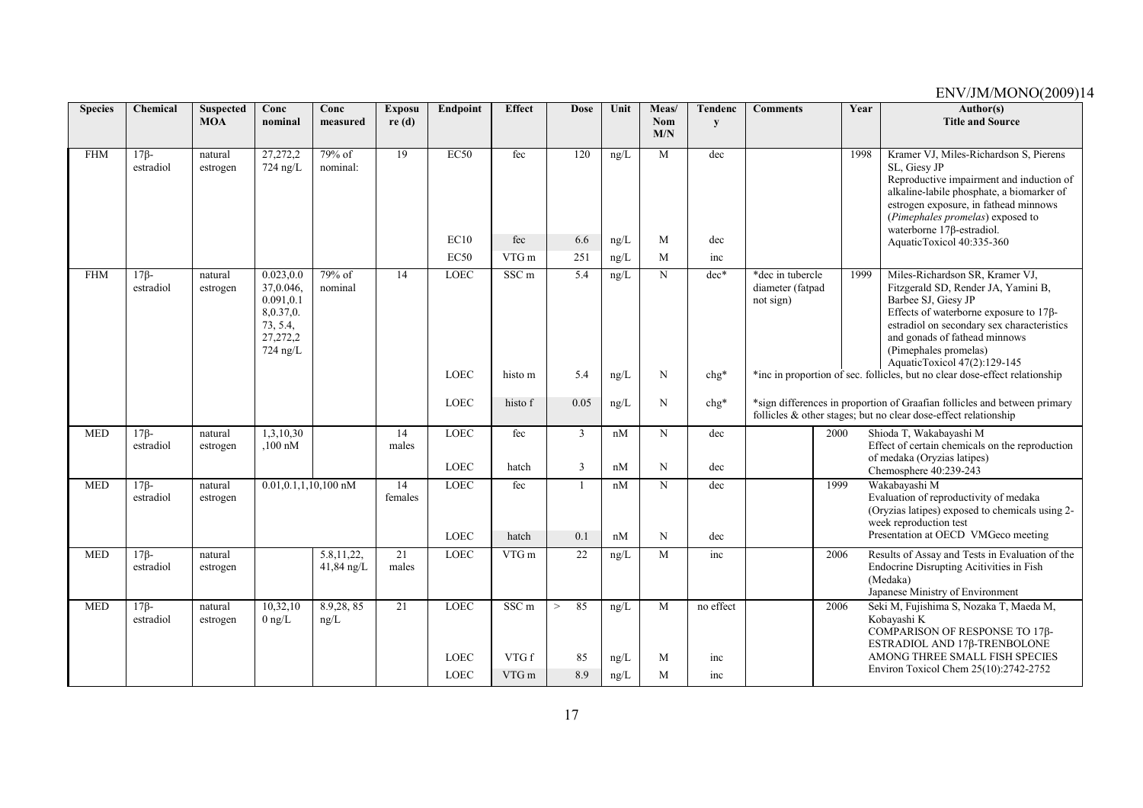| <b>Species</b> | Chemical                 | <b>Suspected</b><br><b>MOA</b> | Conc<br>nominal                                                                        | Conc<br>measured           | <b>Exposu</b><br>re(d) | Endpoint                   | <b>Effect</b>               | <b>Dose</b>  | Unit         | Meas/<br><b>Nom</b><br>M/N | Tendenc<br>y | <b>Comments</b>                                   | Year | Author(s)<br><b>Title and Source</b>                                                                                                                                                                                                                                                                                                                                  |
|----------------|--------------------------|--------------------------------|----------------------------------------------------------------------------------------|----------------------------|------------------------|----------------------------|-----------------------------|--------------|--------------|----------------------------|--------------|---------------------------------------------------|------|-----------------------------------------------------------------------------------------------------------------------------------------------------------------------------------------------------------------------------------------------------------------------------------------------------------------------------------------------------------------------|
| <b>FHM</b>     | $17\beta$ -<br>estradiol | natural<br>estrogen            | 27,272,2<br>$724$ ng/L                                                                 | $79%$ of<br>nominal:       | $\overline{19}$        | EC50<br>EC10               | fec<br>fec                  | 120<br>6.6   | ng/L<br>ng/L | M<br>M                     | dec<br>dec   |                                                   | 1998 | Kramer VJ, Miles-Richardson S, Pierens<br>SL, Giesy JP<br>Reproductive impairment and induction of<br>alkaline-labile phosphate, a biomarker of<br>estrogen exposure, in fathead minnows<br>(Pimephales promelas) exposed to<br>waterborne $17\beta$ -estradiol.<br>AquaticToxicol 40:335-360                                                                         |
|                |                          |                                |                                                                                        |                            |                        | EC50                       | VTG m                       | 251          | ng/L         | M                          | inc          |                                                   |      |                                                                                                                                                                                                                                                                                                                                                                       |
| <b>FHM</b>     | $17\beta$ -<br>estradiol | natural<br>estrogen            | 0.023, 0.0<br>37,0.046,<br>0.091, 0.1<br>8,0.37,0.<br>73, 5.4,<br>27,272,2<br>724 ng/L | 79% of<br>nominal          | 14                     | LOEC<br>LOEC               | SSC <sub>m</sub><br>histo m | 5.4<br>5.4   | ng/L<br>ng/I | $\mathbf N$<br>N           | dec*<br>chg* | *dec in tubercle<br>diameter (fatpad<br>not sign) | 1999 | Miles-Richardson SR, Kramer VJ,<br>Fitzgerald SD, Render JA, Yamini B,<br>Barbee SJ, Giesy JP<br>Effects of waterborne exposure to $17\beta$ -<br>estradiol on secondary sex characteristics<br>and gonads of fathead minnows<br>(Pimephales promelas)<br>AquaticToxicol 47(2):129-145<br>*inc in proportion of sec. follicles, but no clear dose-effect relationship |
|                |                          |                                |                                                                                        |                            |                        | <b>LOEC</b>                | histo f                     | 0.05         | ng/L         | N                          | chg*         |                                                   |      | *sign differences in proportion of Graafian follicles and between primary<br>follicles & other stages; but no clear dose-effect relationship                                                                                                                                                                                                                          |
| <b>MED</b>     | $17\beta$ -<br>estradiol | natural<br>estrogen            | 1,3,10,30<br>$100 \text{ nM}$                                                          |                            | 14<br>males            | <b>LOEC</b>                | fec                         | 3            | nM           | N                          | dec          |                                                   | 2000 | Shioda T, Wakabayashi M<br>Effect of certain chemicals on the reproduction<br>of medaka (Oryzias latipes)                                                                                                                                                                                                                                                             |
|                |                          |                                |                                                                                        |                            |                        | <b>LOEC</b>                | hatch                       | 3            | nM           | N                          | dec          |                                                   |      | Chemosphere 40:239-243                                                                                                                                                                                                                                                                                                                                                |
| <b>MED</b>     | $17\beta$ -<br>estradiol | natural<br>estrogen            | $0.01, 0.1, 1, 10, 100$ nM                                                             |                            | 14<br>females          | <b>LOEC</b><br><b>LOEC</b> | fec<br>hatch                | 0.1          | nM<br>nM     | N<br>N                     | dec<br>dec   |                                                   | 1999 | Wakabayashi M<br>Evaluation of reproductivity of medaka<br>(Oryzias latipes) exposed to chemicals using 2-<br>week reproduction test<br>Presentation at OECD VMGeco meeting                                                                                                                                                                                           |
| <b>MED</b>     | $17\beta$ -<br>estradiol | natural<br>estrogen            |                                                                                        | 5.8, 11, 22,<br>41,84 ng/L | 21<br>males            | LOEC                       | VTG m                       | 22           | ng/L         | M                          | inc          |                                                   | 2006 | Results of Assay and Tests in Evaluation of the<br>Endocrine Disrupting Acitivities in Fish<br>(Medaka)<br>Japanese Ministry of Environment                                                                                                                                                                                                                           |
| <b>MED</b>     | $17\beta$ -<br>estradiol | natural<br>estrogen            | 10,32,10<br>$0 \text{ ng/L}$                                                           | 8.9,28,85<br>ng/L          | 21                     | <b>LOEC</b>                | SSC <sub>m</sub>            | 85<br>$\geq$ | ng/L         | M                          | no effect    |                                                   | 2006 | Seki M, Fujishima S, Nozaka T, Maeda M,<br>Kobayashi K<br>COMPARISON OF RESPONSE ΤΟ 17β-<br>ESTRADIOL AND 17β-TRENBOLONE                                                                                                                                                                                                                                              |
|                |                          |                                |                                                                                        |                            |                        | <b>LOEC</b>                | VTG f                       | 85           | ng/L         | M                          | inc          |                                                   |      | AMONG THREE SMALL FISH SPECIES<br>Environ Toxicol Chem 25(10):2742-2752                                                                                                                                                                                                                                                                                               |
|                |                          |                                |                                                                                        |                            |                        | <b>LOEC</b>                | VTG m                       | 8.9          | ng/L         | M                          | inc          |                                                   |      |                                                                                                                                                                                                                                                                                                                                                                       |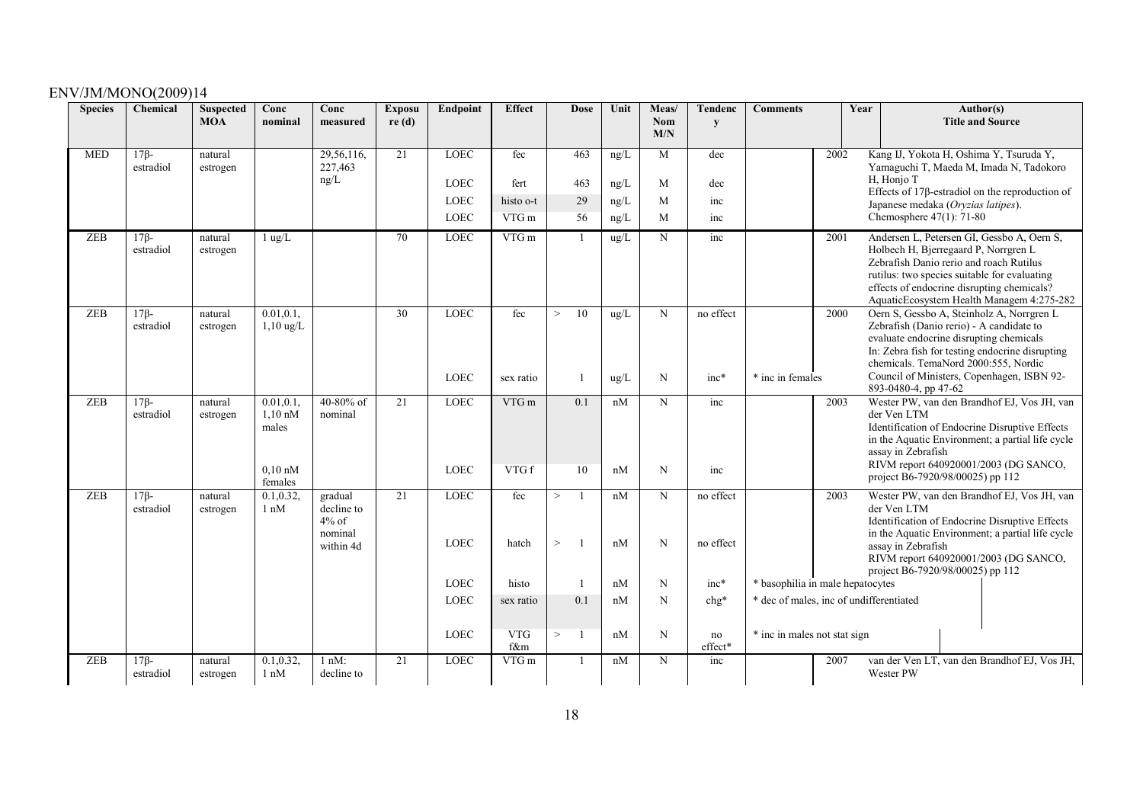| <b>Species</b> | Chemical                 | <b>Suspected</b><br><b>MOA</b> | Conc<br>nominal                         | Conc<br>measured                                          | <b>Exposu</b><br>re(d) | <b>Endpoint</b>            | <b>Effect</b>     | <b>Dose</b>               | Unit         | Meas/<br>Nom<br>M/N | Tendenc<br>y           | <b>Comments</b>                         | Year | Author(s)<br><b>Title and Source</b>                                                                                                                                                                                                                                      |
|----------------|--------------------------|--------------------------------|-----------------------------------------|-----------------------------------------------------------|------------------------|----------------------------|-------------------|---------------------------|--------------|---------------------|------------------------|-----------------------------------------|------|---------------------------------------------------------------------------------------------------------------------------------------------------------------------------------------------------------------------------------------------------------------------------|
| <b>MED</b>     | $17\beta$ -<br>estradiol | natural<br>estrogen            |                                         | 29,56,116,<br>227,463                                     | 21                     | <b>LOEC</b>                | fec               | 463                       | ng/L         | M                   | dec                    |                                         | 2002 | Kang IJ, Yokota H, Oshima Y, Tsuruda Y,<br>Yamaguchi T, Maeda M, Imada N, Tadokoro                                                                                                                                                                                        |
|                |                          |                                |                                         | ng/L                                                      |                        | <b>LOEC</b>                | fert              | 463                       | ng/L         | M                   | dec                    |                                         |      | H, Honjo T                                                                                                                                                                                                                                                                |
|                |                          |                                |                                         |                                                           |                        | <b>LOEC</b>                | histo o-t         | 29                        | ng/L         | M                   | inc                    |                                         |      | Effects of $17\beta$ -estradiol on the reproduction of<br>Japanese medaka (Oryzias latipes).                                                                                                                                                                              |
|                |                          |                                |                                         |                                                           |                        | <b>LOEC</b>                | VTG m             | 56                        | ng/L         | M                   | inc                    |                                         |      | Chemosphere 47(1): 71-80                                                                                                                                                                                                                                                  |
| <b>ZEB</b>     | $17\beta$ -<br>estradiol | natural<br>estrogen            | $1$ ug/L                                |                                                           | 70                     | LOEC                       | VTG m             | $\mathbf{1}$              | ug/L         | N                   | inc                    |                                         | 2001 | Andersen L, Petersen GI, Gessbo A, Oern S,<br>Holbech H, Bjerregaard P, Norrgren L<br>Zebrafish Danio rerio and roach Rutilus<br>rutilus: two species suitable for evaluating<br>effects of endocrine disrupting chemicals?<br>AquaticEcosystem Health Managem 4:275-282  |
| <b>ZEB</b>     | $17\beta$ -<br>estradiol | natural<br>estrogen            | 0.01, 0.1,<br>$1,10$ ug/L               |                                                           | 30                     | <b>LOEC</b><br><b>LOEC</b> | fec<br>sex ratio  | 10<br>$\,>$               | ug/L<br>ug/L | N<br>N              | no effect<br>$inc*$    | * inc in females                        | 2000 | Oern S, Gessbo A, Steinholz A, Norrgren L<br>Zebrafish (Danio rerio) - A candidate to<br>evaluate endocrine disrupting chemicals<br>In: Zebra fish for testing endocrine disrupting<br>chemicals. TemaNord 2000:555, Nordic<br>Council of Ministers, Copenhagen, ISBN 92- |
|                |                          |                                |                                         |                                                           |                        |                            |                   |                           |              |                     |                        |                                         |      | 893-0480-4, pp 47-62                                                                                                                                                                                                                                                      |
| <b>ZEB</b>     | $17\beta$ -<br>estradiol | natural<br>estrogen            | 0.01, 0.1<br>$1,10 \text{ nM}$<br>males | 40-80% of<br>nominal                                      | 21                     | LOEC                       | VTG m             | 0.1                       | nM           | N                   | inc                    |                                         | 2003 | Wester PW, van den Brandhof EJ, Vos JH, van<br>der Ven LTM<br>Identification of Endocrine Disruptive Effects<br>in the Aquatic Environment; a partial life cycle<br>assay in Zebrafish<br>RIVM report 640920001/2003 (DG SANCO,                                           |
|                |                          |                                | $0.10 \text{ nM}$<br>females            |                                                           |                        | LOEC                       | VTG f             | 10                        | nM           | $\mathbf N$         | inc                    |                                         |      | project B6-7920/98/00025) pp 112                                                                                                                                                                                                                                          |
| <b>ZEB</b>     | $17\beta$ -<br>estradiol | natural<br>estrogen            | 0.1, 0.32,<br>$1 \text{ nM}$            | gradual<br>decline to<br>$4\%$ of<br>nominal<br>within 4d | 21                     | <b>LOEC</b><br><b>LOEC</b> | fec<br>hatch      | $\,>$<br>1<br>$\,>$<br>-1 | nM<br>nM     | N<br>N              | no effect<br>no effect |                                         | 2003 | Wester PW, van den Brandhof EJ, Vos JH, van<br>der Ven LTM<br>Identification of Endocrine Disruptive Effects<br>in the Aquatic Environment; a partial life cycle<br>assay in Zebrafish<br>RIVM report 640920001/2003 (DG SANCO,<br>project B6-7920/98/00025) pp 112       |
|                |                          |                                |                                         |                                                           |                        | <b>LOEC</b>                | histo             |                           | nM           | N                   | $inc*$                 | * basophilia in male hepatocytes        |      |                                                                                                                                                                                                                                                                           |
|                |                          |                                |                                         |                                                           |                        | LOEC                       | sex ratio         | 0.1                       | nM           | $\mathbf N$         | chg*                   | * dec of males, inc of undifferentiated |      |                                                                                                                                                                                                                                                                           |
|                |                          |                                |                                         |                                                           |                        | LOEC                       | <b>VTG</b><br>f&m | $\,>$<br>-1               | nM           | N                   | no<br>effect*          | * inc in males not stat sign            |      |                                                                                                                                                                                                                                                                           |
| <b>ZEB</b>     | $17\beta$ -<br>estradiol | natural<br>estrogen            | 0.1, 0.32<br>$1 \text{ nM}$             | $1 nM$ :<br>decline to                                    | 21                     | <b>LOEC</b>                | VTG m             | -1                        | nM           | N                   | inc                    |                                         | 2007 | van der Ven LT, van den Brandhof EJ, Vos JH,<br>Wester PW                                                                                                                                                                                                                 |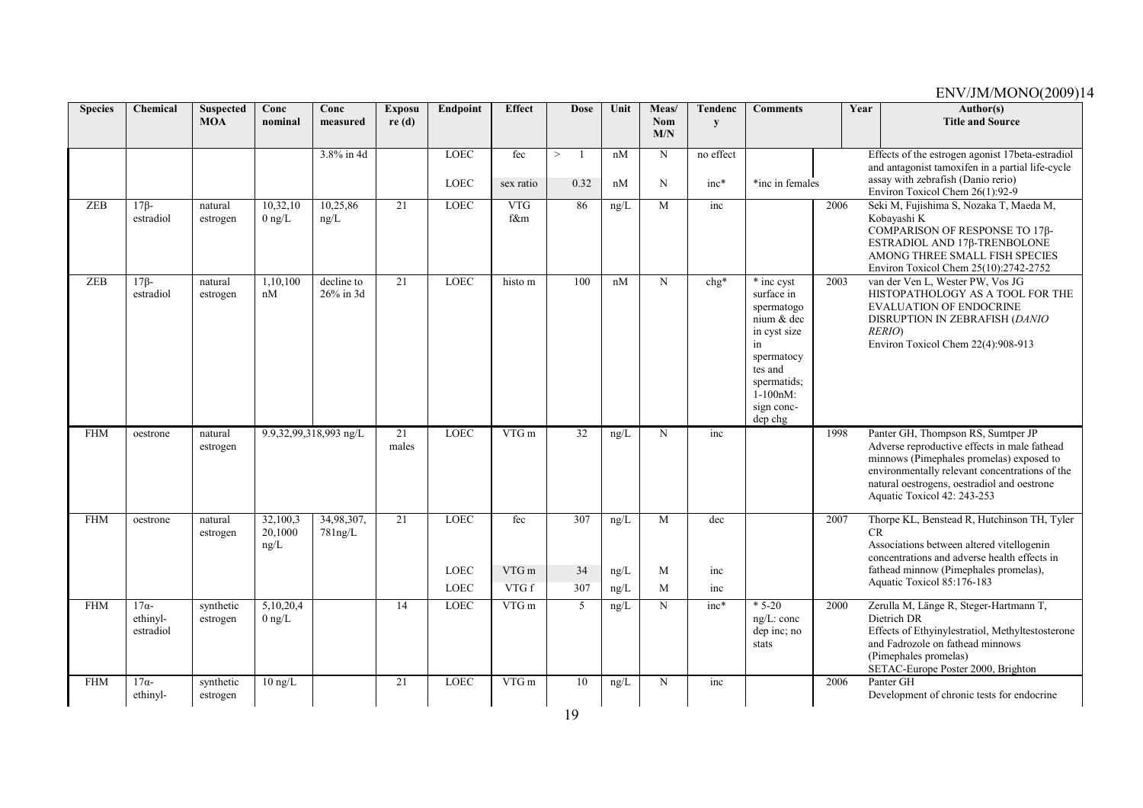| <b>Species</b> | Chemical                 | <b>Suspected</b><br><b>MOA</b> | Conc<br>nominal     | Conc<br>measured        | <b>Exposu</b><br>re(d) | Endpoint                   | <b>Effect</b>             | <b>Dose</b> | Unit         | Meas/<br>Nom | <b>Tendenc</b><br>y | <b>Comments</b>                          |      | Year | Author(s)<br><b>Title and Source</b>                                                                 |
|----------------|--------------------------|--------------------------------|---------------------|-------------------------|------------------------|----------------------------|---------------------------|-------------|--------------|--------------|---------------------|------------------------------------------|------|------|------------------------------------------------------------------------------------------------------|
|                |                          |                                |                     |                         |                        |                            |                           |             |              | M/N          |                     |                                          |      |      |                                                                                                      |
|                |                          |                                |                     | 3.8% in 4d              |                        | <b>LOEC</b>                | fec                       | ><br>-1     | nM           | N            | no effect           |                                          |      |      | Effects of the estrogen agonist 17beta-estradiol<br>and antagonist tamoxifen in a partial life-cycle |
|                |                          |                                |                     |                         |                        | LOEC                       | sex ratio                 | 0.32        | nM           | N            | $inc*$              | *inc in females                          |      |      | assay with zebrafish (Danio rerio)                                                                   |
| <b>ZEB</b>     | $17\beta$ -              | natural                        | 10,32,10            | 10,25,86                | 21                     | <b>LOEC</b>                | <b>VTG</b>                | 86          | ng/L         | M            | inc                 |                                          | 2006 |      | Environ Toxicol Chem 26(1):92-9<br>Seki M, Fujishima S, Nozaka T, Maeda M,                           |
|                | estradiol                | estrogen                       | $0$ ng/L            | ng/L                    |                        |                            | f&m                       |             |              |              |                     |                                          |      |      | Kobayashi K                                                                                          |
|                |                          |                                |                     |                         |                        |                            |                           |             |              |              |                     |                                          |      |      | COMPARISON OF RESPONSE TO 17β-<br>ESTRADIOL AND 17β-TRENBOLONE                                       |
|                |                          |                                |                     |                         |                        |                            |                           |             |              |              |                     |                                          |      |      | AMONG THREE SMALL FISH SPECIES                                                                       |
|                |                          |                                |                     |                         |                        |                            |                           |             |              |              |                     |                                          |      |      | Environ Toxicol Chem 25(10):2742-2752                                                                |
| <b>ZEB</b>     | $17\beta$ -<br>estradiol | natural<br>estrogen            | 1,10,100<br>nM      | decline to<br>26% in 3d | 21                     | <b>LOEC</b>                | histo m                   | 100         | nM           | N            | $chg*$              | $\overline{\ast}$ inc cyst<br>surface in | 2003 |      | van der Ven L, Wester PW, Vos JG<br>HISTOPATHOLOGY AS A TOOL FOR THE                                 |
|                |                          |                                |                     |                         |                        |                            |                           |             |              |              |                     | spermatogo                               |      |      | <b>EVALUATION OF ENDOCRINE</b>                                                                       |
|                |                          |                                |                     |                         |                        |                            |                           |             |              |              |                     | nium & dec<br>in cyst size               |      |      | DISRUPTION IN ZEBRAFISH (DANIO<br>RERIO)                                                             |
|                |                          |                                |                     |                         |                        |                            |                           |             |              |              |                     | in                                       |      |      | Environ Toxicol Chem 22(4):908-913                                                                   |
|                |                          |                                |                     |                         |                        |                            |                           |             |              |              |                     | spermatocy<br>tes and                    |      |      |                                                                                                      |
|                |                          |                                |                     |                         |                        |                            |                           |             |              |              |                     | spermatids;                              |      |      |                                                                                                      |
|                |                          |                                |                     |                         |                        |                            |                           |             |              |              |                     | $1-100nM$ :                              |      |      |                                                                                                      |
|                |                          |                                |                     |                         |                        |                            |                           |             |              |              |                     | sign conc-<br>dep chg                    |      |      |                                                                                                      |
| <b>FHM</b>     | oestrone                 | natural                        |                     | 9.9,32,99,318,993 ng/L  | 21                     | <b>LOEC</b>                | VTG m                     | 32          | ng/L         | N            | inc                 |                                          | 1998 |      | Panter GH, Thompson RS, Sumtper JP                                                                   |
|                |                          | estrogen                       |                     |                         | males                  |                            |                           |             |              |              |                     |                                          |      |      | Adverse reproductive effects in male fathead<br>minnows (Pimephales promelas) exposed to             |
|                |                          |                                |                     |                         |                        |                            |                           |             |              |              |                     |                                          |      |      | environmentally relevant concentrations of the                                                       |
|                |                          |                                |                     |                         |                        |                            |                           |             |              |              |                     |                                          |      |      | natural oestrogens, oestradiol and oestrone<br>Aquatic Toxicol 42: 243-253                           |
|                |                          |                                |                     |                         |                        |                            |                           |             |              |              |                     |                                          |      |      |                                                                                                      |
| <b>FHM</b>     | oestrone                 | natural<br>estrogen            | 32,100,3<br>20,1000 | 34,98,307,<br>781ng/L   | 21                     | <b>LOEC</b>                | fec                       | 307         | ng/L         | M            | dec                 |                                          | 2007 | CR   | Thorpe KL, Benstead R, Hutchinson TH, Tyler                                                          |
|                |                          |                                | ng/L                |                         |                        |                            |                           |             |              |              |                     |                                          |      |      | Associations between altered vitellogenin                                                            |
|                |                          |                                |                     |                         |                        |                            |                           |             |              |              |                     |                                          |      |      | concentrations and adverse health effects in<br>fathead minnow (Pimephales promelas),                |
|                |                          |                                |                     |                         |                        | <b>LOEC</b><br><b>LOEC</b> | VTG <sub>m</sub><br>VTG f | 34<br>307   | ng/L<br>ng/L | M<br>M       | inc<br>inc          |                                          |      |      | Aquatic Toxicol 85:176-183                                                                           |
| <b>FHM</b>     | $17\alpha$               | synthetic                      | 5,10,20,4           |                         | 14                     | <b>LOEC</b>                | VTG m                     | 5           |              | $\mathbf N$  | $inc*$              | $*5-20$                                  | 2000 |      | Zerulla M, Länge R, Steger-Hartmann T,                                                               |
|                | ethinyl-                 | estrogen                       | $0 \text{ ng/L}$    |                         |                        |                            |                           |             | ng/L         |              |                     | $ng/L$ : conc                            |      |      | Dietrich DR                                                                                          |
|                | estradiol                |                                |                     |                         |                        |                            |                           |             |              |              |                     | dep inc; no                              |      |      | Effects of Ethyinylestratiol, Methyltestosterone                                                     |
|                |                          |                                |                     |                         |                        |                            |                           |             |              |              |                     | stats                                    |      |      | and Fadrozole on fathead minnows<br>(Pimephales promelas)                                            |
|                |                          |                                |                     |                         |                        |                            |                           |             |              |              |                     |                                          |      |      | SETAC-Europe Poster 2000, Brighton                                                                   |
| <b>FHM</b>     | $17\alpha$ -<br>ethinyl- | synthetic<br>estrogen          | $10$ ng/L           |                         | 21                     | <b>LOEC</b>                | VTG <sub>m</sub>          | 10          | ng/L         | N            | inc                 |                                          | 2006 |      | Panter GH<br>Development of chronic tests for endocrine                                              |
|                |                          |                                |                     |                         |                        |                            |                           |             |              |              |                     |                                          |      |      |                                                                                                      |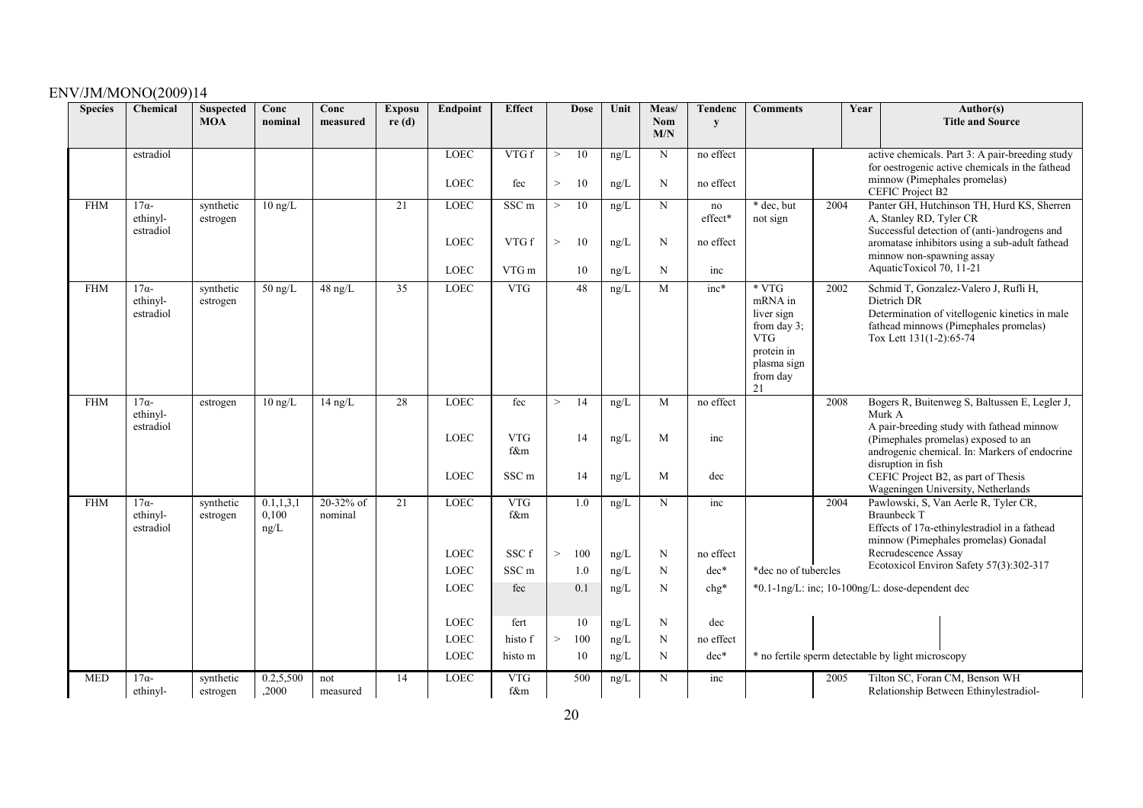| <b>Species</b> | Chemical                                       | <b>Suspected</b><br><b>MOA</b> | Conc<br>nominal               | Conc<br>measured     | <b>Exposu</b><br>re(d) | Endpoint                                  | <b>Effect</b>              | <b>Dose</b>              | Unit                       | Meas/<br>Nom<br>M/N        | Tendenc<br>$\mathbf{v}$    | <b>Comments</b>                                                                                                |      | Year<br>Author(s)<br><b>Title and Source</b>                                                                                                                                                                       |
|----------------|------------------------------------------------|--------------------------------|-------------------------------|----------------------|------------------------|-------------------------------------------|----------------------------|--------------------------|----------------------------|----------------------------|----------------------------|----------------------------------------------------------------------------------------------------------------|------|--------------------------------------------------------------------------------------------------------------------------------------------------------------------------------------------------------------------|
|                | estradiol                                      |                                |                               |                      |                        | <b>LOEC</b>                               | VTGf                       | 10<br>$\geq$             | ng/L                       | N                          | no effect                  |                                                                                                                |      | active chemicals. Part 3: A pair-breeding study<br>for oestrogenic active chemicals in the fathead                                                                                                                 |
|                |                                                |                                |                               |                      |                        | <b>LOEC</b>                               | fec                        | 10<br>$\,>$              | $\rm ng/L$                 | N                          | no effect                  |                                                                                                                |      | minnow (Pimephales promelas)<br><b>CEFIC Project B2</b>                                                                                                                                                            |
| <b>FHM</b>     | $17\alpha$ -<br>ethinyl-<br>estradiol          | synthetic<br>estrogen          | $10 \text{ ng/L}$             |                      | 21                     | <b>LOEC</b>                               | SSC <sub>m</sub>           | 10<br>>                  | ng/L                       | N                          | no<br>effect*              | * dec, but<br>not sign                                                                                         | 2004 | Panter GH, Hutchinson TH, Hurd KS, Sherren<br>A, Stanley RD, Tyler CR<br>Successful detection of (anti-)androgens and                                                                                              |
|                |                                                |                                |                               |                      |                        | <b>LOEC</b>                               | VTG f                      | 10<br>$\,>$              | ng/L                       | $\mathbf N$                | no effect                  |                                                                                                                |      | aromatase inhibitors using a sub-adult fathead<br>minnow non-spawning assay                                                                                                                                        |
|                |                                                |                                |                               |                      |                        | <b>LOEC</b>                               | VTG m                      | 10                       | ng/L                       | N                          | inc                        |                                                                                                                |      | AquaticToxicol 70, 11-21                                                                                                                                                                                           |
| <b>FHM</b>     | $\overline{17\alpha}$<br>ethinyl-<br>estradiol | synthetic<br>estrogen          | $50$ ng/L                     | $48$ ng/L            | 35                     | <b>LOEC</b>                               | <b>VTG</b>                 | $\overline{48}$          | ng/L                       | M                          | $inc*$                     | $*VTG$<br>mRNA in<br>liver sign<br>from day $3$ ;<br><b>VTG</b><br>protein in<br>plasma sign<br>from day<br>21 | 2002 | Schmid T, Gonzalez-Valero J, Rufli H,<br>Dietrich DR<br>Determination of vitellogenic kinetics in male<br>fathead minnows (Pimephales promelas)<br>Tox Lett 131(1-2):65-74                                         |
| <b>FHM</b>     | $17\alpha$ -<br>ethinyl-<br>estradiol          | estrogen                       | $10$ ng/L                     | $14$ ng/L            | 28                     | <b>LOEC</b><br><b>LOEC</b>                | fec<br><b>VTG</b><br>f&m   | 14<br>><br>14            | ng/L<br>ng/L               | M<br>M                     | no effect<br>inc           |                                                                                                                | 2008 | Bogers R, Buitenweg S, Baltussen E, Legler J,<br>Murk A<br>A pair-breeding study with fathead minnow<br>(Pimephales promelas) exposed to an<br>androgenic chemical. In: Markers of endocrine<br>disruption in fish |
|                |                                                |                                |                               |                      |                        | <b>LOEC</b>                               | SSC <sub>m</sub>           | 14                       | ng/L                       | M                          | dec                        |                                                                                                                |      | CEFIC Project B2, as part of Thesis<br>Wageningen University, Netherlands                                                                                                                                          |
| <b>FHM</b>     | $17\alpha$ -<br>ethinyl-<br>estradiol          | synthetic<br>estrogen          | 0.1, 1, 3, 1<br>0,100<br>ng/L | 20-32% of<br>nominal | 21                     | <b>LOEC</b><br><b>LOEC</b>                | <b>VTG</b><br>f&m<br>SSC f | 1.0<br>$\,>$<br>100      | ng/L<br>ng/L               | $\mathbf N$<br>$\mathbf N$ | inc<br>no effect           |                                                                                                                | 2004 | Pawlowski, S, Van Aerle R, Tyler CR,<br><b>Braunbeck T</b><br>Effects of $17\alpha$ -ethinylestradiol in a fathead<br>minnow (Pimephales promelas) Gonadal<br>Recrudescence Assay                                  |
|                |                                                |                                |                               |                      |                        | <b>LOEC</b>                               | SSC <sub>m</sub>           | 1.0                      | $\rm ng/L$                 | N                          | dec*                       | *dec no of tubercles                                                                                           |      | Ecotoxicol Environ Safety 57(3):302-317                                                                                                                                                                            |
|                |                                                |                                |                               |                      |                        | <b>LOEC</b>                               | fec                        | 0.1                      | $\rm ng/L$                 | N                          | $chg*$                     |                                                                                                                |      | *0.1-1ng/L: inc; 10-100ng/L: dose-dependent dec                                                                                                                                                                    |
|                |                                                |                                |                               |                      |                        | <b>LOEC</b><br><b>LOEC</b><br><b>LOEC</b> | fert<br>histo f<br>histo m | 10<br>100<br>$\,>$<br>10 | ng/L<br>$\rm ng/L$<br>ng/L | N<br>N<br>N                | dec<br>no effect<br>$dec*$ |                                                                                                                |      | * no fertile sperm detectable by light microscopy                                                                                                                                                                  |
| <b>MED</b>     | $17\alpha$<br>ethinyl-                         | synthetic<br>estrogen          | 0.2,5,500<br>,2000            | not<br>measured      | 14                     | <b>LOEC</b>                               | <b>VTG</b><br>f&m          | 500                      | ng/L                       | N                          | inc                        |                                                                                                                | 2005 | Tilton SC, Foran CM, Benson WH<br>Relationship Between Ethinylestradiol-                                                                                                                                           |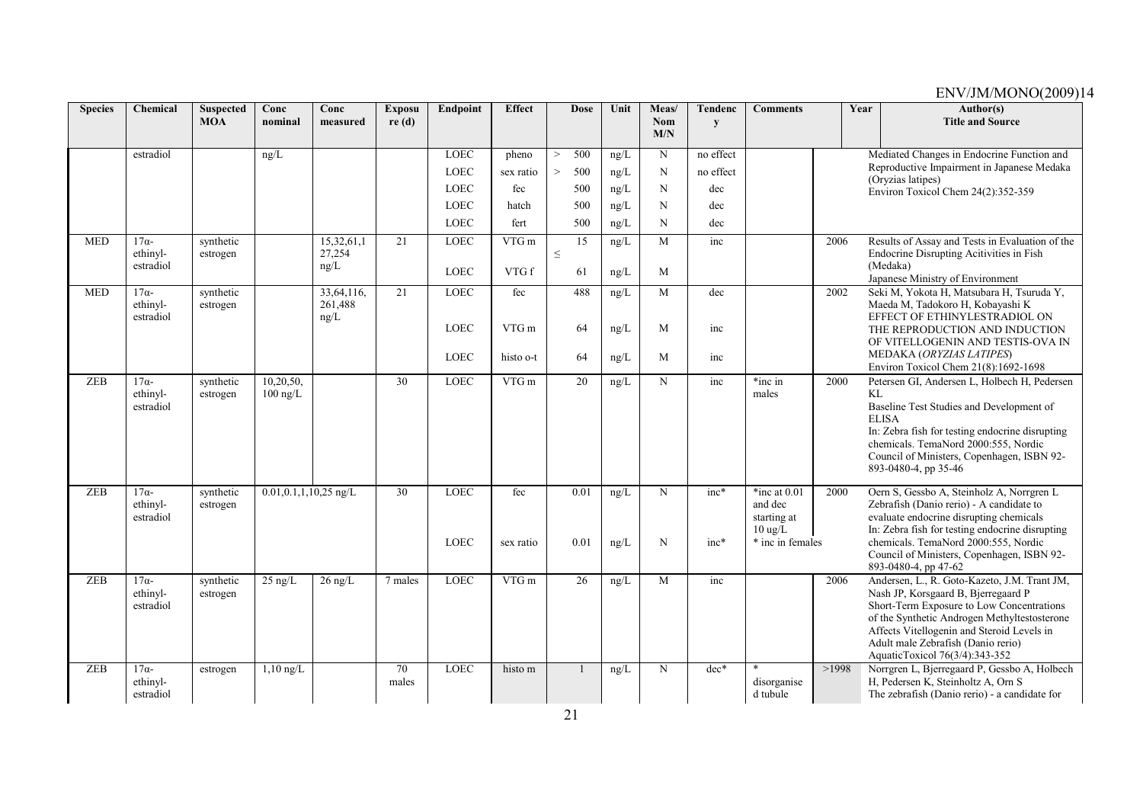| <b>Species</b> | Chemical                                       | <b>Suspected</b><br><b>MOA</b> | Conc<br>nominal             | Conc<br>measured      | <b>Exposu</b><br>re(d) | Endpoint            | <b>Effect</b>    | <b>Dose</b>     | Unit         | Meas/<br><b>Nom</b> | Tendenc<br>y     | <b>Comments</b>                                                                   |       | Year | Author(s)<br><b>Title and Source</b>                                                                                                                                                                                                                                                                   |
|----------------|------------------------------------------------|--------------------------------|-----------------------------|-----------------------|------------------------|---------------------|------------------|-----------------|--------------|---------------------|------------------|-----------------------------------------------------------------------------------|-------|------|--------------------------------------------------------------------------------------------------------------------------------------------------------------------------------------------------------------------------------------------------------------------------------------------------------|
|                |                                                |                                |                             |                       |                        |                     |                  |                 |              | M/N                 |                  |                                                                                   |       |      |                                                                                                                                                                                                                                                                                                        |
|                | estradiol                                      |                                | ng/L                        |                       |                        | <b>LOEC</b>         | pheno            | 500<br>$\geq$   | ng/L         | $\mathbf N$         | no effect        |                                                                                   |       |      | Mediated Changes in Endocrine Function and                                                                                                                                                                                                                                                             |
|                |                                                |                                |                             |                       |                        | <b>LOEC</b>         | sex ratio        | 500<br>$\geq$   | ng/L         | N                   | no effect        |                                                                                   |       |      | Reproductive Impairment in Japanese Medaka<br>(Oryzias latipes)                                                                                                                                                                                                                                        |
|                |                                                |                                |                             |                       |                        | <b>LOEC</b>         | fec              | 500             | ng/L         | N                   | dec              |                                                                                   |       |      | Environ Toxicol Chem 24(2):352-359                                                                                                                                                                                                                                                                     |
|                |                                                |                                |                             |                       |                        | <b>LOEC</b>         | hatch            | 500             | ng/L         | N                   | dec              |                                                                                   |       |      |                                                                                                                                                                                                                                                                                                        |
|                |                                                |                                |                             |                       |                        | LOEC                | fert             | 500             | ng/L         | N                   | dec              |                                                                                   |       |      |                                                                                                                                                                                                                                                                                                        |
| <b>MED</b>     | $17\alpha-$<br>ethinyl-                        | synthetic<br>estrogen          |                             | 15,32,61,1<br>27,254  | 21                     | <b>LOEC</b>         | VTG m            | 15<br>$\leq$    | ng/L         | M                   | inc              |                                                                                   | 2006  |      | Results of Assay and Tests in Evaluation of the<br>Endocrine Disrupting Acitivities in Fish                                                                                                                                                                                                            |
|                | estradiol                                      |                                |                             | ng/L                  |                        | <b>LOEC</b>         | VTG f            | 61              | ng/L         | M                   |                  |                                                                                   |       |      | (Medaka)<br>Japanese Ministry of Environment                                                                                                                                                                                                                                                           |
| <b>MED</b>     | $17\alpha-$<br>ethinyl-                        | synthetic<br>estrogen          |                             | 33,64,116,<br>261,488 | 21                     | <b>LOEC</b>         | fec              | 488             | ng/L         | M                   | dec              |                                                                                   | 2002  |      | Seki M, Yokota H, Matsubara H, Tsuruda Y,<br>Maeda M, Tadokoro H, Kobayashi K                                                                                                                                                                                                                          |
|                | estradiol                                      |                                |                             | ng/L                  |                        | <b>LOEC</b>         | VTG m            | 64              | ng/L         | M                   | inc              |                                                                                   |       |      | EFFECT OF ETHINYLESTRADIOL ON<br>THE REPRODUCTION AND INDUCTION<br>OF VITELLOGENIN AND TESTIS-OVA IN                                                                                                                                                                                                   |
|                |                                                |                                |                             |                       |                        | <b>LOEC</b>         | histo o-t        | 64              | ng/L         | M                   | inc              |                                                                                   |       |      | MEDAKA (ORYZIAS LATIPES)<br>Environ Toxicol Chem 21(8):1692-1698                                                                                                                                                                                                                                       |
| <b>ZEB</b>     | $17\alpha$<br>ethinyl-<br>estradiol            | synthetic<br>estrogen          | 10,20,50,<br>$100$ ng/L     |                       | 30                     | <b>LOEC</b>         | VTG m            | 20              | ng/L         | N                   | inc              | *inc in<br>males                                                                  | 2000  | KL   | Petersen GI, Andersen L, Holbech H, Pedersen<br>Baseline Test Studies and Development of<br><b>ELISA</b><br>In: Zebra fish for testing endocrine disrupting<br>chemicals. TemaNord 2000:555, Nordic<br>Council of Ministers, Copenhagen, ISBN 92-<br>893-0480-4, pp 35-46                              |
| ZEB            | $\overline{17\alpha}$<br>ethinyl-<br>estradiol | synthetic<br>estrogen          | $0.01, 0.1, 1, 10, 25$ ng/L |                       | $\overline{30}$        | LOEC<br><b>LOEC</b> | fec<br>sex ratio | 0.01<br>0.01    | ng/L<br>ng/L | N<br>N              | $inc*$<br>$inc*$ | *inc at $0.01$<br>and dec<br>starting at<br>$10 \text{ ug/L}$<br>* inc in females | 2000  |      | Oern S, Gessbo A, Steinholz A, Norrgren L<br>Zebrafish (Danio rerio) - A candidate to<br>evaluate endocrine disrupting chemicals<br>In: Zebra fish for testing endocrine disrupting<br>chemicals. TemaNord 2000:555, Nordic<br>Council of Ministers, Copenhagen, ISBN 92-<br>893-0480-4, pp 47-62      |
| ZEB            | $17\alpha$ -<br>ethinyl-<br>estradiol          | synthetic<br>estrogen          | $25$ ng/L                   | $26$ ng/L             | 7 males                | LOEC                | VTGm             | $\overline{26}$ | ng/L         | M                   | inc              |                                                                                   | 2006  |      | Andersen, L., R. Goto-Kazeto, J.M. Trant JM,<br>Nash JP, Korsgaard B, Bjerregaard P<br>Short-Term Exposure to Low Concentrations<br>of the Synthetic Androgen Methyltestosterone<br>Affects Vitellogenin and Steroid Levels in<br>Adult male Zebrafish (Danio rerio)<br>AquaticToxicol 76(3/4):343-352 |
| <b>ZEB</b>     | $17\alpha$ -<br>ethinyl-<br>estradiol          | estrogen                       | $\overline{1,10}$ ng/L      |                       | 70<br>males            | <b>LOEC</b>         | histo m          |                 | ng/L         | N                   | $dec*$           | disorganise<br>d tubule                                                           | >1998 |      | Norrgren L, Bjerregaard P, Gessbo A, Holbech<br>H, Pedersen K, Steinholtz A, Orn S<br>The zebrafish (Danio rerio) - a candidate for                                                                                                                                                                    |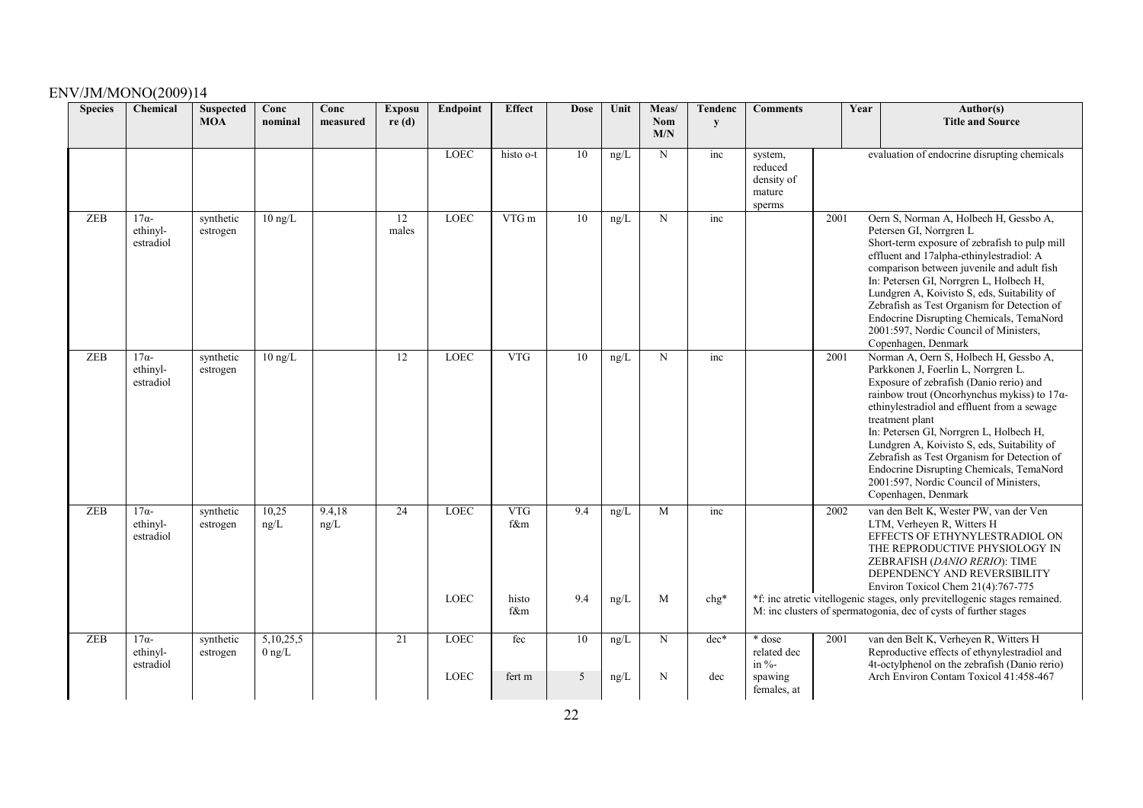| <b>Species</b> | Chemical                             | <b>Suspected</b><br><b>MOA</b> | Conc<br>nominal          | Conc<br>measured | <b>Exposu</b><br>re(d) | Endpoint                   | <b>Effect</b>     | <b>Dose</b> | Unit         | Meas/<br>Nom<br>M/N | Tendenc<br>y  | <b>Comments</b>                                              |      | Year | Author(s)<br><b>Title and Source</b>                                                                                                                                                                                                                                                                                                                                                                                                                                                                    |
|----------------|--------------------------------------|--------------------------------|--------------------------|------------------|------------------------|----------------------------|-------------------|-------------|--------------|---------------------|---------------|--------------------------------------------------------------|------|------|---------------------------------------------------------------------------------------------------------------------------------------------------------------------------------------------------------------------------------------------------------------------------------------------------------------------------------------------------------------------------------------------------------------------------------------------------------------------------------------------------------|
|                |                                      |                                |                          |                  |                        | <b>LOEC</b>                | histo o-t         | 10          | ng/L         | $\mathbf N$         | inc           | system,<br>reduced<br>density of<br>mature<br>sperms         |      |      | evaluation of endocrine disrupting chemicals                                                                                                                                                                                                                                                                                                                                                                                                                                                            |
| <b>ZEB</b>     | $17\alpha-$<br>ethinyl-<br>estradiol | synthetic<br>estrogen          | $10 \text{ ng/L}$        |                  | 12<br>males            | <b>LOEC</b>                | VTG m             | 10          | ng/L         | N                   | inc           |                                                              | 2001 |      | Oern S, Norman A, Holbech H, Gessbo A,<br>Petersen GI, Norrgren L<br>Short-term exposure of zebrafish to pulp mill<br>effluent and 17alpha-ethinylestradiol: A<br>comparison between juvenile and adult fish<br>In: Petersen GI, Norrgren L, Holbech H,<br>Lundgren A, Koivisto S, eds, Suitability of<br>Zebrafish as Test Organism for Detection of<br>Endocrine Disrupting Chemicals, TemaNord<br>2001:597, Nordic Council of Ministers,<br>Copenhagen, Denmark                                      |
| <b>ZEB</b>     | $17\alpha-$<br>ethinyl-<br>estradiol | synthetic<br>estrogen          | $10$ ng/L                |                  | 12                     | <b>LOEC</b>                | <b>VTG</b>        | 10          | ng/L         | N                   | inc           |                                                              | 2001 |      | Norman A, Oern S, Holbech H, Gessbo A,<br>Parkkonen J, Foerlin L, Norrgren L.<br>Exposure of zebrafish (Danio rerio) and<br>rainbow trout (Oncorhynchus mykiss) to $17\alpha$ -<br>ethinylestradiol and effluent from a sewage<br>treatment plant<br>In: Petersen GI, Norrgren L, Holbech H,<br>Lundgren A, Koivisto S, eds, Suitability of<br>Zebrafish as Test Organism for Detection of<br>Endocrine Disrupting Chemicals, TemaNord<br>2001:597, Nordic Council of Ministers,<br>Copenhagen, Denmark |
| ZEB            | $17\alpha-$<br>ethinyl-<br>estradiol | synthetic<br>estrogen          | 10,25<br>ng/L            | 9.4,18<br>ng/L   | 24                     | <b>LOEC</b>                | <b>VTG</b><br>f&m | 9.4         | ng/L         | M                   | inc           |                                                              | 2002 |      | van den Belt K, Wester PW, van der Ven<br>LTM, Verheyen R, Witters H<br>EFFECTS OF ETHYNYLESTRADIOL ON<br>THE REPRODUCTIVE PHYSIOLOGY IN<br>ZEBRAFISH (DANIO RERIO): TIME<br>DEPENDENCY AND REVERSIBILITY<br>Environ Toxicol Chem 21(4):767-775                                                                                                                                                                                                                                                         |
|                |                                      |                                |                          |                  |                        | <b>LOEC</b>                | histo<br>f&m      | 9.4         | ng/L         | M                   | $chg*$        |                                                              |      |      | *f: inc atretic vitellogenic stages, only previtellogenic stages remained.<br>M: inc clusters of spermatogonia, dec of cysts of further stages                                                                                                                                                                                                                                                                                                                                                          |
| ZEB            | $17\alpha-$<br>ethinyl-<br>estradiol | synthetic<br>estrogen          | 5, 10, 25, 5<br>$0$ ng/L |                  | 21                     | <b>LOEC</b><br><b>LOEC</b> | fec<br>fert m     | 10<br>5     | ng/L<br>ng/L | N<br>N              | $dec*$<br>dec | * dose<br>related dec<br>in $\%$ -<br>spawing<br>females, at | 2001 |      | van den Belt K, Verheyen R, Witters H<br>Reproductive effects of ethynylestradiol and<br>4t-octylphenol on the zebrafish (Danio rerio)<br>Arch Environ Contam Toxicol 41:458-467                                                                                                                                                                                                                                                                                                                        |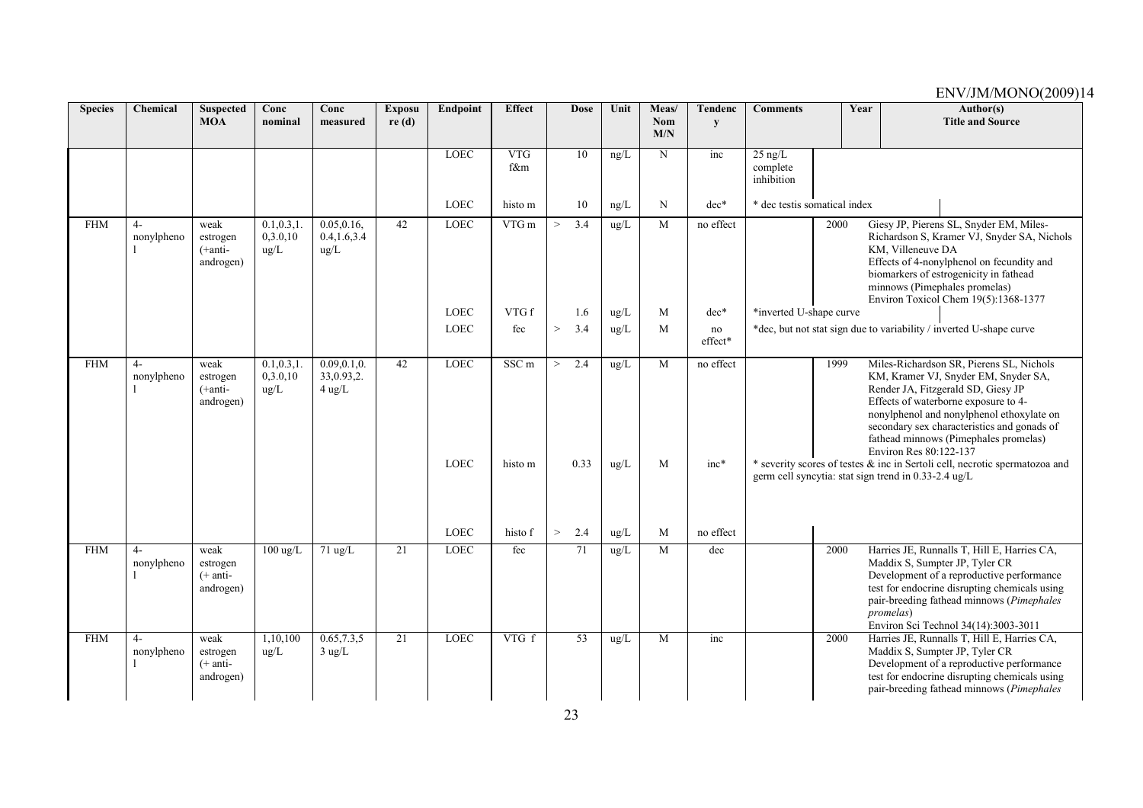| <b>Species</b> | Chemical           | <b>Suspected</b><br><b>MOA</b>              | Conc<br>nominal                 | Conc<br>measured                        | <b>Exposu</b><br>re(d) | Endpoint                   | <b>Effect</b>   | <b>Dose</b>           | Unit               | Meas/<br><b>Nom</b><br>M/N | <b>Tendenc</b><br>y | <b>Comments</b>                     | Year | Author(s)<br><b>Title and Source</b>                                                                                                                                                                                                                                                                                                                                                                                                                                 |
|----------------|--------------------|---------------------------------------------|---------------------------------|-----------------------------------------|------------------------|----------------------------|-----------------|-----------------------|--------------------|----------------------------|---------------------|-------------------------------------|------|----------------------------------------------------------------------------------------------------------------------------------------------------------------------------------------------------------------------------------------------------------------------------------------------------------------------------------------------------------------------------------------------------------------------------------------------------------------------|
|                |                    |                                             |                                 |                                         |                        | <b>LOEC</b>                | VTG<br>f&m      | $\overline{10}$       | ng/L               | $\mathbf N$                | inc                 | $25$ ng/L<br>complete<br>inhibition |      |                                                                                                                                                                                                                                                                                                                                                                                                                                                                      |
|                |                    |                                             |                                 |                                         |                        | <b>LOEC</b>                | histo m         | 10                    | ng/L               | N                          | $dec*$              | * dec testis somatical index        |      |                                                                                                                                                                                                                                                                                                                                                                                                                                                                      |
| <b>FHM</b>     | $4-$<br>nonylpheno | weak<br>estrogen<br>$(+anti-$<br>androgen)  | 0.1, 0.3, 1<br>0,3.0,10<br>ug/L | 0.05, 0.16,<br>0.4, 1.6, 3.4<br>ug/L    | 42                     | <b>LOEC</b>                | $VTG$ m         | 3.4<br>$\geq$         | ug/L               | M                          | no effect           |                                     | 2000 | Giesy JP, Pierens SL, Snyder EM, Miles-<br>Richardson S, Kramer VJ, Snyder SA, Nichols<br>KM, Villeneuve DA<br>Effects of 4-nonylphenol on fecundity and<br>biomarkers of estrogenicity in fathead<br>minnows (Pimephales promelas)<br>Environ Toxicol Chem 19(5):1368-1377                                                                                                                                                                                          |
|                |                    |                                             |                                 |                                         |                        | <b>LOEC</b>                | VTG f           | 1.6                   | ug/L               | M                          | $dec*$              | *inverted U-shape curve             |      |                                                                                                                                                                                                                                                                                                                                                                                                                                                                      |
|                |                    |                                             |                                 |                                         |                        | <b>LOEC</b>                | fec             | 3.4<br>$\geq$         | ug/L               | M                          | no<br>effect*       |                                     |      | *dec, but not stat sign due to variability / inverted U-shape curve                                                                                                                                                                                                                                                                                                                                                                                                  |
| <b>FHM</b>     | $4-$<br>nonylpheno | weak<br>estrogen<br>$(+anti-$<br>androgen)  | 0.1, 0.3, 1<br>0.3.0.10<br>ug/L | 0.09, 0.1, 0.<br>33,0.93,2.<br>$4$ ug/L | 42                     | <b>LOEC</b><br><b>LOEC</b> | SSCm<br>histo m | 2.4<br>$\geq$<br>0.33 | ug/L<br>$\rm ug/L$ | M<br>M                     | no effect<br>$inc*$ |                                     | 1999 | Miles-Richardson SR, Pierens SL, Nichols<br>KM, Kramer VJ, Snyder EM, Snyder SA,<br>Render JA, Fitzgerald SD, Giesy JP<br>Effects of waterborne exposure to 4-<br>nonylphenol and nonylphenol ethoxylate on<br>secondary sex characteristics and gonads of<br>fathead minnows (Pimephales promelas)<br>Environ Res 80:122-137<br>* severity scores of testes & inc in Sertoli cell, necrotic spermatozoa and<br>germ cell syncytia: stat sign trend in 0.33-2.4 ug/L |
|                |                    |                                             |                                 |                                         |                        | <b>LOEC</b>                | histo f         | $\geq$<br>2.4         | ug/L               | M                          | no effect           |                                     |      |                                                                                                                                                                                                                                                                                                                                                                                                                                                                      |
| <b>FHM</b>     | $4-$<br>nonylpheno | weak<br>estrogen<br>$(+$ anti-<br>androgen) | $100 \text{ ug/L}$              | $71 \text{ ug/L}$                       | 21                     | LOEC                       | fec             | 71                    | ug/L               | M                          | dec                 |                                     | 2000 | Harries JE, Runnalls T, Hill E, Harries CA,<br>Maddix S, Sumpter JP, Tyler CR<br>Development of a reproductive performance<br>test for endocrine disrupting chemicals using<br>pair-breeding fathead minnows (Pimephales<br><i>promelas</i> )<br>Environ Sci Technol 34(14):3003-3011                                                                                                                                                                                |
| <b>FHM</b>     | $4-$<br>nonylpheno | weak<br>estrogen<br>$(+$ anti-<br>androgen) | 1,10,100<br>$\mu$ g/L           | 0.65, 7.3, 5<br>$3$ ug/L                | $\overline{21}$        | <b>LOEC</b>                | $VTG$ f         | 53                    | ug/L               | M                          | inc                 |                                     | 2000 | Harries JE, Runnalls T, Hill E, Harries CA,<br>Maddix S, Sumpter JP, Tyler CR<br>Development of a reproductive performance<br>test for endocrine disrupting chemicals using<br>pair-breeding fathead minnows (Pimephales                                                                                                                                                                                                                                             |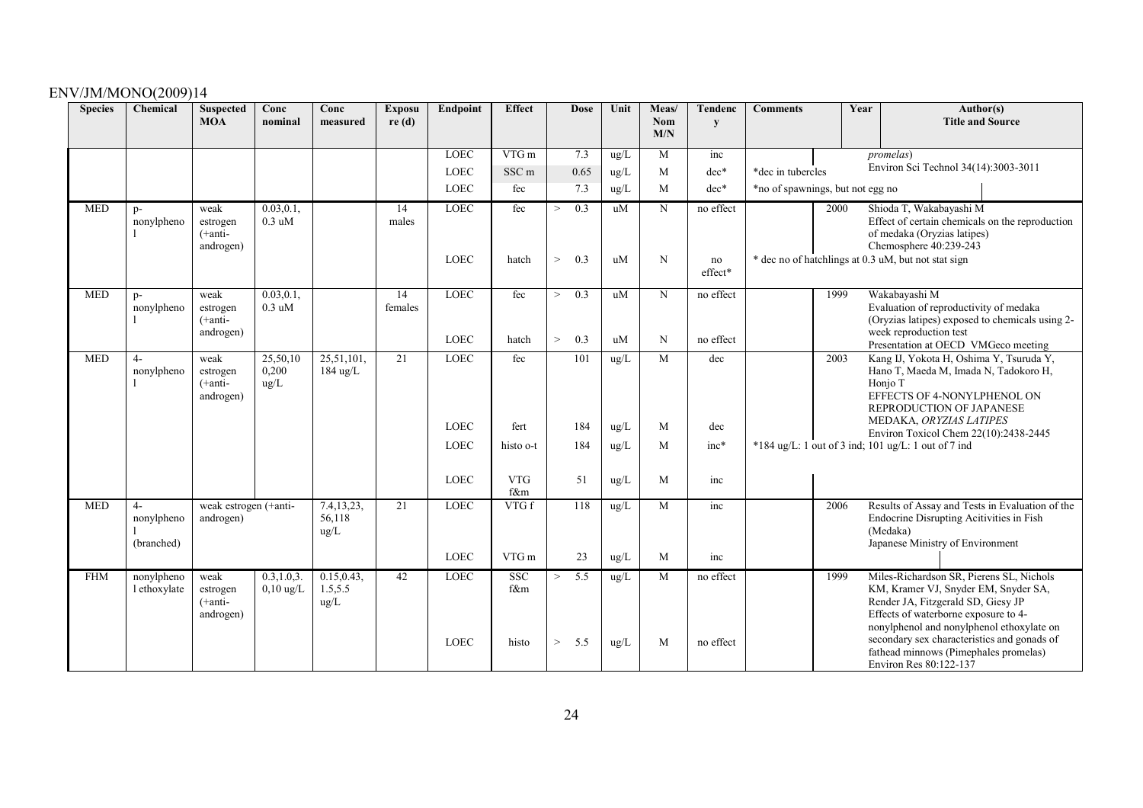| <b>Species</b> | Chemical                         | <b>Suspected</b><br><b>MOA</b>              | Conc<br>nominal                     | Conc<br>measured                | <b>Exposu</b><br>re(d) | Endpoint                   | <b>Effect</b>              | <b>Dose</b>                   | Unit                  | Meas/<br><b>Nom</b><br>M/N | Tendenc<br>y               | <b>Comments</b>                  | Author(s)<br>Year<br><b>Title and Source</b>                                                                                                                                                                                                                                                                                  |
|----------------|----------------------------------|---------------------------------------------|-------------------------------------|---------------------------------|------------------------|----------------------------|----------------------------|-------------------------------|-----------------------|----------------------------|----------------------------|----------------------------------|-------------------------------------------------------------------------------------------------------------------------------------------------------------------------------------------------------------------------------------------------------------------------------------------------------------------------------|
|                |                                  |                                             |                                     |                                 |                        | <b>LOEC</b>                | VTGm                       | 7.3                           | ug/L                  | M                          | inc                        |                                  | <i>promelas</i> )                                                                                                                                                                                                                                                                                                             |
|                |                                  |                                             |                                     |                                 |                        | <b>LOEC</b>                | SSC <sub>m</sub>           | 0.65                          | ug/L                  | M                          | $dec*$                     | *dec in tubercles                | Environ Sci Technol 34(14):3003-3011                                                                                                                                                                                                                                                                                          |
|                |                                  |                                             |                                     |                                 |                        | <b>LOEC</b>                | fec                        | 7.3                           | ug/L                  | M                          | $dec*$                     | *no of spawnings, but not egg no |                                                                                                                                                                                                                                                                                                                               |
| <b>MED</b>     | $p-$<br>nonylpheno               | weak<br>estrogen<br>$(+anti-$<br>androgen)  | 0.03, 0.1,<br>$0.3 \text{ uM}$      |                                 | 14<br>males            | LOEC<br><b>LOEC</b>        | fec<br>hatch               | 0.3<br>><br>$\geq$<br>0.3     | uM<br>uM              | N<br>N                     | no effect<br>no<br>effect* | 2000                             | Shioda T, Wakabayashi M<br>Effect of certain chemicals on the reproduction<br>of medaka (Oryzias latipes)<br>Chemosphere 40:239-243<br>* dec no of hatchlings at 0.3 uM, but not stat sign                                                                                                                                    |
| <b>MED</b>     | $p-$<br>nonylpheno               | weak<br>estrogen<br>$(+anti-$<br>androgen)  | 0.03, 0.1,<br>$0.3 \text{ uM}$      |                                 | 14<br>females          | <b>LOEC</b><br><b>LOEC</b> | fec<br>hatch               | $\geq$<br>0.3<br>0.3<br>$\,>$ | uM<br>uM              | N<br>N                     | no effect<br>no effect     | 1999                             | Wakabayashi M<br>Evaluation of reproductivity of medaka<br>(Oryzias latipes) exposed to chemicals using 2-<br>week reproduction test<br>Presentation at OECD VMGeco meeting                                                                                                                                                   |
| <b>MED</b>     | $4-$<br>nonylpheno               | weak<br>estrogen<br>$(+anti-)$<br>androgen) | 25,50,10<br>0,200<br>ug/L           | 25,51,101,<br>184 ug/L          | $\overline{21}$        | <b>LOEC</b><br><b>LOEC</b> | fec<br>fert                | 101<br>184                    | ug/L<br>ug/L          | $\overline{M}$<br>M        | dec<br>dec                 | 2003                             | Kang IJ, Yokota H, Oshima Y, Tsuruda Y,<br>Hano T, Maeda M, Imada N, Tadokoro H,<br>Honjo T<br>EFFECTS OF 4-NONYLPHENOL ON<br>REPRODUCTION OF JAPANESE<br>MEDAKA, ORYZIAS LATIPES                                                                                                                                             |
|                |                                  |                                             |                                     |                                 |                        | <b>LOEC</b><br><b>LOEC</b> | histo o-t<br><b>VTG</b>    | 184<br>51                     | ug/L<br>$\text{ug/L}$ | M<br>M                     | $inc*$<br>inc              |                                  | Environ Toxicol Chem 22(10):2438-2445<br>$*184$ ug/L: 1 out of 3 ind; 101 ug/L: 1 out of 7 ind                                                                                                                                                                                                                                |
|                |                                  |                                             |                                     |                                 |                        |                            | f&m                        |                               |                       |                            |                            |                                  |                                                                                                                                                                                                                                                                                                                               |
| <b>MED</b>     | $4-$<br>nonylpheno<br>(branched) | weak estrogen (+anti-<br>androgen)          |                                     | 7.4,13,23,<br>56,118<br>ug/L    | 21                     | <b>LOEC</b><br><b>LOEC</b> | VTG f<br>VTG m             | 118<br>23                     | ug/L<br>$\rm ug/L$    | M<br>M                     | inc<br>inc                 | 2006                             | Results of Assay and Tests in Evaluation of the<br>Endocrine Disrupting Acitivities in Fish<br>(Medaka)<br>Japanese Ministry of Environment                                                                                                                                                                                   |
| <b>FHM</b>     | nonylpheno<br>l ethoxylate       | weak<br>estrogen<br>$(+anti-$<br>androgen)  | 0.3, 1.0, 3.<br>$0,10 \text{ ug/L}$ | 0.15, 0.43,<br>1.5, 5.5<br>ug/L | 42                     | <b>LOEC</b><br><b>LOEC</b> | <b>SSC</b><br>f&m<br>histo | 5.5<br>$\geq$<br>$\,>$<br>5.5 | ug/L<br>$\text{ug/L}$ | M<br>M                     | no effect<br>no effect     | 1999                             | Miles-Richardson SR, Pierens SL, Nichols<br>KM, Kramer VJ, Snyder EM, Snyder SA,<br>Render JA, Fitzgerald SD, Giesy JP<br>Effects of waterborne exposure to 4-<br>nonylphenol and nonylphenol ethoxylate on<br>secondary sex characteristics and gonads of<br>fathead minnows (Pimephales promelas)<br>Environ Res 80:122-137 |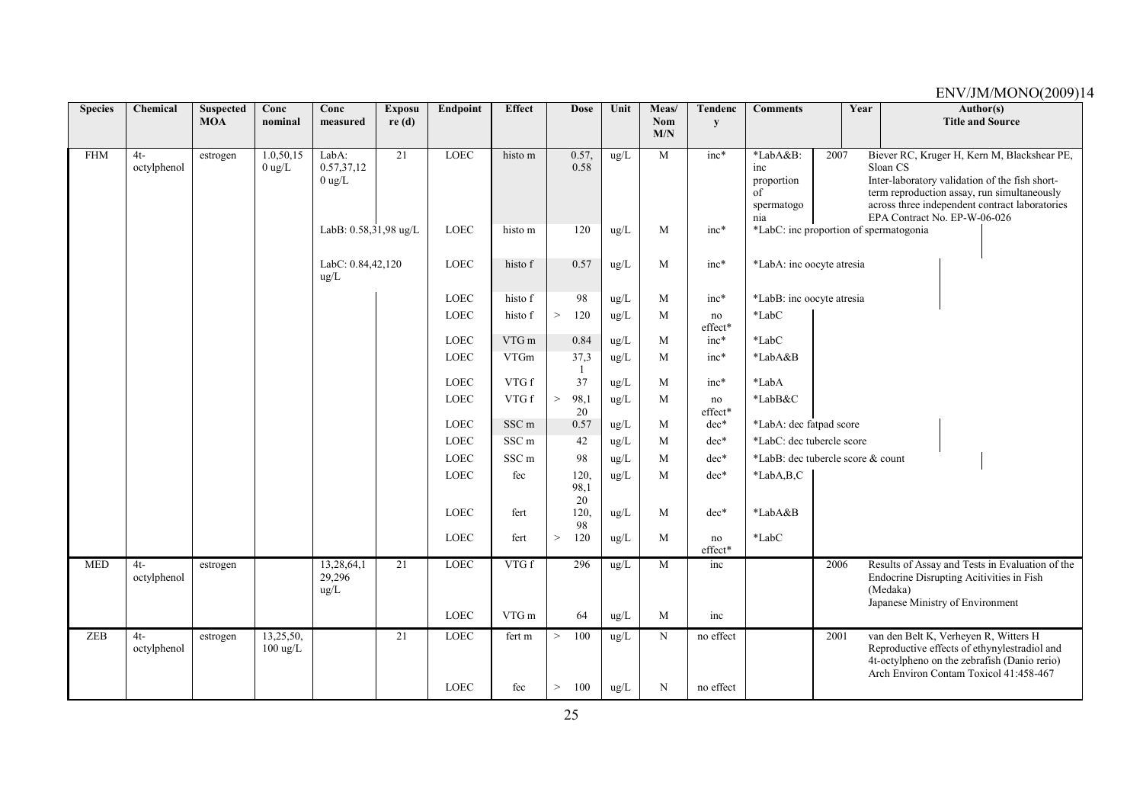| <b>Species</b> | Chemical              | <b>Suspected</b><br><b>MOA</b> | Conc<br>nominal                 | Conc<br>measured                   | <b>Exposu</b><br>re(d) | Endpoint    | <b>Effect</b>    | <b>Dose</b>         | Unit          | Meas/<br><b>Nom</b> | <b>Tendenc</b><br>${\bf y}$ | <b>Comments</b>                                   | Year |  |          | Author(s)<br><b>Title and Source</b>                                                                                                                                                           |
|----------------|-----------------------|--------------------------------|---------------------------------|------------------------------------|------------------------|-------------|------------------|---------------------|---------------|---------------------|-----------------------------|---------------------------------------------------|------|--|----------|------------------------------------------------------------------------------------------------------------------------------------------------------------------------------------------------|
|                |                       |                                |                                 |                                    |                        |             |                  |                     |               | M/N                 |                             |                                                   |      |  |          |                                                                                                                                                                                                |
| <b>FHM</b>     | $4t -$<br>octylphenol | estrogen                       | 1.0,50,15<br>$0$ ug/L           | LabA:<br>0.57,37,12<br>$0$ ug/L    | $\overline{21}$        | <b>LOEC</b> | histo m          | 0.57,<br>0.58       | ug/L          | M                   | $inc*$                      | *LabA&B:<br>inc<br>proportion<br>of<br>spermatogo | 2007 |  | Sloan CS | Biever RC, Kruger H, Kern M, Blackshear PE,<br>Inter-laboratory validation of the fish short-<br>term reproduction assay, run simultaneously<br>across three independent contract laboratories |
|                |                       |                                |                                 | LabB: 0.58,31,98 ug/L              |                        | <b>LOEC</b> | histo m          | 120                 | ug/L          | M                   | $inc*$                      | nia<br>*LabC: inc proportion of spermatogonia     |      |  |          | EPA Contract No. EP-W-06-026                                                                                                                                                                   |
|                |                       |                                |                                 | LabC: 0.84,42,120<br>$\text{ug/L}$ |                        | LOEC        | histo f          | 0.57                | ug/L          | M                   | $inc*$                      | *LabA: inc oocyte atresia                         |      |  |          |                                                                                                                                                                                                |
|                |                       |                                |                                 |                                    |                        | <b>LOEC</b> | histo f          | 98                  | $\text{ug/L}$ | M                   | $inc*$                      | *LabB: inc oocyte atresia                         |      |  |          |                                                                                                                                                                                                |
|                |                       |                                |                                 |                                    |                        | LOEC        | histo f          | 120<br>$\,>$        | ug/L          | M                   | no<br>effect*               | $*$ Lab $C$                                       |      |  |          |                                                                                                                                                                                                |
|                |                       |                                |                                 |                                    |                        | LOEC        | VTG m            | 0.84                | ug/L          | M                   | $inc*$                      | *LabC                                             |      |  |          |                                                                                                                                                                                                |
|                |                       |                                |                                 |                                    |                        | LOEC        | <b>VTGm</b>      | 37,3<br>-1          | $\text{ug/L}$ | M                   | $inc*$                      | *LabA&B                                           |      |  |          |                                                                                                                                                                                                |
|                |                       |                                |                                 |                                    |                        | <b>LOEC</b> | VTG f            | 37                  | ug/L          | M                   | $inc*$                      | *LabA                                             |      |  |          |                                                                                                                                                                                                |
|                |                       |                                |                                 |                                    |                        | LOEC        | VTG f            | 98,1<br>$\,>$<br>20 | ug/L          | M                   | no<br>effect*               | *LabB&C                                           |      |  |          |                                                                                                                                                                                                |
|                |                       |                                |                                 |                                    |                        | LOEC        | SSC m            | 0.57                | ug/L          | M                   | dec*                        | *LabA: dec fatpad score                           |      |  |          |                                                                                                                                                                                                |
|                |                       |                                |                                 |                                    |                        | LOEC        | SSC <sub>m</sub> | 42                  | ug/L          | M                   | $dec*$                      | *LabC: dec tubercle score                         |      |  |          |                                                                                                                                                                                                |
|                |                       |                                |                                 |                                    |                        | LOEC        | SSC <sub>m</sub> | 98                  | ug/L          | M                   | dec*                        | *LabB: dec tubercle score & count                 |      |  |          |                                                                                                                                                                                                |
|                |                       |                                |                                 |                                    |                        | <b>LOEC</b> | fec              | 120.<br>98,1<br>20  | ug/L          | M                   | $dec*$                      | $*LabA,B,C$                                       |      |  |          |                                                                                                                                                                                                |
|                |                       |                                |                                 |                                    |                        | <b>LOEC</b> | fert             | 120,<br>98          | $\text{ug/L}$ | M                   | dec*                        | *LabA&B                                           |      |  |          |                                                                                                                                                                                                |
|                |                       |                                |                                 |                                    |                        | LOEC        | fert             | $\, >$<br>120       | ug/L          | M                   | no<br>effect*               | *LabC                                             |      |  |          |                                                                                                                                                                                                |
| <b>MED</b>     | $4t-$<br>octylphenol  | estrogen                       |                                 | 13,28,64,1<br>29,296<br>ug/L       | 21                     | <b>LOEC</b> | VTG f            | 296                 | ug/L          | M                   | inc                         |                                                   | 2006 |  | (Medaka) | Results of Assay and Tests in Evaluation of the<br>Endocrine Disrupting Acitivities in Fish<br>Japanese Ministry of Environment                                                                |
|                |                       |                                |                                 |                                    |                        | <b>LOEC</b> | ${\rm VTG}$ m    | 64                  | ug/L          | M                   | inc                         |                                                   |      |  |          |                                                                                                                                                                                                |
| ZEB            | $4t -$<br>octylphenol | estrogen                       | 13,25,50,<br>$100 \text{ ug/L}$ |                                    | $\overline{21}$        | <b>LOEC</b> | fert m           | 100<br>$\rm{>}$     | $\text{ug/L}$ | N                   | no effect                   |                                                   | 2001 |  |          | van den Belt K, Verheyen R, Witters H<br>Reproductive effects of ethynylestradiol and<br>4t-octylpheno on the zebrafish (Danio rerio)<br>Arch Environ Contam Toxicol 41:458-467                |
|                |                       |                                |                                 |                                    |                        | <b>LOEC</b> | fec              | 100<br>>            | $\rm ug/L$    | N                   | no effect                   |                                                   |      |  |          |                                                                                                                                                                                                |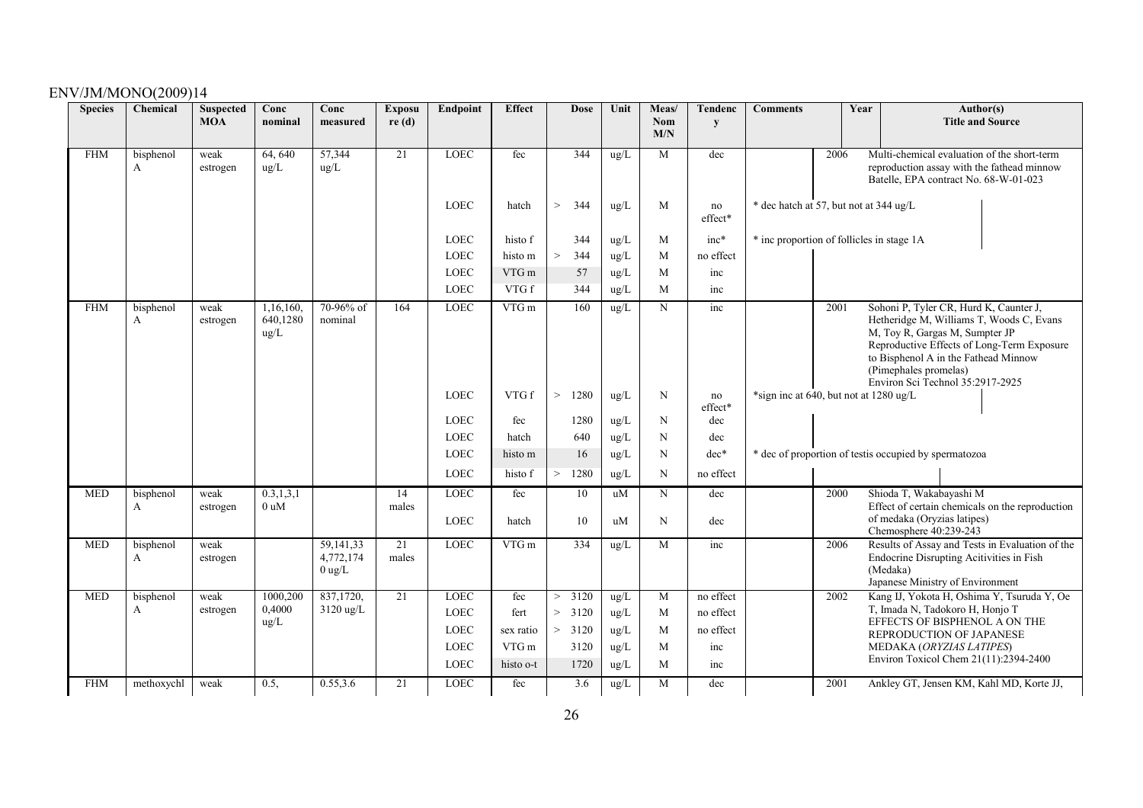| <b>Species</b> | Chemical       | <b>Suspected</b><br><b>MOA</b> | Conc<br>nominal               | Conc<br>measured                   | <b>Exposu</b><br>re(d) | Endpoint    | <b>Effect</b> | <b>Dose</b>               | Unit          | Meas/<br><b>Nom</b><br>M/N | <b>Tendenc</b><br>y | <b>Comments</b>                           | Year<br>Author(s)<br><b>Title and Source</b><br>2006<br>Multi-chemical evaluation of the short-term                                                                                                                                                                             |                                                                                                                                             |  |
|----------------|----------------|--------------------------------|-------------------------------|------------------------------------|------------------------|-------------|---------------|---------------------------|---------------|----------------------------|---------------------|-------------------------------------------|---------------------------------------------------------------------------------------------------------------------------------------------------------------------------------------------------------------------------------------------------------------------------------|---------------------------------------------------------------------------------------------------------------------------------------------|--|
| <b>FHM</b>     | bisphenol<br>A | weak<br>estrogen               | 64, 640<br>ug/L               | 57,344<br>ug/L                     | $\overline{21}$        | <b>LOEC</b> | fec           | 344                       | ug/L          | M                          | dec                 |                                           |                                                                                                                                                                                                                                                                                 | reproduction assay with the fathead minnow<br>Batelle, EPA contract No. 68-W-01-023                                                         |  |
|                |                |                                |                               |                                    |                        | <b>LOEC</b> | hatch         | $\,>$<br>344              | ug/L          | M                          | no<br>effect*       | * dec hatch at 57, but not at 344 ug/L    |                                                                                                                                                                                                                                                                                 |                                                                                                                                             |  |
|                |                |                                |                               |                                    |                        | LOEC        | histo f       | 344                       | ug/L          | M                          | $inc*$              | * inc proportion of follicles in stage 1A |                                                                                                                                                                                                                                                                                 |                                                                                                                                             |  |
|                |                |                                |                               |                                    |                        | <b>LOEC</b> | histo m       | $\,>$<br>344              | $\rm ug/L$    | M                          | no effect           |                                           |                                                                                                                                                                                                                                                                                 |                                                                                                                                             |  |
|                |                |                                |                               |                                    |                        | LOEC        | VTG m         | 57                        | ug/L          | M                          | inc                 |                                           |                                                                                                                                                                                                                                                                                 |                                                                                                                                             |  |
|                |                |                                |                               |                                    |                        | <b>LOEC</b> | VTG f         | 344                       | ug/L          | M                          | inc                 |                                           |                                                                                                                                                                                                                                                                                 |                                                                                                                                             |  |
| <b>FHM</b>     | bisphenol<br>A | weak<br>estrogen               | 1,16,160,<br>640,1280<br>ug/L | 70-96% of<br>nominal               | 164                    | <b>LOEC</b> | VTG m         | 160                       | ug/L          | N                          | inc                 |                                           | Sohoni P, Tyler CR, Hurd K, Caunter J,<br>2001<br>Hetheridge M, Williams T, Woods C, Evans<br>M, Toy R, Gargas M, Sumpter JP<br>Reproductive Effects of Long-Term Exposure<br>to Bisphenol A in the Fathead Minnow<br>(Pimephales promelas)<br>Environ Sci Technol 35:2917-2925 |                                                                                                                                             |  |
|                |                |                                |                               |                                    |                        | LOEC        | VTG f         | 1280<br>>                 | ug/L          | N                          | no<br>effect*       |                                           | *sign inc at 640, but not at 1280 ug/L                                                                                                                                                                                                                                          |                                                                                                                                             |  |
|                |                |                                |                               |                                    |                        | <b>LOEC</b> | fec           | 1280                      | ug/L          | N                          | dec                 |                                           |                                                                                                                                                                                                                                                                                 |                                                                                                                                             |  |
|                |                |                                |                               |                                    |                        | <b>LOEC</b> | hatch         | 640                       | ug/L          | N                          | dec                 |                                           |                                                                                                                                                                                                                                                                                 |                                                                                                                                             |  |
|                |                |                                |                               |                                    |                        | <b>LOEC</b> | histo m       | 16                        | ug/L          | N                          | $dec*$              |                                           |                                                                                                                                                                                                                                                                                 | * dec of proportion of test is occupied by spermatozoa                                                                                      |  |
|                |                |                                |                               |                                    |                        | <b>LOEC</b> | histo f       | 1280<br>>                 | ug/L          | N                          | no effect           |                                           |                                                                                                                                                                                                                                                                                 |                                                                                                                                             |  |
| <b>MED</b>     | bisphenol      | weak                           | 0.3, 1, 3, 1                  |                                    | 14                     | <b>LOEC</b> | fec           | 10                        | uM            | N                          | dec                 |                                           | 2000                                                                                                                                                                                                                                                                            | Shioda T, Wakabayashi M                                                                                                                     |  |
|                | A              | estrogen                       | 0 uM                          |                                    | males                  | <b>LOEC</b> | hatch         | 10                        | uM            | N                          | dec                 |                                           |                                                                                                                                                                                                                                                                                 | Effect of certain chemicals on the reproduction<br>of medaka (Oryzias latipes)<br>Chemosphere 40:239-243                                    |  |
| <b>MED</b>     | bisphenol<br>A | weak<br>estrogen               |                               | 59,141,33<br>4,772,174<br>$0$ ug/L | 21<br>males            | <b>LOEC</b> | $VTG$ m       | 334                       | ug/L          | M                          | inc                 |                                           | 2006                                                                                                                                                                                                                                                                            | Results of Assay and Tests in Evaluation of the<br>Endocrine Disrupting Acitivities in Fish<br>(Medaka)<br>Japanese Ministry of Environment |  |
| <b>MED</b>     | bisphenol      | weak                           | 1000,200                      | 837,1720,                          | 21                     | <b>LOEC</b> | fec           | 3120<br>$\qquad \qquad >$ | ug/L          | M                          | no effect           |                                           | 2002                                                                                                                                                                                                                                                                            | Kang IJ, Yokota H, Oshima Y, Tsuruda Y, Oe                                                                                                  |  |
|                | A              | estrogen                       | 0,4000<br>ug/L                | 3120 ug/L                          |                        | LOEC        | fert          | 3120<br>>                 | ug/L          | M                          | no effect           |                                           |                                                                                                                                                                                                                                                                                 | T, Imada N, Tadokoro H, Honjo T<br>EFFECTS OF BISPHENOL A ON THE                                                                            |  |
|                |                |                                |                               |                                    |                        | <b>LOEC</b> | sex ratio     | > 3120                    | ug/L          | M                          | no effect           |                                           |                                                                                                                                                                                                                                                                                 | REPRODUCTION OF JAPANESE                                                                                                                    |  |
|                |                |                                |                               |                                    |                        | <b>LOEC</b> | VTG m         | 3120                      | ug/L          | M                          | inc                 |                                           |                                                                                                                                                                                                                                                                                 | MEDAKA (ORYZIAS LATIPES)<br>Environ Toxicol Chem 21(11):2394-2400                                                                           |  |
|                |                |                                |                               |                                    |                        | <b>LOEC</b> | histo o-t     | 1720                      | ug/L          | M                          | inc                 |                                           |                                                                                                                                                                                                                                                                                 |                                                                                                                                             |  |
| <b>FHM</b>     | methoxychl     | weak                           | 0.5,                          | 0.55, 3.6                          | 21                     | <b>LOEC</b> | fec           | 3.6                       | $\text{ug/L}$ | M                          | dec                 |                                           | 2001                                                                                                                                                                                                                                                                            | Ankley GT, Jensen KM, Kahl MD, Korte JJ,                                                                                                    |  |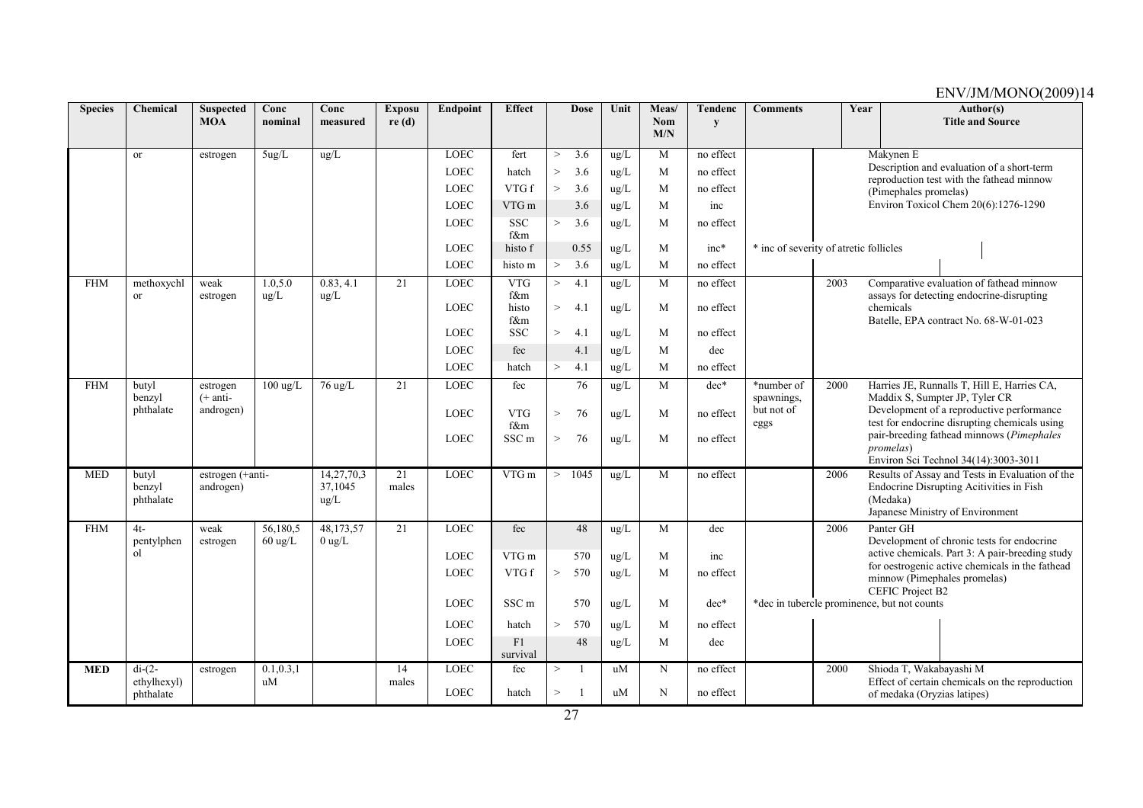| <b>Species</b> | Chemical                     | <b>Suspected</b>       | Conc                          | Conc            | <b>Exposu</b>   | Endpoint    | <b>Effect</b>       |        | <b>Dose</b>     | Unit          | Meas/             | Tendenc   | <b>Comments</b>                        |      | Year | Author(s)                                                                                       |
|----------------|------------------------------|------------------------|-------------------------------|-----------------|-----------------|-------------|---------------------|--------|-----------------|---------------|-------------------|-----------|----------------------------------------|------|------|-------------------------------------------------------------------------------------------------|
|                |                              | <b>MOA</b>             | nominal                       | measured        | re(d)           |             |                     |        |                 |               | <b>Nom</b><br>M/N | y         |                                        |      |      | <b>Title and Source</b>                                                                         |
|                | <sub>or</sub>                | estrogen               | 5ug/L                         | $\text{ug/L}$   |                 | <b>LOEC</b> | fert                | $\geq$ | 3.6             | ug/L          | M                 | no effect |                                        |      |      | Makynen E                                                                                       |
|                |                              |                        |                               |                 |                 | <b>LOEC</b> | hatch               | $\geq$ | 3.6             | ug/L          | M                 | no effect |                                        |      |      | Description and evaluation of a short-term<br>reproduction test with the fathead minnow         |
|                |                              |                        |                               |                 |                 | <b>LOEC</b> | VTG f               | $\geq$ | 3.6             | ug/L          | M                 | no effect |                                        |      |      | (Pimephales promelas)                                                                           |
|                |                              |                        |                               |                 |                 | <b>LOEC</b> | VTG m               |        | 3.6             | ug/L          | M                 | inc       |                                        |      |      | Environ Toxicol Chem 20(6):1276-1290                                                            |
|                |                              |                        |                               |                 |                 | <b>LOEC</b> | <b>SSC</b><br>f&m   | $\geq$ | 3.6             | ug/L          | M                 | no effect |                                        |      |      |                                                                                                 |
|                |                              |                        |                               |                 |                 | <b>LOEC</b> | histo f             |        | 0.55            | $\rm ug/L$    | M                 | $inc*$    | * inc of severity of atretic follicles |      |      |                                                                                                 |
|                |                              |                        |                               |                 |                 | <b>LOEC</b> | histo m             | $\geq$ | 3.6             | ug/L          | M                 | no effect |                                        |      |      |                                                                                                 |
| <b>FHM</b>     | methoxychl                   | weak                   | 1.0, 5.0                      | 0.83, 4.1       | 21              | LOEC        | <b>VTG</b>          | $\geq$ | 4.1             | ug/L          | M                 | no effect |                                        | 2003 |      | Comparative evaluation of fathead minnow                                                        |
|                | or                           | estrogen               | $\text{ug/L}$                 | ug/L            |                 | <b>LOEC</b> | f&m<br>histo<br>f&m | $\geq$ | 4.1             | ug/L          | M                 | no effect |                                        |      |      | assays for detecting endocrine-disrupting<br>chemicals<br>Batelle, EPA contract No. 68-W-01-023 |
|                |                              |                        |                               |                 |                 | <b>LOEC</b> | <b>SSC</b>          | $\,>$  | 4.1             | ug/L          | M                 | no effect |                                        |      |      |                                                                                                 |
|                |                              |                        |                               |                 |                 | <b>LOEC</b> | fec                 |        | 4.1             | ug/L          | M                 | dec       |                                        |      |      |                                                                                                 |
|                |                              |                        |                               |                 |                 | <b>LOEC</b> | hatch               | >      | 4.1             | ug/L          | M                 | no effect |                                        |      |      |                                                                                                 |
| <b>FHM</b>     | butyl<br>benzyl              | estrogen<br>$(+$ anti- | $100 \text{ ug/L}$            | 76 ug/L         | 21              | <b>LOEC</b> | fec                 |        | $\overline{76}$ | ug/L          | M                 | $dec*$    | *number of                             | 2000 |      | Harries JE, Runnalls T, Hill E, Harries CA,<br>Maddix S, Sumpter JP, Tyler CR                   |
|                | phthalate                    | androgen)              |                               |                 |                 | <b>LOEC</b> | <b>VTG</b><br>f&m   | $\geq$ | 76              | ug/L          | M                 | no effect | spawnings,<br>but not of<br>eggs       |      |      | Development of a reproductive performance<br>test for endocrine disrupting chemicals using      |
|                |                              |                        |                               |                 |                 | <b>LOEC</b> | SSC <sub>m</sub>    | $\geq$ | 76              | $\text{ug/L}$ | M                 | no effect |                                        |      |      | pair-breeding fathead minnows (Pimephales<br><i>promelas</i> )                                  |
|                |                              |                        |                               |                 |                 |             |                     |        |                 |               |                   |           |                                        |      |      | Environ Sci Technol 34(14):3003-3011                                                            |
| <b>MED</b>     | butyl                        | estrogen (+anti-       |                               | 14,27,70,3      | 21              | <b>LOEC</b> | $VTG$ m             | $\geq$ | 1045            | ug/L          | M                 | no effect |                                        | 2006 |      | Results of Assay and Tests in Evaluation of the                                                 |
|                | benzyl<br>phthalate          | androgen)              |                               | 37,1045<br>ug/L | males           |             |                     |        |                 |               |                   |           |                                        |      |      | Endocrine Disrupting Acitivities in Fish<br>(Medaka)                                            |
|                |                              |                        |                               |                 |                 |             |                     |        |                 |               |                   |           |                                        |      |      | Japanese Ministry of Environment                                                                |
| <b>FHM</b>     | $4t -$                       | weak                   | 56,180,5<br>$60 \text{ ug/L}$ | 48,173,57       | $\overline{21}$ | <b>LOEC</b> | fec                 |        | 48              | ug/L          | M                 | dec       |                                        | 2006 |      | Panter GH<br>Development of chronic tests for endocrine                                         |
|                | pentylphen<br><sub>o</sub> l | estrogen               |                               | $0$ ug/L        |                 | <b>LOEC</b> | VTG m               |        | 570             | ug/L          | M                 | inc       |                                        |      |      | active chemicals. Part 3: A pair-breeding study                                                 |
|                |                              |                        |                               |                 |                 | <b>LOEC</b> | VTG f               | $\geq$ | 570             | ug/L          | M                 | no effect |                                        |      |      | for oestrogenic active chemicals in the fathead                                                 |
|                |                              |                        |                               |                 |                 |             |                     |        |                 |               |                   |           |                                        |      |      | minnow (Pimephales promelas)<br><b>CEFIC Project B2</b>                                         |
|                |                              |                        |                               |                 |                 | <b>LOEC</b> | SSC <sub>m</sub>    |        | 570             | ug/L          | M                 | $dec*$    |                                        |      |      | *dec in tubercle prominence, but not counts                                                     |
|                |                              |                        |                               |                 |                 | <b>LOEC</b> | hatch               | $\geq$ | 570             | ug/L          | M                 | no effect |                                        |      |      |                                                                                                 |
|                |                              |                        |                               |                 |                 | <b>LOEC</b> | F1<br>survival      |        | 48              | ug/L          | M                 | dec       |                                        |      |      |                                                                                                 |
| <b>MED</b>     | $di-(2-$                     | estrogen               | 0.1, 0.3, 1                   |                 | 14              | <b>LOEC</b> | fec                 | $\geq$ | $\overline{1}$  | uM            | N                 | no effect |                                        | 2000 |      | Shioda T, Wakabayashi M                                                                         |
|                | ethylhexyl)<br>phthalate     |                        | uM                            |                 | males           | LOEC        | hatch               | >      | $\overline{1}$  | uM            | $\mathbf N$       | no effect |                                        |      |      | Effect of certain chemicals on the reproduction<br>of medaka (Oryzias latipes)                  |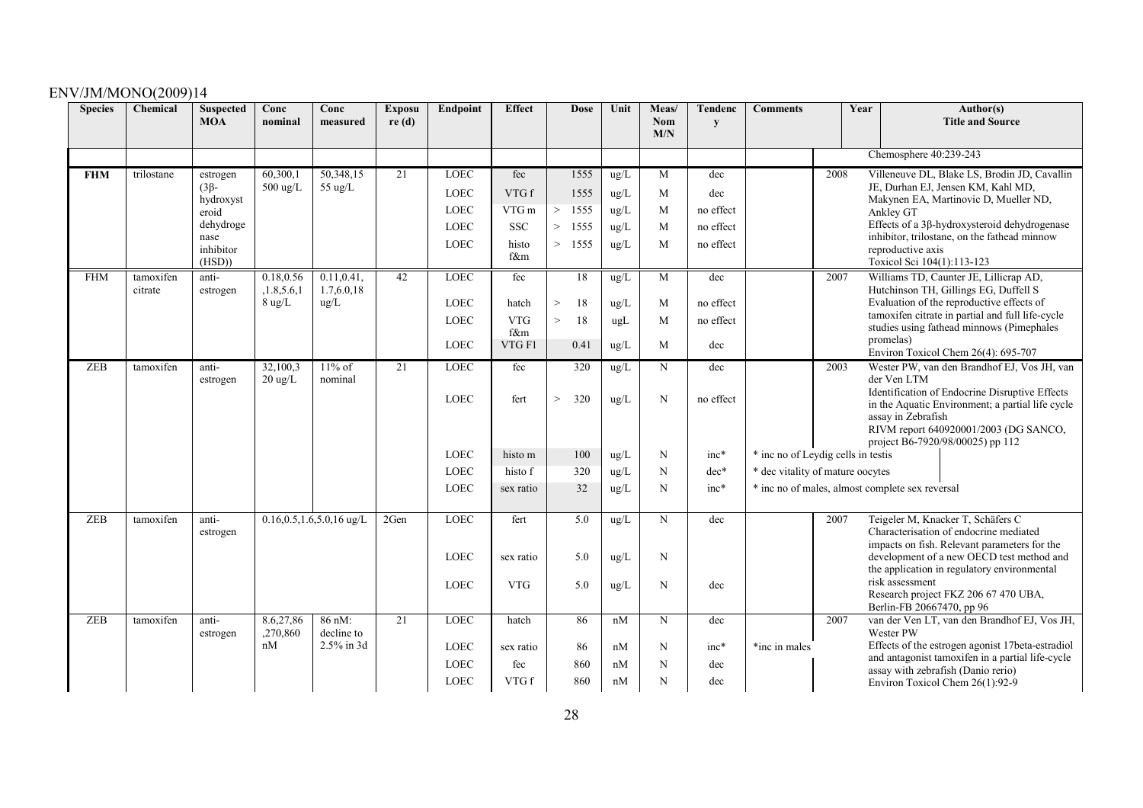| <b>Species</b> | Chemical   | <b>Suspected</b><br><b>MOA</b> | Conc<br>nominal                | Conc<br>measured               | <b>Exposu</b><br>re(d) | Endpoint    | <b>Effect</b> | <b>Dose</b>   | Unit          | Meas/<br>Nom | <b>Tendenc</b><br>${\bf y}$ | <b>Comments</b>                                 |      | Year |                            | Author(s)<br><b>Title and Source</b>                                                      |
|----------------|------------|--------------------------------|--------------------------------|--------------------------------|------------------------|-------------|---------------|---------------|---------------|--------------|-----------------------------|-------------------------------------------------|------|------|----------------------------|-------------------------------------------------------------------------------------------|
|                |            |                                |                                |                                |                        |             |               |               |               | M/N          |                             |                                                 |      |      |                            |                                                                                           |
|                |            |                                |                                |                                |                        |             |               |               |               |              |                             |                                                 |      |      | Chemosphere 40:239-243     |                                                                                           |
| <b>FHM</b>     | trilostane | estrogen                       | 60,300,1                       | 50,348,15                      | 21                     | <b>LOEC</b> | fec           | 1555          | ug/L          | M            | dec                         |                                                 | 2008 |      |                            | Villeneuve DL, Blake LS, Brodin JD, Cavallin                                              |
|                |            | $(3\beta -$<br>hydroxyst       | $500 \text{ ug/L}$             | 55 ug/L                        |                        | <b>LOEC</b> | VTG f         | 1555          | ug/L          | M            | dec                         |                                                 |      |      |                            | JE, Durhan EJ, Jensen KM, Kahl MD,<br>Makynen EA, Martinovic D, Mueller ND,               |
|                |            | eroid                          |                                |                                |                        | $\rm LOEC$  | VTG m         | 1555<br>$\,>$ | ug/L          | M            | no effect                   |                                                 |      |      | Ankley GT                  |                                                                                           |
|                |            | dehydroge                      |                                |                                |                        | $\rm LOEC$  | ${\rm SSC}$   | 1555<br>>     | ug/L          | M            | no effect                   |                                                 |      |      |                            | Effects of a 3ß-hydroxysteroid dehydrogenase                                              |
|                |            | nase<br>inhibitor              |                                |                                |                        | <b>LOEC</b> | histo         | 1555<br>>     | ug/L          | M            | no effect                   |                                                 |      |      | reproductive axis          | inhibitor, trilostane, on the fathead minnow                                              |
|                |            | (HSD)                          |                                |                                |                        |             | f&m           |               |               |              |                             |                                                 |      |      | Toxicol Sci 104(1):113-123 |                                                                                           |
| <b>FHM</b>     | tamoxifen  | anti-                          | 0.18,0.56                      | 0.11, 0.41,                    | 42                     | <b>LOEC</b> | fec           | 18            | ug/L          | M            | dec                         |                                                 | 2007 |      |                            | Williams TD, Caunter JE, Lillicrap AD,                                                    |
|                | citrate    | estrogen                       | ,1.8,5.6,1<br>$8 \text{ ug/L}$ | 1.7,6.0,18<br>ug/L             |                        | <b>LOEC</b> | hatch         | 18<br>$\,>$   | ug/L          | M            | no effect                   |                                                 |      |      |                            | Hutchinson TH, Gillings EG, Duffell S<br>Evaluation of the reproductive effects of        |
|                |            |                                |                                |                                |                        |             | <b>VTG</b>    |               |               |              |                             |                                                 |      |      |                            | tamoxifen citrate in partial and full life-cycle                                          |
|                |            |                                |                                |                                |                        | <b>LOEC</b> | f&m           | $\,>$<br>18   | ugl           | M            | no effect                   |                                                 |      |      |                            | studies using fathead minnows (Pimephales                                                 |
|                |            |                                |                                |                                |                        | LOEC        | VTG F1        | 0.41          | ug/L          | M            | dec                         |                                                 |      |      | promelas)                  |                                                                                           |
| <b>ZEB</b>     | tamoxifen  | anti-                          | 32,100,3                       | $11\%$ of                      | 21                     | <b>LOEC</b> | fec           | 320           | ug/L          | N            | dec                         |                                                 | 2003 |      |                            | Environ Toxicol Chem 26(4): 695-707<br>Wester PW, van den Brandhof EJ, Vos JH, van        |
|                |            | estrogen                       | $20 \text{ ug/L}$              | nominal                        |                        |             |               |               |               |              |                             |                                                 |      |      | der Ven LTM                |                                                                                           |
|                |            |                                |                                |                                |                        | <b>LOEC</b> | fert          | 320<br>$\,>$  | $\text{ug/L}$ | N            | no effect                   |                                                 |      |      |                            | Identification of Endocrine Disruptive Effects                                            |
|                |            |                                |                                |                                |                        |             |               |               |               |              |                             |                                                 |      |      | assay in Zebrafish         | in the Aquatic Environment; a partial life cycle                                          |
|                |            |                                |                                |                                |                        |             |               |               |               |              |                             |                                                 |      |      |                            | RIVM report 640920001/2003 (DG SANCO,                                                     |
|                |            |                                |                                |                                |                        |             |               |               |               |              |                             |                                                 |      |      |                            | project B6-7920/98/00025) pp 112                                                          |
|                |            |                                |                                |                                |                        | LOEC        | histo m       | 100           | ug/L          | N            | $inc*$                      | * inc no of Leydig cells in testis              |      |      |                            |                                                                                           |
|                |            |                                |                                |                                |                        | <b>LOEC</b> | histo f       | 320           | ug/L          | $\mathbf N$  | $dec*$                      | * dec vitality of mature oocytes                |      |      |                            |                                                                                           |
|                |            |                                |                                |                                |                        | LOEC        | sex ratio     | 32            | ug/L          | $\mathbf N$  | $inc*$                      | * inc no of males, almost complete sex reversal |      |      |                            |                                                                                           |
| <b>ZEB</b>     | tamoxifen  | anti-                          |                                | $0.16, 0.5, 1.6, 5.0, 16$ ug/L | 2Gen                   | $\rm LOEC$  | fert          | 5.0           | ug/L          | N            | dec                         |                                                 | 2007 |      |                            | Teigeler M, Knacker T, Schäfers C                                                         |
|                |            | estrogen                       |                                |                                |                        |             |               |               |               |              |                             |                                                 |      |      |                            | Characterisation of endocrine mediated                                                    |
|                |            |                                |                                |                                |                        | <b>LOEC</b> | sex ratio     | 5.0           | $\text{ug/L}$ | N            |                             |                                                 |      |      |                            | impacts on fish. Relevant parameters for the<br>development of a new OECD test method and |
|                |            |                                |                                |                                |                        |             |               |               |               |              |                             |                                                 |      |      |                            | the application in regulatory environmental                                               |
|                |            |                                |                                |                                |                        | <b>LOEC</b> | <b>VTG</b>    | 5.0           | ug/L          | N            | dec                         |                                                 |      |      | risk assessment            |                                                                                           |
|                |            |                                |                                |                                |                        |             |               |               |               |              |                             |                                                 |      |      | Berlin-FB 20667470, pp 96  | Research project FKZ 206 67 470 UBA,                                                      |
| <b>ZEB</b>     | tamoxifen  | anti-<br>estrogen              | 8.6,27,86<br>,270,860          | 86 nM:<br>decline to           | 21                     | <b>LOEC</b> | hatch         | 86            | nM            | N            | dec                         |                                                 | 2007 |      | Wester PW                  | van der Ven LT, van den Brandhof EJ, Vos JH,                                              |
|                |            |                                | nM                             | 2.5% in 3d                     |                        | <b>LOEC</b> | sex ratio     | 86            | nM            | N            | $inc*$                      | *inc in males                                   |      |      |                            | Effects of the estrogen agonist 17beta-estradiol                                          |
|                |            |                                |                                |                                |                        | <b>LOEC</b> | fec           | 860           | nM            | $\mathbf N$  | dec                         |                                                 |      |      |                            | and antagonist tamoxifen in a partial life-cycle                                          |
|                |            |                                |                                |                                |                        | <b>LOEC</b> | VTG f         | 860           | nM            | N            | dec                         |                                                 |      |      |                            | assay with zebrafish (Danio rerio)<br>Environ Toxicol Chem 26(1):92-9                     |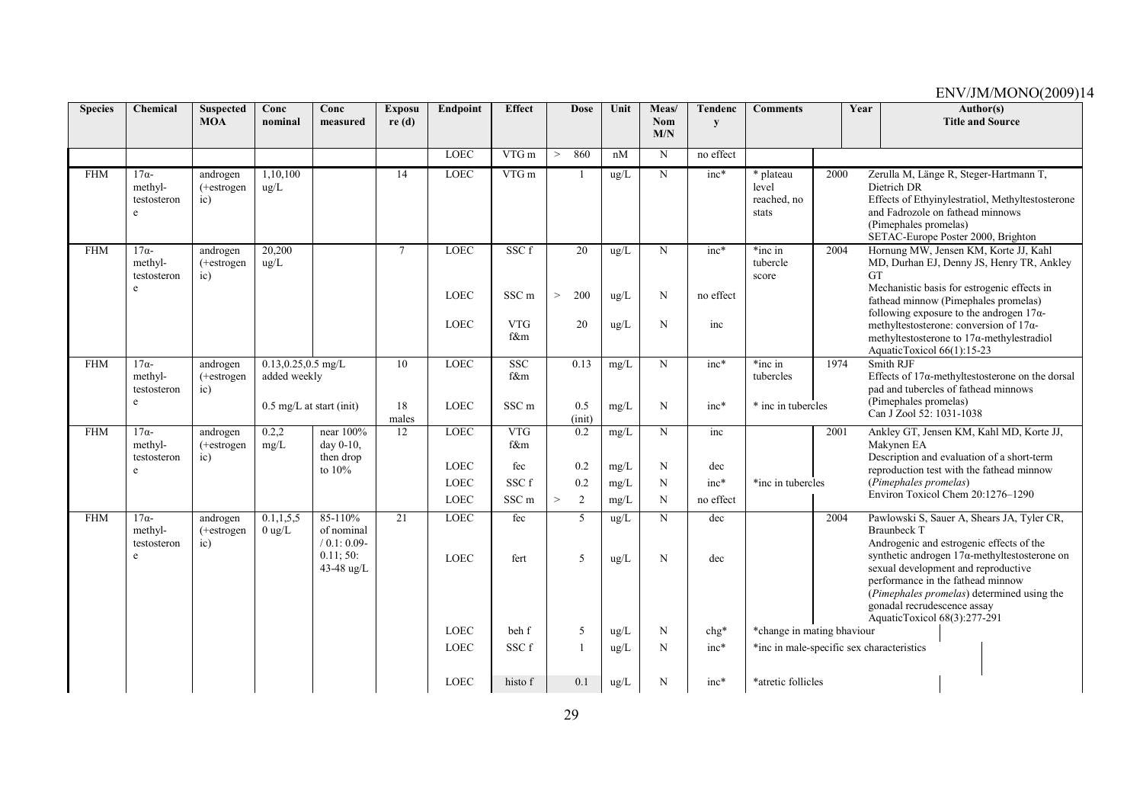| <b>Species</b> | Chemical                                    | <b>Suspected</b><br><b>MOA</b>         | Conc<br>nominal                        | Conc<br>measured                                                       | <b>Exposu</b><br>re(d) | Endpoint                   | <b>Effect</b>                         | <b>Dose</b>         | Unit                           | Meas/<br><b>Nom</b><br>M/N | Tendenc<br>$\mathbf{v}$ | <b>Comments</b>                            |      | Year                                                                              | Author(s)<br><b>Title and Source</b>                                                                                                                                                                                                                                     |
|----------------|---------------------------------------------|----------------------------------------|----------------------------------------|------------------------------------------------------------------------|------------------------|----------------------------|---------------------------------------|---------------------|--------------------------------|----------------------------|-------------------------|--------------------------------------------|------|-----------------------------------------------------------------------------------|--------------------------------------------------------------------------------------------------------------------------------------------------------------------------------------------------------------------------------------------------------------------------|
|                |                                             |                                        |                                        |                                                                        |                        | <b>LOEC</b>                | VTG m                                 | 860<br>$\geq$       | nM                             | N                          | no effect               |                                            |      |                                                                                   |                                                                                                                                                                                                                                                                          |
| <b>FHM</b>     | $17\alpha$ -<br>methyl-<br>testosteron<br>e | androgen<br>$(+estrogen)$<br>$\rm ic)$ | 1,10,100<br>ug/L                       |                                                                        | $\overline{14}$        | <b>LOEC</b>                | $VTG$ m                               |                     | ug/L                           | N                          | $inc*$                  | * plateau<br>level<br>reached, no<br>stats | 2000 | Dietrich DR<br>(Pimephales promelas)                                              | Zerulla M, Länge R, Steger-Hartmann T,<br>Effects of Ethyinylestratiol, Methyltestosterone<br>and Fadrozole on fathead minnows<br>SETAC-Europe Poster 2000, Brighton                                                                                                     |
| <b>FHM</b>     | $17\alpha-$<br>methyl-<br>testosteron       | androgen<br>(+estrogen<br>$\rm ic)$    | 20,200<br>ug/L                         |                                                                        | $\overline{7}$         | LOEC                       | SSC f                                 | 20                  | ug/L                           | N                          | inc*                    | *inc in<br>tubercle<br>score               | 2004 | <b>GT</b>                                                                         | Hornung MW, Jensen KM, Korte JJ, Kahl<br>MD, Durhan EJ, Denny JS, Henry TR, Ankley<br>Mechanistic basis for estrogenic effects in                                                                                                                                        |
|                | e                                           |                                        |                                        |                                                                        |                        | <b>LOEC</b><br><b>LOEC</b> | SSC <sub>m</sub><br><b>VTG</b><br>f&m | 200<br>$\geq$<br>20 | $\text{ug/L}$<br>$\text{ug/L}$ | N<br>N                     | no effect<br>inc        |                                            |      | AquaticToxicol 66(1):15-23                                                        | fathead minnow (Pimephales promelas)<br>following exposure to the androgen $17\alpha$ -<br>methyltestosterone: conversion of $17\alpha$ -<br>methyltestosterone to $17\alpha$ -methylestradiol                                                                           |
| <b>FHM</b>     | $17\alpha$ -<br>methyl-<br>testosteron<br>e | androgen<br>$(+estrogen)$<br>ic)       | $0.13, 0.25, 0.5$ mg/L<br>added weekly |                                                                        | 10                     | <b>LOEC</b>                | <b>SSC</b><br>f&m                     | 0.13                | mg/L                           | N                          | $inc*$                  | *inc in<br>tubercles                       | 1974 | Smith RJF<br>(Pimephales promelas)                                                | Effects of $17\alpha$ -methyltestosterone on the dorsal<br>pad and tubercles of fathead minnows                                                                                                                                                                          |
|                |                                             |                                        |                                        | $0.5 \text{ mg/L}$ at start (init)                                     | 18<br>males            | <b>LOEC</b>                | SSC <sub>m</sub>                      | 0.5<br>$(i$ nit)    | mg/L                           | N                          | $inc*$                  | * inc in tubercles                         |      | Can J Zool 52: 1031-1038                                                          |                                                                                                                                                                                                                                                                          |
| <b>FHM</b>     | $17\alpha$ -<br>methyl-<br>testosteron      | androgen<br>$(+estrogen)$<br>ic)       | 0.2,2<br>mg/L                          | near 100%<br>day 0-10.<br>then drop                                    | 12                     | <b>LOEC</b>                | <b>VTG</b><br>f&m                     | 0.2                 | mg/L                           | N                          | inc                     |                                            | 2001 | Makynen EA                                                                        | Ankley GT, Jensen KM, Kahl MD, Korte JJ,<br>Description and evaluation of a short-term                                                                                                                                                                                   |
|                | e                                           |                                        |                                        | to 10%                                                                 |                        | <b>LOEC</b>                | fec                                   | 0.2                 | mg/L                           | N                          | dec                     |                                            |      |                                                                                   | reproduction test with the fathead minnow                                                                                                                                                                                                                                |
|                |                                             |                                        |                                        |                                                                        |                        | <b>LOEC</b><br><b>LOEC</b> | SSC f<br>SSC <sub>m</sub>             | 0.2<br>2<br>$\geq$  | mg/L<br>mg/L                   | N<br>N                     | $inc*$<br>no effect     | *inc in tubercles                          |      | (Pimephales promelas)                                                             | Environ Toxicol Chem 20:1276-1290                                                                                                                                                                                                                                        |
| <b>FHM</b>     | $17\alpha$ -<br>methyl-<br>testosteron<br>e | androgen<br>(+estrogen<br>ic)          | 0.1, 1, 5, 5<br>$0 \text{ ug/L}$       | $85 - 110%$<br>of nominal<br>$/ 0.1: 0.09-$<br>0.11; 50:<br>43-48 ug/L | 21                     | <b>LOEC</b><br><b>LOEC</b> | fec<br>fert                           | 5<br>5              | ug/L<br>$\text{ug/L}$          | N<br>N                     | dec<br>dec              |                                            | 2004 | <b>Braunbeck T</b><br>gonadal recrudescence assay<br>AquaticToxicol 68(3):277-291 | Pawlowski S, Sauer A, Shears JA, Tyler CR,<br>Androgenic and estrogenic effects of the<br>synthetic androgen $17\alpha$ -methyltestosterone on<br>sexual development and reproductive<br>performance in the fathead minnow<br>(Pimephales promelas) determined using the |
|                |                                             |                                        |                                        |                                                                        |                        | <b>LOEC</b>                | beh f                                 | 5                   | ug/L                           | N                          | $chg*$                  | *change in mating bhaviour                 |      |                                                                                   |                                                                                                                                                                                                                                                                          |
|                |                                             |                                        |                                        |                                                                        |                        | <b>LOEC</b>                | SSC f                                 |                     | $\rm ug/L$                     | N                          | $inc*$                  |                                            |      | *inc in male-specific sex characteristics                                         |                                                                                                                                                                                                                                                                          |
|                |                                             |                                        |                                        |                                                                        |                        | <b>LOEC</b>                | histo f                               | 0.1                 | ug/L                           | N                          | $inc*$                  | *atretic follicles                         |      |                                                                                   |                                                                                                                                                                                                                                                                          |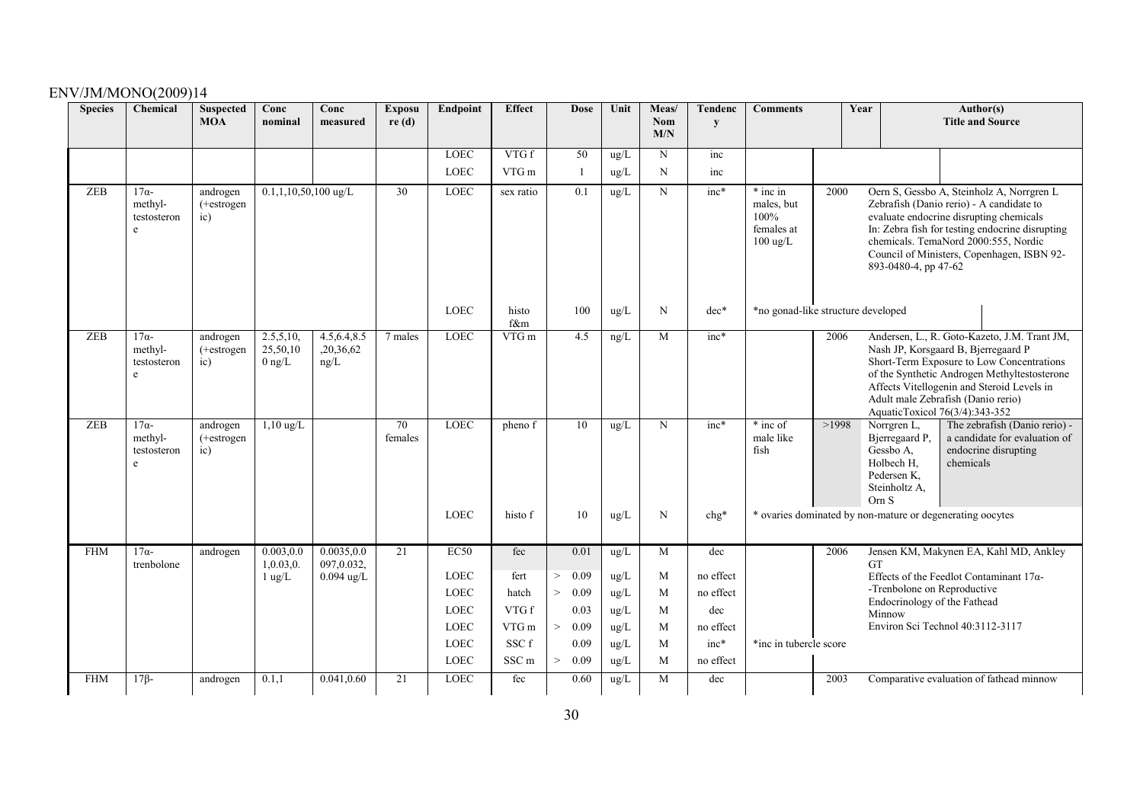| <b>Species</b> | Chemical                                    | <b>Suspected</b><br><b>MOA</b>         | Conc<br>nominal                   | Conc<br>measured                   | <b>Exposu</b><br>re(d) | Endpoint    | <b>Effect</b>    | <b>Dose</b>    | Unit          | Meas/<br><b>Nom</b><br>M/N | <b>Tendenc</b><br>y | <b>Comments</b>                                                    |       | Year   |                                                                                          | Author(s)<br><b>Title and Source</b>                                                                                                                                                                                                                                                                   |
|----------------|---------------------------------------------|----------------------------------------|-----------------------------------|------------------------------------|------------------------|-------------|------------------|----------------|---------------|----------------------------|---------------------|--------------------------------------------------------------------|-------|--------|------------------------------------------------------------------------------------------|--------------------------------------------------------------------------------------------------------------------------------------------------------------------------------------------------------------------------------------------------------------------------------------------------------|
|                |                                             |                                        |                                   |                                    |                        | <b>LOEC</b> | VTG f            | 50             | $\mu$ g/L     | $\mathbf N$                | inc                 |                                                                    |       |        |                                                                                          |                                                                                                                                                                                                                                                                                                        |
|                |                                             |                                        |                                   |                                    |                        | LOEC        | VTG m            |                | ug/L          | N                          | inc                 |                                                                    |       |        |                                                                                          |                                                                                                                                                                                                                                                                                                        |
| ZEB            | $17\alpha-$<br>methyl-<br>testosteron<br>e  | androgen<br>$(+estrogen)$<br>$\rm ic)$ | $0.1, 1, 10, 50, 100$ ug/L        |                                    | 30                     | LOEC        | sex ratio        | 0.1            | ug/L          | N                          | $inc*$              | * inc in<br>males, but<br>100%<br>females at<br>$100 \text{ ug/L}$ | 2000  |        | 893-0480-4, pp 47-62                                                                     | Oern S, Gessbo A, Steinholz A, Norrgren L<br>Zebrafish (Danio rerio) - A candidate to<br>evaluate endocrine disrupting chemicals<br>In: Zebra fish for testing endocrine disrupting<br>chemicals. TemaNord 2000:555, Nordic<br>Council of Ministers, Copenhagen, ISBN 92-                              |
|                |                                             |                                        |                                   |                                    |                        | <b>LOEC</b> | histo<br>f&m     | 100            | $\text{ug/L}$ | N                          | $dec*$              | *no gonad-like structure developed                                 |       |        |                                                                                          |                                                                                                                                                                                                                                                                                                        |
| <b>ZEB</b>     | $17\alpha$ -<br>methyl-<br>testosteron<br>e | androgen<br>$(+estrogen)$<br>ic)       | 2.5,5,10,<br>25,50,10<br>$0$ ng/L | 4.5, 6.4, 8.5<br>,20,36,62<br>ng/L | 7 males                | <b>LOEC</b> | VTG m            | 4.5            | ng/L          | M                          | $inc*$              |                                                                    | 2006  |        |                                                                                          | Andersen, L., R. Goto-Kazeto, J.M. Trant JM,<br>Nash JP, Korsgaard B, Bjerregaard P<br>Short-Term Exposure to Low Concentrations<br>of the Synthetic Androgen Methyltestosterone<br>Affects Vitellogenin and Steroid Levels in<br>Adult male Zebrafish (Danio rerio)<br>AquaticToxicol 76(3/4):343-352 |
| <b>ZEB</b>     | $17\alpha-$<br>methyl-<br>testosteron<br>e  | androgen<br>$(+estrogen)$<br>ic)       | $1,10$ ug/L                       |                                    | 70<br>females          | <b>LOEC</b> | pheno f          | 10             | ug/L          | N                          | $inc*$              | * inc of<br>male like<br>fish                                      | >1998 | Orn S  | Norrgren L,<br>Bjerregaard P,<br>Gessbo A,<br>Holbech H,<br>Pedersen K,<br>Steinholtz A, | The zebrafish (Danio rerio) -<br>a candidate for evaluation of<br>endocrine disrupting<br>chemicals                                                                                                                                                                                                    |
|                |                                             |                                        |                                   |                                    |                        | <b>LOEC</b> | histo f          | 10             | $\text{ug/L}$ | N                          | $chg*$              |                                                                    |       |        |                                                                                          | * ovaries dominated by non-mature or degenerating oocytes                                                                                                                                                                                                                                              |
| <b>FHM</b>     | $17\alpha-$                                 | androgen                               | 0.003, 0.0                        | 0.0035, 0.0                        | 21                     | EC50        | fec              | 0.01           | ug/L          | M                          | dec                 |                                                                    | 2006  |        |                                                                                          | Jensen KM, Makynen EA, Kahl MD, Ankley                                                                                                                                                                                                                                                                 |
|                | trenbolone                                  |                                        | 1,0.03,0.<br>$1$ ug/L             | 097,0.032,<br>$0.094$ ug/L         |                        | <b>LOEC</b> | fert             | 0.09<br>$\geq$ | ug/L          | M                          | no effect           |                                                                    |       | GT     |                                                                                          | Effects of the Feedlot Contaminant $17\alpha$ -                                                                                                                                                                                                                                                        |
|                |                                             |                                        |                                   |                                    |                        | <b>LOEC</b> | hatch            | ><br>0.09      | ug/L          | M                          | no effect           |                                                                    |       |        |                                                                                          | -Trenbolone on Reproductive                                                                                                                                                                                                                                                                            |
|                |                                             |                                        |                                   |                                    |                        | <b>LOEC</b> | VTG f            | 0.03           | ug/L          | M                          | dec                 |                                                                    |       | Minnow |                                                                                          | Endocrinology of the Fathead                                                                                                                                                                                                                                                                           |
|                |                                             |                                        |                                   |                                    |                        | <b>LOEC</b> | VTG m            | $\geq$<br>0.09 | ug/L          | M                          | no effect           |                                                                    |       |        |                                                                                          | Environ Sci Technol 40:3112-3117                                                                                                                                                                                                                                                                       |
|                |                                             |                                        |                                   |                                    |                        | <b>LOEC</b> | SSC f            | 0.09           | ug/L          | M                          | $inc*$              | *inc in tubercle score                                             |       |        |                                                                                          |                                                                                                                                                                                                                                                                                                        |
|                |                                             |                                        |                                   |                                    |                        | LOEC        | SSC <sub>m</sub> | $\geq$<br>0.09 | ug/L          | M                          | no effect           |                                                                    |       |        |                                                                                          |                                                                                                                                                                                                                                                                                                        |
| <b>FHM</b>     | $17\beta$ -                                 | androgen                               | 0.1,1                             | 0.041,0.60                         | 21                     | <b>LOEC</b> | fec              | 0.60           | ug/L          | M                          | dec                 |                                                                    | 2003  |        |                                                                                          | Comparative evaluation of fathead minnow                                                                                                                                                                                                                                                               |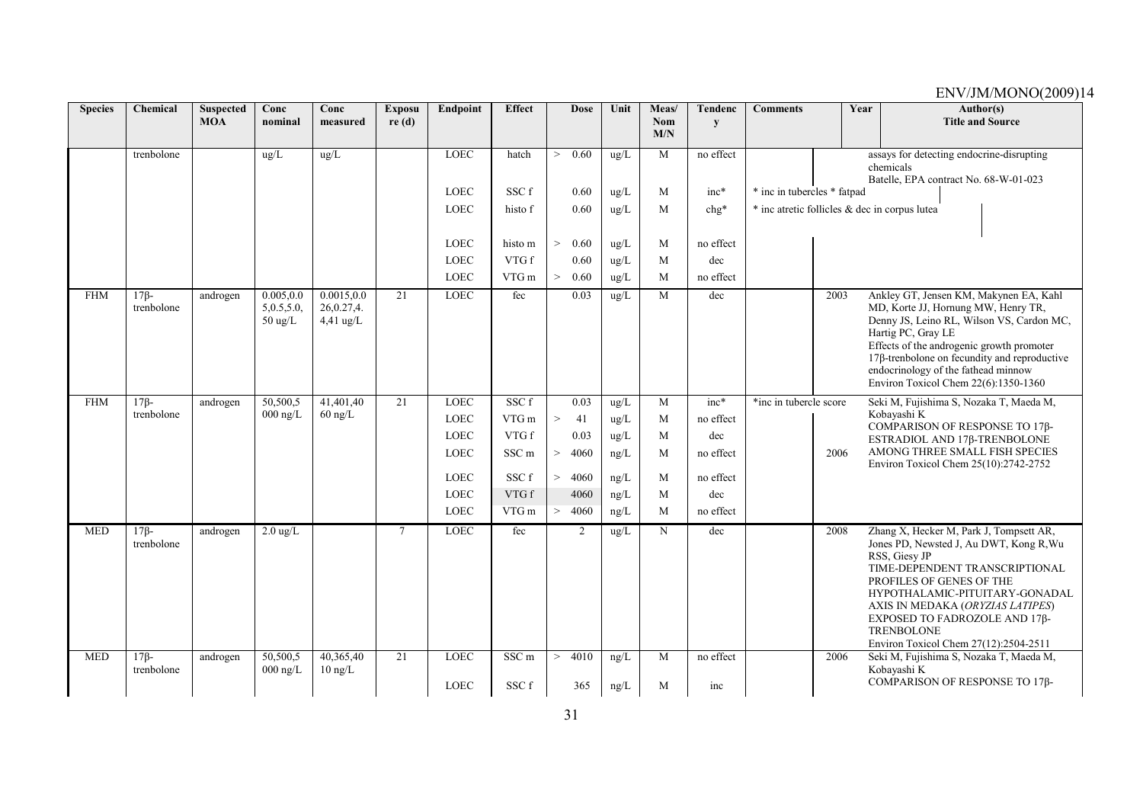| <b>Species</b> | Chemical             | <b>Suspected</b><br><b>MOA</b> | Conc                               | Conc                    | <b>Exposu</b>  | Endpoint                   | <b>Effect</b>    |        | <b>Dose</b>  | Unit                           | Meas/             | <b>Tendenc</b>   | <b>Comments</b>             | Year | Author(s)<br><b>Title and Source</b>                                                                                                                                                                                                                                                                                                   |
|----------------|----------------------|--------------------------------|------------------------------------|-------------------------|----------------|----------------------------|------------------|--------|--------------|--------------------------------|-------------------|------------------|-----------------------------|------|----------------------------------------------------------------------------------------------------------------------------------------------------------------------------------------------------------------------------------------------------------------------------------------------------------------------------------------|
|                |                      |                                | nominal                            | measured                | re(d)          |                            |                  |        |              |                                | <b>Nom</b><br>M/N | y                |                             |      |                                                                                                                                                                                                                                                                                                                                        |
|                | trenbolone           |                                | ug/L                               | ug/L                    |                | <b>LOEC</b>                | hatch            | $\,>$  | 0.60         | $\text{ug/L}$                  | M                 | no effect        |                             |      | assays for detecting endocrine-disrupting                                                                                                                                                                                                                                                                                              |
|                |                      |                                |                                    |                         |                |                            |                  |        |              |                                |                   |                  |                             |      | chemicals<br>Batelle, EPA contract No. 68-W-01-023                                                                                                                                                                                                                                                                                     |
|                |                      |                                |                                    |                         |                | <b>LOEC</b>                | SSC f            |        | 0.60         | $\text{ug/L}$                  | M                 | inc*             | * inc in tubercles * fatpad |      |                                                                                                                                                                                                                                                                                                                                        |
|                |                      |                                |                                    |                         |                | <b>LOEC</b>                | histo f          |        | 0.60         | ug/L                           | M                 | $chg*$           |                             |      | * inc atretic follicles & dec in corpus lutea                                                                                                                                                                                                                                                                                          |
|                |                      |                                |                                    |                         |                |                            |                  |        |              |                                |                   |                  |                             |      |                                                                                                                                                                                                                                                                                                                                        |
|                |                      |                                |                                    |                         |                | <b>LOEC</b>                | histo m          | $\geq$ | 0.60         | ug/L                           | M                 | no effect        |                             |      |                                                                                                                                                                                                                                                                                                                                        |
|                |                      |                                |                                    |                         |                | <b>LOEC</b><br><b>LOEC</b> | VTG f<br>VTG m   | $\geq$ | 0.60<br>0.60 | $\text{ug/L}$<br>$\text{ug/L}$ | M<br>M            | dec<br>no effect |                             |      |                                                                                                                                                                                                                                                                                                                                        |
| <b>FHM</b>     | $17\beta$ -          | androgen                       | 0.005, 0.0                         | 0.0015, 0.0             | 21             | <b>LOEC</b>                | fec              |        | 0.03         | ug/L                           | M                 | dec              |                             | 2003 | Ankley GT, Jensen KM, Makynen EA, Kahl                                                                                                                                                                                                                                                                                                 |
|                | trenbolone           |                                | 5,0.5,5.0,<br>$50 \ \mathrm{ug/L}$ | 26,0.27,4.<br>4,41 ug/L |                |                            |                  |        |              |                                |                   |                  |                             |      | MD, Korte JJ, Hornung MW, Henry TR,<br>Denny JS, Leino RL, Wilson VS, Cardon MC,<br>Hartig PC, Gray LE<br>Effects of the androgenic growth promoter<br>$17\beta$ -trenbolone on fecundity and reproductive<br>endocrinology of the fathead minnow<br>Environ Toxicol Chem 22(6):1350-1360                                              |
| <b>FHM</b>     | $17B -$              | androgen                       | 50,500,5                           | 41,401,40               | 21             | <b>LOEC</b>                | SSC f            |        | 0.03         | ug/L                           | M                 | $inc*$           | *inc in tubercle score      |      | Seki M, Fujishima S, Nozaka T, Maeda M,                                                                                                                                                                                                                                                                                                |
|                | trenbolone           |                                | $000$ ng/L                         | $60$ ng/L               |                | <b>LOEC</b>                | VTG m            | $\, >$ | 41           | ug/L                           | M                 | no effect        |                             |      | Kobayashi K<br>COMPARISON OF RESPONSE TO 17β-                                                                                                                                                                                                                                                                                          |
|                |                      |                                |                                    |                         |                | <b>LOEC</b>                | VTG f            |        | 0.03         | $\text{ug/L}$                  | M                 | dec              |                             |      | ESTRADIOL AND 17β-TRENBOLONE                                                                                                                                                                                                                                                                                                           |
|                |                      |                                |                                    |                         |                | <b>LOEC</b>                | SSC <sub>m</sub> | $\geq$ | 4060         | ng/L                           | M                 | no effect        |                             | 2006 | AMONG THREE SMALL FISH SPECIES<br>Environ Toxicol Chem 25(10):2742-2752                                                                                                                                                                                                                                                                |
|                |                      |                                |                                    |                         |                | <b>LOEC</b>                | SSC f            | $\geq$ | 4060         | ng/L                           | M                 | no effect        |                             |      |                                                                                                                                                                                                                                                                                                                                        |
|                |                      |                                |                                    |                         |                | <b>LOEC</b>                | VTG f            |        | 4060         | ng/L                           | M                 | dec              |                             |      |                                                                                                                                                                                                                                                                                                                                        |
|                |                      |                                |                                    |                         |                | <b>LOEC</b>                | VTG m            | > 4060 |              | ng/L                           | M                 | no effect        |                             |      |                                                                                                                                                                                                                                                                                                                                        |
| <b>MED</b>     | $17B-$<br>trenbolone | androgen                       | $2.0 \text{ ug/L}$                 |                         | $\overline{7}$ | <b>LOEC</b>                | fec              |        | 2            | $\mu$ g/L                      | N                 | dec              |                             | 2008 | Zhang X, Hecker M, Park J, Tompsett AR,<br>Jones PD, Newsted J, Au DWT, Kong R, Wu<br>RSS, Giesy JP<br>TIME-DEPENDENT TRANSCRIPTIONAL<br>PROFILES OF GENES OF THE<br>HYPOTHALAMIC-PITUITARY-GONADAL<br>AXIS IN MEDAKA (ORYZIAS LATIPES)<br>EXPOSED TO FADROZOLE AND 17β-<br><b>TRENBOLONE</b><br>Environ Toxicol Chem 27(12):2504-2511 |
| <b>MED</b>     | $17\beta$ -          | androgen                       | 50,500,5                           | 40,365,40               | 21             | <b>LOEC</b>                | SSC <sub>m</sub> | $\geq$ | 4010         | ng/L                           | M                 | no effect        |                             | 2006 | Seki M, Fujishima S, Nozaka T, Maeda M,                                                                                                                                                                                                                                                                                                |
|                | trenbolone           |                                | $000 \text{ ng/L}$                 | $10 \text{ ng/L}$       |                | <b>LOEC</b>                | SSC f            |        | 365          | ng/L                           | M                 | inc              |                             |      | Kobayashi K<br>COMPARISON OF RESPONSE TO 17β-                                                                                                                                                                                                                                                                                          |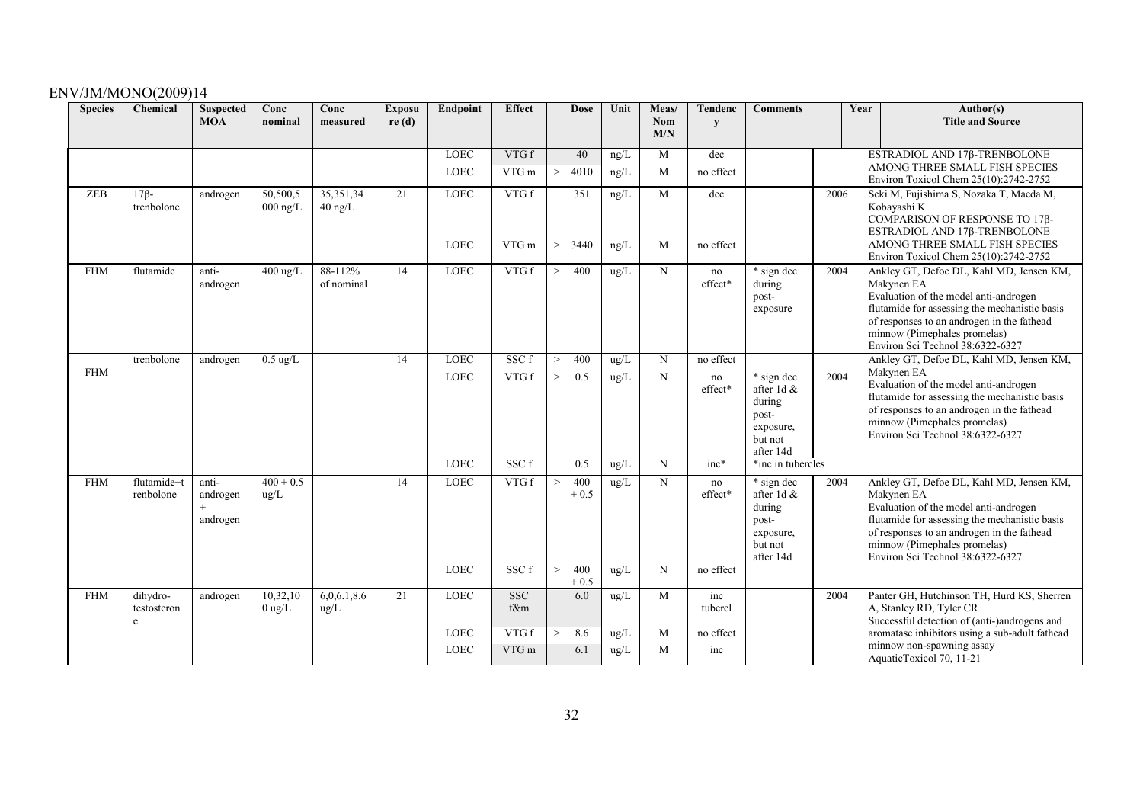| <b>Species</b> | Chemical                     | <b>Suspected</b><br><b>MOA</b> | Conc<br>nominal        | Conc<br>measured         | <b>Exposu</b><br>re(d) | <b>Endpoint</b>                           | <b>Effect</b>                       |                 | <b>Dose</b>                    | Unit                          | Meas/<br><b>Nom</b> | Tendenc<br>y                         | <b>Comments</b>                                                                                       |      | Year | Author(s)<br><b>Title and Source</b>                                                                                                                                                                                                                               |
|----------------|------------------------------|--------------------------------|------------------------|--------------------------|------------------------|-------------------------------------------|-------------------------------------|-----------------|--------------------------------|-------------------------------|---------------------|--------------------------------------|-------------------------------------------------------------------------------------------------------|------|------|--------------------------------------------------------------------------------------------------------------------------------------------------------------------------------------------------------------------------------------------------------------------|
|                |                              |                                |                        |                          |                        |                                           |                                     |                 |                                |                               | M/N                 |                                      |                                                                                                       |      |      |                                                                                                                                                                                                                                                                    |
|                |                              |                                |                        |                          |                        | <b>LOEC</b>                               | VTG f                               |                 | 40                             | ng/L                          | M                   | dec                                  |                                                                                                       |      |      | ESTRADIOL AND 17β-TRENBOLONE                                                                                                                                                                                                                                       |
|                |                              |                                |                        |                          |                        | <b>LOEC</b>                               | VTG m                               | $\geq$          | 4010                           | ng/L                          | M                   | no effect                            |                                                                                                       |      |      | AMONG THREE SMALL FISH SPECIES<br>Environ Toxicol Chem 25(10):2742-2752                                                                                                                                                                                            |
| ZEB            | $17\beta$ -<br>trenbolone    | androgen                       | 50,500,5<br>$000$ ng/L | 35, 351, 34<br>$40$ ng/L | 21                     | LOEC<br><b>LOEC</b>                       | VTG f<br>VTG m                      | >               | 351<br>3440                    | ng/L<br>ng/L                  | M<br>M              | dec<br>no effect                     |                                                                                                       | 2006 |      | Seki M, Fujishima S, Nozaka T, Maeda M,<br>Kobayashi K<br>COMPARISON OF RESPONSE TO 17β-<br>ESTRADIOL AND 17β-TRENBOLONE<br>AMONG THREE SMALL FISH SPECIES<br>Environ Toxicol Chem 25(10):2742-2752                                                                |
| <b>FHM</b>     | flutamide                    | anti-<br>androgen              | $400 \text{ ug/L}$     | 88-112%<br>of nominal    | 14                     | <b>LOEC</b>                               | VTGf                                | >               | 400                            | ug/L                          | N                   | no<br>effect*                        | * sign dec<br>during<br>post-<br>exposure                                                             | 2004 |      | Ankley GT, Defoe DL, Kahl MD, Jensen KM,<br>Makynen EA<br>Evaluation of the model anti-androgen<br>flutamide for assessing the mechanistic basis<br>of responses to an androgen in the fathead<br>minnow (Pimephales promelas)<br>Environ Sci Technol 38:6322-6327 |
| <b>FHM</b>     | trenbolone                   | androgen                       | $0.5 \text{ ug/L}$     |                          | 14                     | <b>LOEC</b><br><b>LOEC</b><br><b>LOEC</b> | SSC f<br>VTG f<br>SSC f             | ><br>$\,>$      | 400<br>0.5<br>0.5              | ug/L<br>ug/L<br>$\text{ug/L}$ | N<br>N<br>N         | no effect<br>no<br>effect*<br>$inc*$ | * sign dec<br>after 1d &<br>during<br>post-<br>exposure,<br>but not<br>after 14d<br>*inc in tubercles | 2004 |      | Ankley GT, Defoe DL, Kahl MD, Jensen KM,<br>Makynen EA<br>Evaluation of the model anti-androgen<br>flutamide for assessing the mechanistic basis<br>of responses to an androgen in the fathead<br>minnow (Pimephales promelas)<br>Environ Sci Technol 38:6322-6327 |
| <b>FHM</b>     | flutamide+t<br>renbolone     | anti-<br>androgen<br>androgen  | $400 + 0.5$<br>ug/L    |                          | 14                     | <b>LOEC</b><br><b>LOEC</b>                | VTG f<br>SSC f                      | $\geq$<br>$\,>$ | 400<br>$+0.5$<br>400<br>$+0.5$ | ug/L<br>ug/L                  | N<br>N              | no<br>effect*<br>no effect           | * sign dec<br>after 1d &<br>during<br>post-<br>exposure,<br>but not<br>after 14d                      | 2004 |      | Ankley GT, Defoe DL, Kahl MD, Jensen KM,<br>Makynen EA<br>Evaluation of the model anti-androgen<br>flutamide for assessing the mechanistic basis<br>of responses to an androgen in the fathead<br>minnow (Pimephales promelas)<br>Environ Sci Technol 38:6322-6327 |
| <b>FHM</b>     | dihydro-<br>testosteron<br>e | androgen                       | 10,32,10<br>$0$ ug/L   | 6,0,6.1,8.6<br>ug/L      | 21                     | <b>LOEC</b><br><b>LOEC</b><br><b>LOEC</b> | <b>SSC</b><br>f&m<br>VTG f<br>VTG m | $\geq$          | 6.0<br>8.6<br>6.1              | ug/L<br>ug/L<br>ug/L          | M<br>M<br>M         | inc<br>tubercl<br>no effect<br>inc   |                                                                                                       | 2004 |      | Panter GH, Hutchinson TH, Hurd KS, Sherren<br>A, Stanley RD, Tyler CR<br>Successful detection of (anti-)androgens and<br>aromatase inhibitors using a sub-adult fathead<br>minnow non-spawning assay<br>AquaticToxicol 70, 11-21                                   |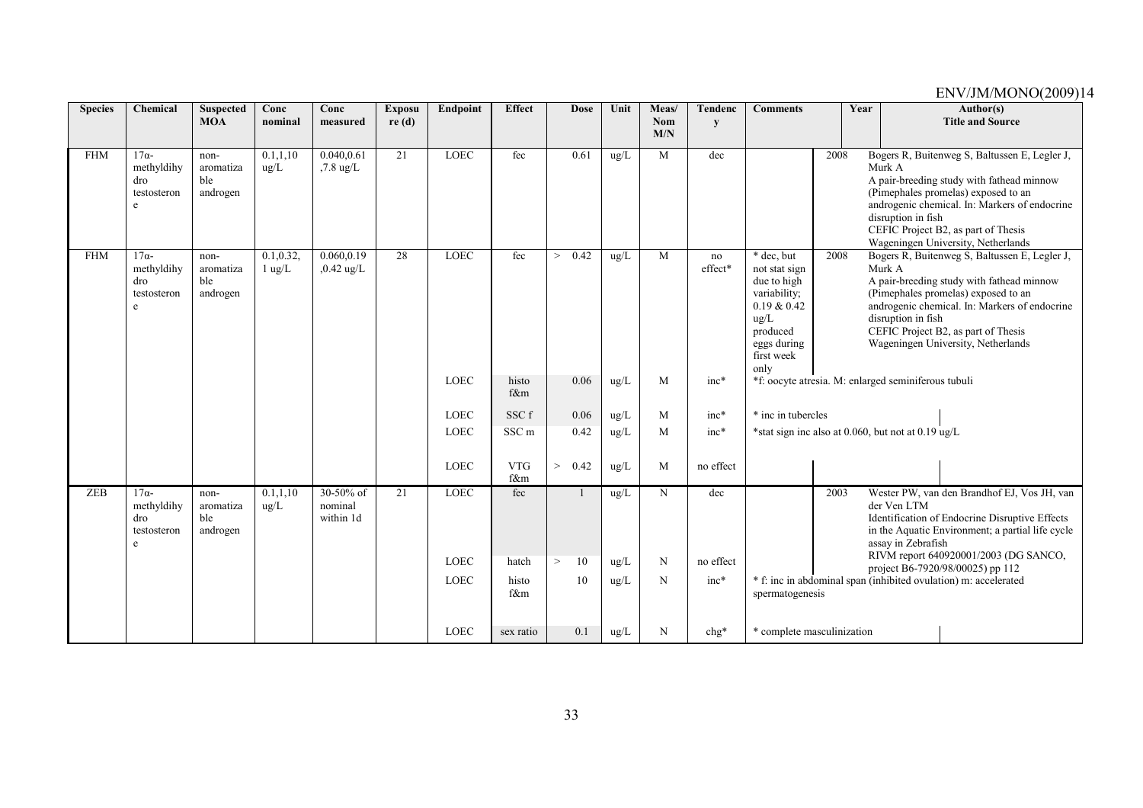| <b>Species</b> | Chemical                                                        | <b>Suspected</b><br><b>MOA</b>       | Conc<br>nominal                | Conc<br>measured                  | <b>Exposu</b><br>re(d) | Endpoint                   | <b>Effect</b>     | <b>Dose</b>             | Unit                           | Meas/<br>Nom | <b>Tendenc</b><br>y | <b>Comments</b><br>Year<br>Author(s)<br><b>Title and Source</b>                                                                                                                                                                                                                                                                                                                                                                                        |
|----------------|-----------------------------------------------------------------|--------------------------------------|--------------------------------|-----------------------------------|------------------------|----------------------------|-------------------|-------------------------|--------------------------------|--------------|---------------------|--------------------------------------------------------------------------------------------------------------------------------------------------------------------------------------------------------------------------------------------------------------------------------------------------------------------------------------------------------------------------------------------------------------------------------------------------------|
|                |                                                                 |                                      |                                |                                   |                        |                            |                   |                         |                                | M/N          |                     |                                                                                                                                                                                                                                                                                                                                                                                                                                                        |
| <b>FHM</b>     | $17\alpha$ -<br>methyldihy<br>dro<br>testosteron<br>$\mathbf e$ | non-<br>aromatiza<br>ble<br>androgen | 0.1, 1.10<br>$\mu$ g/L         | 0.040,0.61<br>$,7.8 \text{ ug/L}$ | 21                     | <b>LOEC</b>                | fec               | 0.61                    | $\text{ug/L}$                  | M            | dec                 | 2008<br>Bogers R, Buitenweg S, Baltussen E, Legler J,<br>Murk A<br>A pair-breeding study with fathead minnow<br>(Pimephales promelas) exposed to an<br>androgenic chemical. In: Markers of endocrine<br>disruption in fish<br>CEFIC Project B2, as part of Thesis<br>Wageningen University, Netherlands                                                                                                                                                |
| <b>FHM</b>     | $17\alpha$ -<br>methyldihy<br>dro<br>testosteron<br>$\mathbf e$ | non-<br>aromatiza<br>ble<br>androgen | 0.1, 0.32,<br>$1 \text{ ug/L}$ | 0.060, 0.19<br>$0.42$ ug/L        | 28                     | <b>LOEC</b>                | fec               | 0.42<br>$\geq$          | $\text{ug/L}$                  | M            | no<br>effect*       | * dec, but<br>2008<br>Bogers R, Buitenweg S, Baltussen E, Legler J,<br>Murk A<br>not stat sign<br>due to high<br>A pair-breeding study with fathead minnow<br>variability;<br>(Pimephales promelas) exposed to an<br>0.19 & 0.42<br>androgenic chemical. In: Markers of endocrine<br>disruption in fish<br>$\text{ug/L}$<br>CEFIC Project B2, as part of Thesis<br>produced<br>Wageningen University, Netherlands<br>eggs during<br>first week<br>only |
|                |                                                                 |                                      |                                |                                   |                        | <b>LOEC</b>                | histo<br>f&m      | 0.06                    | $ug/L$                         | M            | $inc*$              | *f: oocyte atresia. M: enlarged seminiferous tubuli                                                                                                                                                                                                                                                                                                                                                                                                    |
|                |                                                                 |                                      |                                |                                   |                        | <b>LOEC</b>                | SSC f             | 0.06                    | ug/L                           | M            | inc*                | * inc in tubercles                                                                                                                                                                                                                                                                                                                                                                                                                                     |
|                |                                                                 |                                      |                                |                                   |                        | <b>LOEC</b>                | SSC <sub>m</sub>  | 0.42                    | ug/L                           | M            | $inc*$              | *stat sign inc also at 0.060, but not at 0.19 ug/L                                                                                                                                                                                                                                                                                                                                                                                                     |
|                |                                                                 |                                      |                                |                                   |                        | <b>LOEC</b>                | <b>VTG</b><br>f&m | ><br>0.42               | ug/L                           | M            | no effect           |                                                                                                                                                                                                                                                                                                                                                                                                                                                        |
| ZEB            | $17\alpha$ -<br>methyldihy<br>dro<br>testosteron<br>e           | non-<br>aromatiza<br>ble<br>androgen | 0.1, 1, 10<br>$\mu$ g/L        | 30-50% of<br>nominal<br>within 1d | 21                     | <b>LOEC</b><br><b>LOEC</b> | fec<br>hatch      | 10<br>$\qquad \qquad >$ | $\text{ug/L}$<br>$\text{ug/L}$ | N<br>N       | dec<br>no effect    | Wester PW, van den Brandhof EJ, Vos JH, van<br>2003<br>der Ven LTM<br>Identification of Endocrine Disruptive Effects<br>in the Aquatic Environment; a partial life cycle<br>assay in Zebrafish<br>RIVM report 640920001/2003 (DG SANCO,<br>project B6-7920/98/00025) pp 112                                                                                                                                                                            |
|                |                                                                 |                                      |                                |                                   |                        | <b>LOEC</b>                | histo<br>f&m      | 10                      | $\rm ug/L$                     | N            | $inc*$              | * f: inc in abdominal span (inhibited ovulation) m: accelerated<br>spermatogenesis                                                                                                                                                                                                                                                                                                                                                                     |
|                |                                                                 |                                      |                                |                                   |                        | LOEC                       | sex ratio         | 0.1                     | ug/L                           | N            | chg*                | * complete masculinization                                                                                                                                                                                                                                                                                                                                                                                                                             |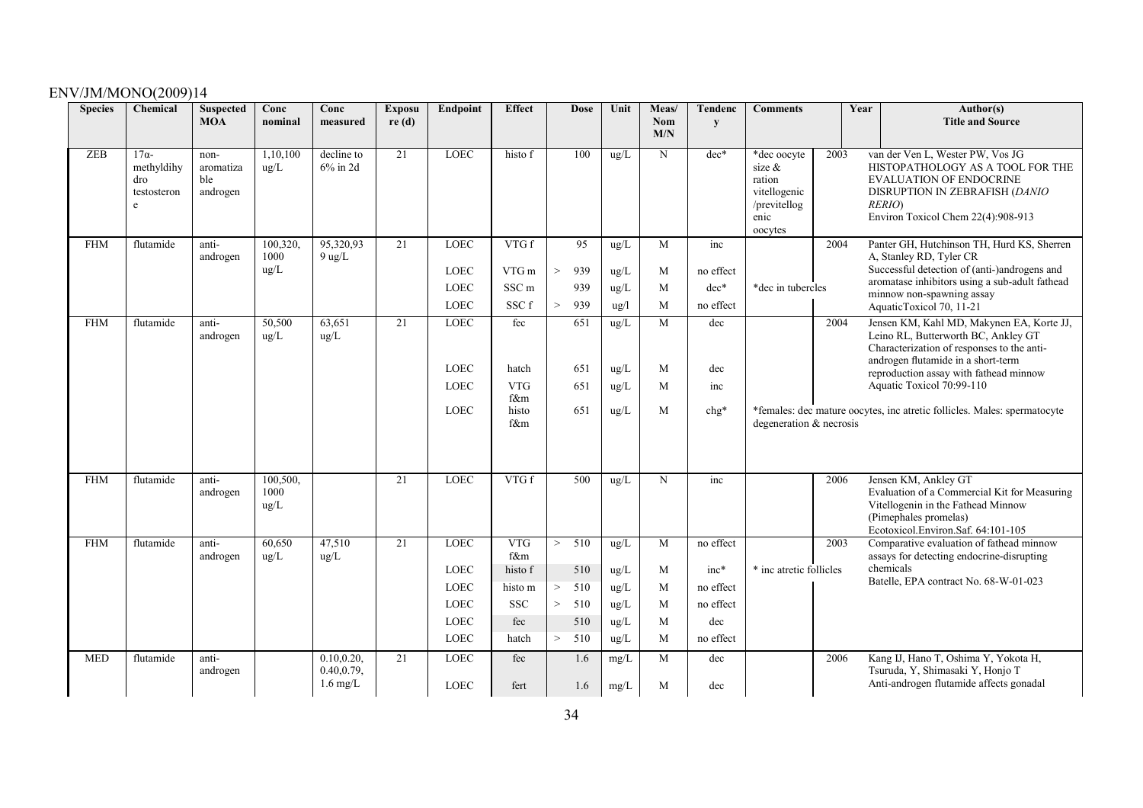| <b>Species</b> | Chemical                                              | <b>Suspected</b><br><b>MOA</b>       | Conc<br>nominal          | Conc<br>measured                                 | <b>Exposu</b><br>re(d) | Endpoint                   | <b>Effect</b>     | <b>Dose</b>                | Unit          | Meas/<br>Nom | <b>Tendenc</b><br>y | <b>Comments</b>                                                                       |      | Year<br>Author(s)<br><b>Title and Source</b>                                                                                                                                             |
|----------------|-------------------------------------------------------|--------------------------------------|--------------------------|--------------------------------------------------|------------------------|----------------------------|-------------------|----------------------------|---------------|--------------|---------------------|---------------------------------------------------------------------------------------|------|------------------------------------------------------------------------------------------------------------------------------------------------------------------------------------------|
|                |                                                       |                                      |                          |                                                  |                        |                            |                   |                            |               | M/N          |                     |                                                                                       |      |                                                                                                                                                                                          |
| <b>ZEB</b>     | $17\alpha$ -<br>methyldihy<br>dro<br>testosteron<br>e | non-<br>aromatiza<br>ble<br>androgen | 1,10,100<br>ug/L         | decline to<br>$6\%$ in 2d                        | $\overline{21}$        | <b>LOEC</b>                | histo f           | 100                        | $\text{ug/L}$ | N            | $dec*$              | *dec oocyte<br>size $\&$<br>ration<br>vitellogenic<br>/previtellog<br>enic<br>oocytes | 2003 | van der Ven L, Wester PW, Vos JG<br>HISTOPATHOLOGY AS A TOOL FOR THE<br><b>EVALUATION OF ENDOCRINE</b><br>DISRUPTION IN ZEBRAFISH (DANIO<br>RERIO)<br>Environ Toxicol Chem 22(4):908-913 |
| <b>FHM</b>     | flutamide                                             | anti-<br>androgen                    | 100,320.<br>1000         | 95,320,93<br>$9$ ug/L                            | 21                     | <b>LOEC</b>                | VTGf              | 95                         | $\text{ug/L}$ | M            | inc                 |                                                                                       | 2004 | Panter GH, Hutchinson TH, Hurd KS, Sherren<br>A, Stanley RD, Tyler CR                                                                                                                    |
|                |                                                       |                                      | ug/L                     |                                                  |                        | <b>LOEC</b>                | VTG m             | 939<br>$\,>$               | ug/L          | M            | no effect           |                                                                                       |      | Successful detection of (anti-)androgens and                                                                                                                                             |
|                |                                                       |                                      |                          |                                                  |                        | <b>LOEC</b>                | SSC <sub>m</sub>  | 939                        | $\text{ug/L}$ | M            | $dec*$              | *dec in tubercles                                                                     |      | aromatase inhibitors using a sub-adult fathead<br>minnow non-spawning assay                                                                                                              |
|                |                                                       |                                      |                          |                                                  |                        | <b>LOEC</b>                | SSC f             | 939<br>>                   | ug/l          | M            | no effect           |                                                                                       |      | AquaticToxicol 70, 11-21                                                                                                                                                                 |
| <b>FHM</b>     | flutamide                                             | anti-<br>androgen                    | 50,500<br>ug/L           | 63,651<br>ug/L                                   | 21                     | <b>LOEC</b>                | fec               | 651                        | ug/L          | M            | dec                 |                                                                                       | 2004 | Jensen KM, Kahl MD, Makynen EA, Korte JJ,<br>Leino RL, Butterworth BC, Ankley GT<br>Characterization of responses to the anti-<br>androgen flutamide in a short-term                     |
|                |                                                       |                                      |                          |                                                  |                        | <b>LOEC</b>                | hatch             | 651                        | $\text{ug/L}$ | M            | dec                 |                                                                                       |      | reproduction assay with fathead minnow                                                                                                                                                   |
|                |                                                       |                                      |                          |                                                  |                        | <b>LOEC</b>                | <b>VTG</b><br>f&m | 651                        | $\text{ug/L}$ | M            | inc                 |                                                                                       |      | Aquatic Toxicol 70:99-110                                                                                                                                                                |
|                |                                                       |                                      |                          |                                                  |                        | <b>LOEC</b>                | histo<br>f&m      | 651                        | $\text{ug/L}$ | M            | $chg*$              | degeneration & necrosis                                                               |      | *females: dec mature oocytes, inc atretic follicles. Males: spermatocyte                                                                                                                 |
|                |                                                       |                                      |                          |                                                  |                        |                            |                   |                            |               |              |                     |                                                                                       |      |                                                                                                                                                                                          |
| <b>FHM</b>     | flutamide                                             | anti-<br>androgen                    | 100,500,<br>1000<br>ug/L |                                                  | 21                     | <b>LOEC</b>                | VTGf              | 500                        | ug/L          | N            | inc                 |                                                                                       | 2006 | Jensen KM, Ankley GT<br>Evaluation of a Commercial Kit for Measuring<br>Vitellogenin in the Fathead Minnow<br>(Pimephales promelas)<br>Ecotoxicol.Environ.Saf. 64:101-105                |
| <b>FHM</b>     | flutamide                                             | anti-<br>androgen                    | 60,650<br>$\text{ug/L}$  | 47,510<br>ug/L                                   | 21                     | <b>LOEC</b>                | <b>VTG</b><br>f&m | $\overline{510}$<br>$\geq$ | ug/L          | M            | no effect           |                                                                                       | 2003 | Comparative evaluation of fathead minnow<br>assays for detecting endocrine-disrupting                                                                                                    |
|                |                                                       |                                      |                          |                                                  |                        | <b>LOEC</b>                | histo f           | 510                        | $\text{ug/L}$ | M            | $inc*$              | * inc atretic follicles                                                               |      | chemicals                                                                                                                                                                                |
|                |                                                       |                                      |                          |                                                  |                        | <b>LOEC</b>                | histo m           | 510<br>>                   | ug/L          | M            | no effect           |                                                                                       |      | Batelle, EPA contract No. 68-W-01-023                                                                                                                                                    |
|                |                                                       |                                      |                          |                                                  |                        | <b>LOEC</b>                | <b>SSC</b>        | $\, >$<br>510              | ug/L          | M            | no effect           |                                                                                       |      |                                                                                                                                                                                          |
|                |                                                       |                                      |                          |                                                  |                        | <b>LOEC</b>                | fec               | 510                        | $\text{ug/L}$ | M            | dec                 |                                                                                       |      |                                                                                                                                                                                          |
|                |                                                       |                                      |                          |                                                  |                        | LOEC                       | hatch             | 510<br>$\,>$               | ug/L          | M            | no effect           |                                                                                       |      |                                                                                                                                                                                          |
| <b>MED</b>     | flutamide                                             | anti-<br>androgen                    |                          | 0.10, 0.20,<br>0.40, 0.79,<br>$1.6 \text{ mg/L}$ | 21                     | <b>LOEC</b><br><b>LOEC</b> | fec<br>fert       | 1.6<br>1.6                 | mg/L<br>mg/L  | M<br>M       | dec<br>dec          |                                                                                       | 2006 | Kang IJ, Hano T, Oshima Y, Yokota H,<br>Tsuruda, Y, Shimasaki Y, Honjo T<br>Anti-androgen flutamide affects gonadal                                                                      |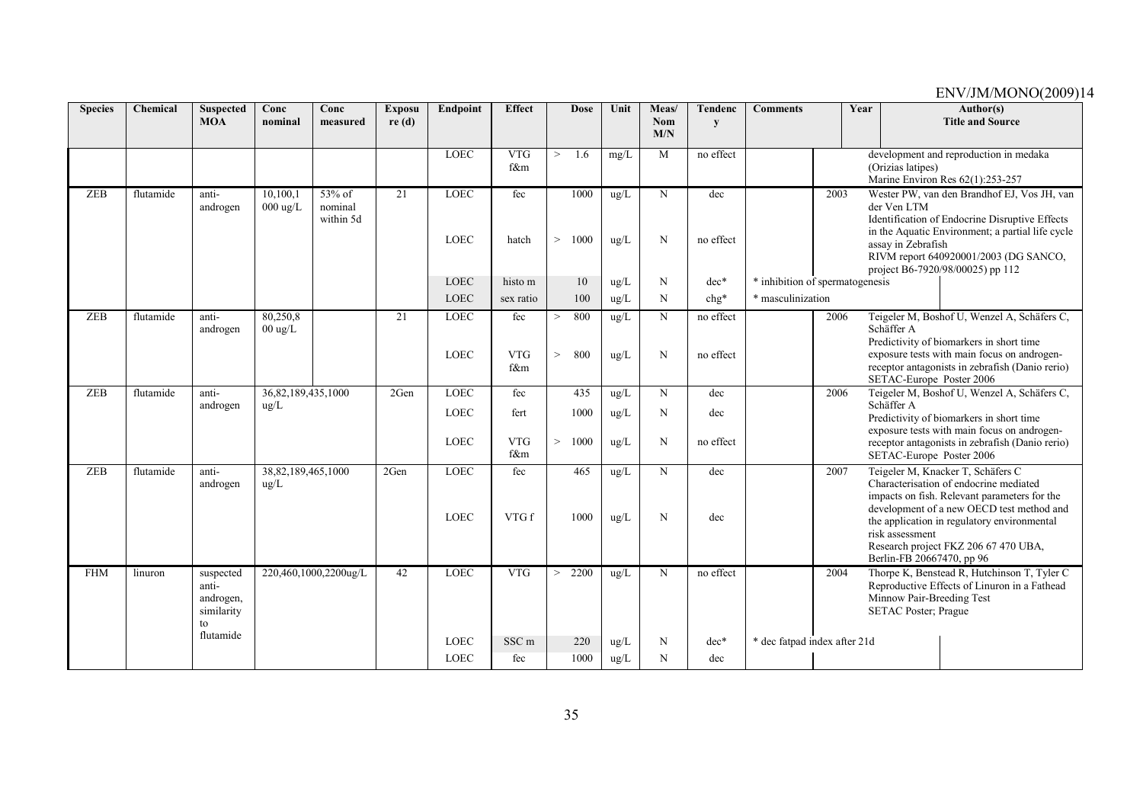| <b>Species</b> | Chemical  | <b>Suspected</b><br><b>MOA</b>                      | Conc<br>nominal                         | Conc<br>measured               | <b>Exposu</b><br>re(d) | <b>Endpoint</b>            | <b>Effect</b>     |        | <b>Dose</b>  | Unit                  | Meas/<br><b>Nom</b> | <b>Tendenc</b><br>y | <b>Comments</b>                 | Year |                                                          | Author(s)<br><b>Title and Source</b>                                                                                                                                                                                                                            |
|----------------|-----------|-----------------------------------------------------|-----------------------------------------|--------------------------------|------------------------|----------------------------|-------------------|--------|--------------|-----------------------|---------------------|---------------------|---------------------------------|------|----------------------------------------------------------|-----------------------------------------------------------------------------------------------------------------------------------------------------------------------------------------------------------------------------------------------------------------|
|                |           |                                                     |                                         |                                |                        |                            |                   |        |              |                       | M/N                 |                     |                                 |      |                                                          |                                                                                                                                                                                                                                                                 |
|                |           |                                                     |                                         |                                |                        | LOEC                       | <b>VTG</b><br>f&m | >      | 1.6          | mg/L                  | M                   | no effect           |                                 |      | (Orizias latipes)                                        | development and reproduction in medaka<br>Marine Environ Res 62(1):253-257                                                                                                                                                                                      |
| <b>ZEB</b>     | flutamide | anti-<br>androgen                                   | 10,100,1<br>$000 \text{ ug/L}$          | 53% of<br>nominal<br>within 5d | 21                     | LOEC<br><b>LOEC</b>        | fec<br>hatch      | $\geq$ | 1000<br>1000 | ug/L<br>ug/L          | N<br>N              | dec<br>no effect    |                                 | 2003 | der Ven LTM<br>assay in Zebrafish                        | Wester PW, van den Brandhof EJ, Vos JH, van<br>Identification of Endocrine Disruptive Effects<br>in the Aquatic Environment; a partial life cycle<br>RIVM report 640920001/2003 (DG SANCO,<br>project B6-7920/98/00025) pp 112                                  |
|                |           |                                                     |                                         |                                |                        | <b>LOEC</b>                | histo m           |        | 10           | ug/L                  | N                   | $dec*$              | * inhibition of spermatogenesis |      |                                                          |                                                                                                                                                                                                                                                                 |
|                |           |                                                     |                                         |                                |                        | LOEC                       | sex ratio         |        | 100          | ug/L                  | N                   | chg*                | * masculinization               |      |                                                          |                                                                                                                                                                                                                                                                 |
| <b>ZEB</b>     | flutamide | anti-<br>androgen                                   | 80,250,8<br>$00 \text{ ug/L}$           |                                | 21                     | <b>LOEC</b>                | fec               | $\geq$ | 800          | ug/L                  | N                   | no effect           |                                 | 2006 | Schäffer A                                               | Teigeler M, Boshof U, Wenzel A, Schäfers C,<br>Predictivity of biomarkers in short time                                                                                                                                                                         |
|                |           |                                                     |                                         |                                |                        | LOEC                       | <b>VTG</b><br>f&m | $\geq$ | 800          | $\text{ug/L}$         | N                   | no effect           |                                 |      | SETAC-Europe Poster 2006                                 | exposure tests with main focus on androgen-<br>receptor antagonists in zebrafish (Danio rerio)                                                                                                                                                                  |
| ZEB            | flutamide | anti-<br>androgen                                   | 36, 82, 189, 435, 1000<br>$\text{ug/L}$ |                                | 2Gen                   | <b>LOEC</b>                | fec               |        | 435          | ug/L                  | N                   | dec                 |                                 | 2006 | Schäffer A                                               | Teigeler M, Boshof U, Wenzel A, Schäfers C,                                                                                                                                                                                                                     |
|                |           |                                                     |                                         |                                |                        | <b>LOEC</b>                | fert              |        | 1000         | ug/L                  | N                   | dec                 |                                 |      |                                                          | Predictivity of biomarkers in short time<br>exposure tests with main focus on androgen-                                                                                                                                                                         |
|                |           |                                                     |                                         |                                |                        | LOEC                       | <b>VTG</b><br>f&m | $\geq$ | 1000         | $\text{ug/L}$         | N                   | no effect           |                                 |      | SETAC-Europe Poster 2006                                 | receptor antagonists in zebrafish (Danio rerio)                                                                                                                                                                                                                 |
| <b>ZEB</b>     | flutamide | anti-<br>androgen                                   | 38,82,189,465,1000<br>$\text{ug/L}$     |                                | 2Gen                   | <b>LOEC</b><br><b>LOEC</b> | fec<br>VTG f      |        | 465<br>1000  | ug/L<br>$\text{ug/L}$ | N<br>N              | dec<br>dec          |                                 | 2007 | risk assessment<br>Berlin-FB 20667470, pp 96             | Teigeler M, Knacker T, Schäfers C<br>Characterisation of endocrine mediated<br>impacts on fish. Relevant parameters for the<br>development of a new OECD test method and<br>the application in regulatory environmental<br>Research project FKZ 206 67 470 UBA, |
| <b>FHM</b>     | linuron   | suspected<br>anti-<br>androgen,<br>similarity<br>to |                                         | 220,460,1000,2200ug/L          | 42                     | <b>LOEC</b>                | <b>VTG</b>        | >      | 2200         | ug/L                  | N                   | no effect           |                                 | 2004 | Minnow Pair-Breeding Test<br><b>SETAC Poster; Prague</b> | Thorpe K, Benstead R, Hutchinson T, Tyler C<br>Reproductive Effects of Linuron in a Fathead                                                                                                                                                                     |
|                |           | flutamide                                           |                                         |                                |                        | <b>LOEC</b>                | SSC <sub>m</sub>  |        | 220          | $\text{ug/L}$         | N                   | $dec*$              | * dec fatpad index after 21d    |      |                                                          |                                                                                                                                                                                                                                                                 |
|                |           |                                                     |                                         |                                |                        | LOEC                       | fec               |        | 1000         | ug/L                  | N                   | dec                 |                                 |      |                                                          |                                                                                                                                                                                                                                                                 |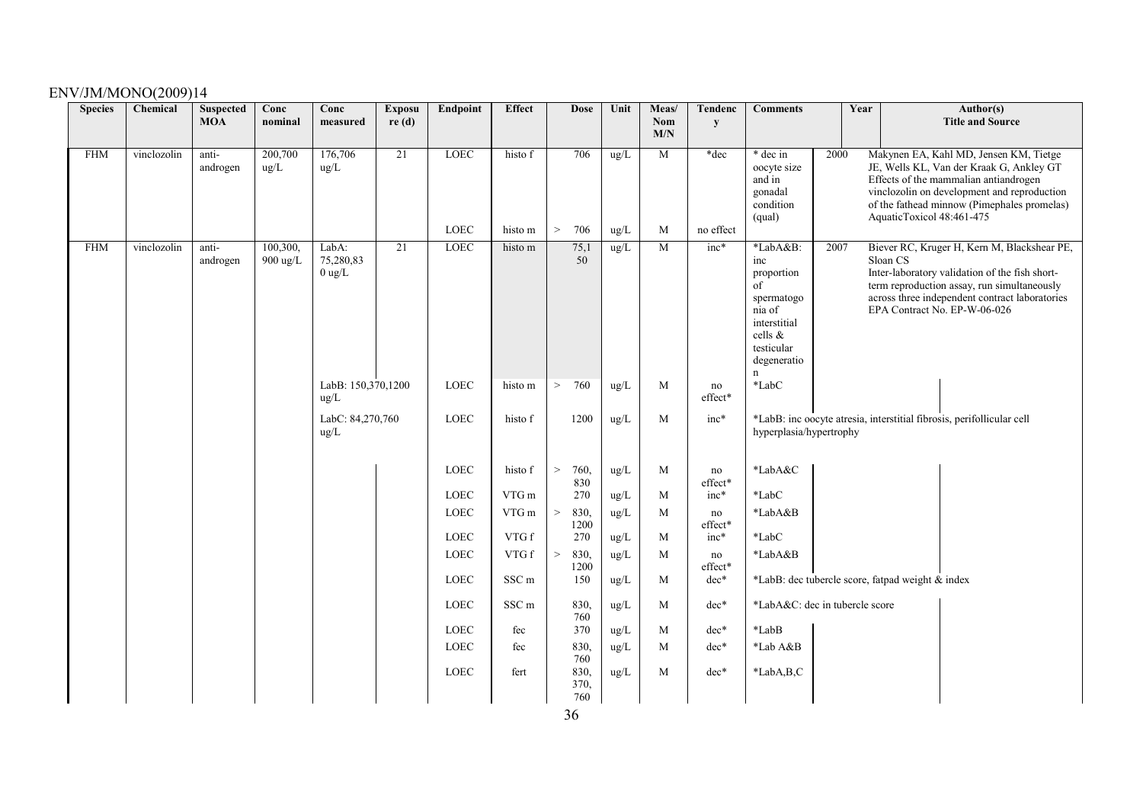| <b>Species</b> | Chemical    | <b>Suspected</b><br><b>MOA</b> | Conc<br>nominal      | Conc<br>measured               | <b>Exposu</b><br>re(d) | Endpoint                   | <b>Effect</b>      | <b>Dose</b>           | Unit         | Meas/<br>Nom<br>M/N | <b>Tendenc</b><br>${\bf y}$ | <b>Comments</b>                                                                                                                | Year                                             |                           | Author(s)<br><b>Title and Source</b>                                                                                                                                                                                           |
|----------------|-------------|--------------------------------|----------------------|--------------------------------|------------------------|----------------------------|--------------------|-----------------------|--------------|---------------------|-----------------------------|--------------------------------------------------------------------------------------------------------------------------------|--------------------------------------------------|---------------------------|--------------------------------------------------------------------------------------------------------------------------------------------------------------------------------------------------------------------------------|
| <b>FHM</b>     | vinclozolin | anti-<br>androgen              | 200,700<br>ug/L      | 176,706<br>ug/L                | $\overline{21}$        | <b>LOEC</b><br><b>LOEC</b> | histo f<br>histo m | 706<br>706<br>>       | ug/L<br>ug/L | $\overline{M}$<br>M | $*dec$<br>no effect         | * dec in<br>oocyte size<br>and in<br>gonadal<br>condition<br>(qual)                                                            | 2000                                             | AquaticToxicol 48:461-475 | Makynen EA, Kahl MD, Jensen KM, Tietge<br>JE, Wells KL, Van der Kraak G, Ankley GT<br>Effects of the mammalian antiandrogen<br>vinclozolin on development and reproduction<br>of the fathead minnow (Pimephales promelas)      |
| <b>FHM</b>     | vinclozolin | anti-<br>androgen              | 100,300,<br>900 ug/L | LabA:<br>75,280,83<br>$0$ ug/L | $\overline{21}$        | <b>LOEC</b>                | histo m            | 75,1<br>50            | ug/L         | $\mathbf{M}$        | $inc*$                      | *LabA&B:<br>inc<br>proportion<br>$\sigma$<br>spermatogo<br>nia of<br>interstitial<br>cells &<br>testicular<br>degeneratio<br>n | 2007                                             | Sloan CS                  | Biever RC, Kruger H, Kern M, Blackshear PE,<br>Inter-laboratory validation of the fish short-<br>term reproduction assay, run simultaneously<br>across three independent contract laboratories<br>EPA Contract No. EP-W-06-026 |
|                |             |                                |                      | LabB: 150,370,1200<br>ug/L     |                        | LOEC                       | histo m            | 760<br>>              | ug/L         | M                   | no<br>effect*               | *LabC                                                                                                                          |                                                  |                           |                                                                                                                                                                                                                                |
|                |             |                                |                      | LabC: 84,270,760<br>ug/L       |                        | LOEC                       | histo f            | 1200                  | ug/L         | M                   | $inc*$                      | hyperplasia/hypertrophy                                                                                                        |                                                  |                           | *LabB: inc oocyte atresia, interstitial fibrosis, perifollicular cell                                                                                                                                                          |
|                |             |                                |                      |                                |                        | <b>LOEC</b>                | histo f            | $\geq$<br>760,<br>830 | ug/L         | M                   | no<br>effect*               | *LabA&C                                                                                                                        |                                                  |                           |                                                                                                                                                                                                                                |
|                |             |                                |                      |                                |                        | LOEC                       | VTG m              | 270                   | ug/L         | M                   | $inc*$                      | $*$ Lab $C$                                                                                                                    |                                                  |                           |                                                                                                                                                                                                                                |
|                |             |                                |                      |                                |                        | LOEC                       | VTG m              | 830,<br>1200          | ug/L         | M                   | no<br>effect*               | *LabA&B                                                                                                                        |                                                  |                           |                                                                                                                                                                                                                                |
|                |             |                                |                      |                                |                        | <b>LOEC</b>                | VTG f              | 270                   | ug/L         | M                   | $inc*$                      | $*$ LabC                                                                                                                       |                                                  |                           |                                                                                                                                                                                                                                |
|                |             |                                |                      |                                |                        | LOEC                       | VTG f              | 830,<br>$\,>$<br>1200 | $\rm ug/L$   | M                   | no<br>effect*               | *LabA&B                                                                                                                        |                                                  |                           |                                                                                                                                                                                                                                |
|                |             |                                |                      |                                |                        | LOEC                       | SSC <sub>m</sub>   | 150                   | ug/L         | M                   | dec*                        |                                                                                                                                | *LabB: dec tubercle score, fatpad weight & index |                           |                                                                                                                                                                                                                                |
|                |             |                                |                      |                                |                        | LOEC                       | SSC <sub>m</sub>   | 830,<br>760           | ug/L         | M                   | dec*                        |                                                                                                                                | *LabA&C: dec in tubercle score                   |                           |                                                                                                                                                                                                                                |
|                |             |                                |                      |                                |                        | LOEC                       | fec                | 370                   | ug/L         | M                   | dec*                        | *LabB                                                                                                                          |                                                  |                           |                                                                                                                                                                                                                                |
|                |             |                                |                      |                                |                        | LOEC                       | fec                | 830,<br>760           | ug/L         | M                   | dec*                        | *Lab A&B                                                                                                                       |                                                  |                           |                                                                                                                                                                                                                                |
|                |             |                                |                      |                                |                        | LOEC                       | fert               | 830,<br>370,<br>760   | ug/L         | M                   | dec*                        | *LabA,B,C                                                                                                                      |                                                  |                           |                                                                                                                                                                                                                                |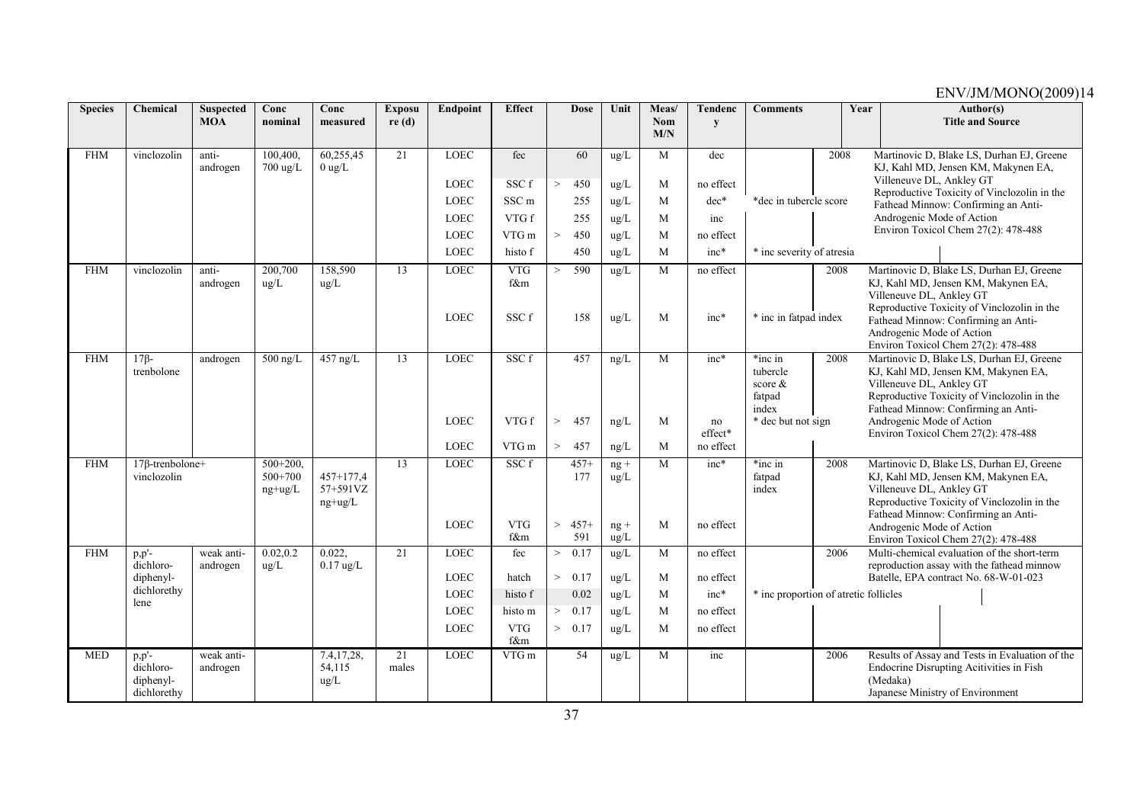| <b>Species</b> | Chemical                                           | <b>Suspected</b><br><b>MOA</b> | Conc<br>nominal                     | Conc<br>measured                     | <b>Exposu</b><br>re(d) | Endpoint            | <b>Effect</b>              | <b>Dose</b>            | Unit           | Meas/<br>Nom | <b>Tendenc</b>    | <b>Comments</b>                                   | Year | Author(s)<br><b>Title and Source</b>                                                                                                                                                               |
|----------------|----------------------------------------------------|--------------------------------|-------------------------------------|--------------------------------------|------------------------|---------------------|----------------------------|------------------------|----------------|--------------|-------------------|---------------------------------------------------|------|----------------------------------------------------------------------------------------------------------------------------------------------------------------------------------------------------|
|                |                                                    |                                |                                     |                                      |                        |                     |                            |                        |                | M/N          | y                 |                                                   |      |                                                                                                                                                                                                    |
| <b>FHM</b>     | vinclozolin                                        | anti-<br>androgen              | 100,400.<br>700 ug/L                | 60,255,45<br>$0$ ug/L                | 21                     | <b>LOEC</b>         | fec                        | 60                     | $\text{ug/L}$  | M            | dec               |                                                   | 2008 | Martinovic D, Blake LS, Durhan EJ, Greene<br>KJ, Kahl MD, Jensen KM, Makynen EA,                                                                                                                   |
|                |                                                    |                                |                                     |                                      |                        | LOEC                | SSC f                      | 450                    | ug/L           | M            | no effect         |                                                   |      | Villeneuve DL, Ankley GT<br>Reproductive Toxicity of Vinclozolin in the                                                                                                                            |
|                |                                                    |                                |                                     |                                      |                        | LOEC                | SSC <sub>m</sub>           | 255                    | $\text{ug/L}$  | M            | $dec*$            | *dec in tubercle score                            |      | Fathead Minnow: Confirming an Anti-                                                                                                                                                                |
|                |                                                    |                                |                                     |                                      |                        | LOEC                | VTG f                      | 255                    | $\text{ug/L}$  | M            | inc               |                                                   |      | Androgenic Mode of Action                                                                                                                                                                          |
|                |                                                    |                                |                                     |                                      |                        | LOEC                | VTG m                      | 450<br>$\,>$           | ug/L           | M            | no effect         |                                                   |      | Environ Toxicol Chem 27(2): 478-488                                                                                                                                                                |
|                |                                                    |                                |                                     |                                      |                        | <b>LOEC</b>         | histo f                    | 450                    | ug/L           | M            | $inc*$            | * inc severity of atresia                         |      |                                                                                                                                                                                                    |
| <b>FHM</b>     | vinclozolin                                        | anti-<br>androgen              | 200,700<br>ug/L                     | 158,590<br>ug/L                      | 13                     | LOEC<br><b>LOEC</b> | <b>VTG</b><br>f&m<br>SSC f | 590<br>$\,>$<br>158    | ug/L<br>ug/L   | M<br>M       | no effect<br>inc* | * inc in fatpad index                             | 2008 | Martinovic D, Blake LS, Durhan EJ, Greene<br>KJ, Kahl MD, Jensen KM, Makynen EA,<br>Villeneuve DL, Ankley GT<br>Reproductive Toxicity of Vinclozolin in the<br>Fathead Minnow: Confirming an Anti- |
|                |                                                    |                                |                                     |                                      |                        |                     |                            |                        |                |              |                   |                                                   |      | Androgenic Mode of Action<br>Environ Toxicol Chem 27(2): 478-488                                                                                                                                   |
| <b>FHM</b>     | $17\beta$ -<br>trenbolone                          | androgen                       | $\overline{500}$ ng/L               | $457$ ng/L                           | 13                     | <b>LOEC</b>         | SSCf                       | 457                    | ng/L           | M            | $inc*$            | *inc in<br>tubercle<br>score &<br>fatpad<br>index | 2008 | Martinovic D, Blake LS, Durhan EJ, Greene<br>KJ, Kahl MD, Jensen KM, Makynen EA,<br>Villeneuve DL, Ankley GT<br>Reproductive Toxicity of Vinclozolin in the<br>Fathead Minnow: Confirming an Anti- |
|                |                                                    |                                |                                     |                                      |                        | <b>LOEC</b>         | VTG f                      | $\,>$<br>457           | ng/L           | M            | no<br>effect*     | * dec but not sign                                |      | Androgenic Mode of Action<br>Environ Toxicol Chem 27(2): 478-488                                                                                                                                   |
|                |                                                    |                                |                                     |                                      |                        | LOEC                | VTG m                      | 457<br>$\,>$           | ng/L           | M            | no effect         |                                                   |      |                                                                                                                                                                                                    |
| <b>FHM</b>     | $17\beta$ -trenbolone+<br>vinclozolin              |                                | $500+200$ .<br>500+700<br>$ng+ug/L$ | $457+177.4$<br>57+591VZ<br>$ng+ug/L$ | 13                     | <b>LOEC</b>         | SSCf                       | $457+$<br>177          | $ng +$<br>ug/L | M            | $inc*$            | *inc in<br>fatpad<br>index                        | 2008 | Martinovic D, Blake LS, Durhan EJ, Greene<br>KJ, Kahl MD, Jensen KM, Makynen EA,<br>Villeneuve DL, Ankley GT<br>Reproductive Toxicity of Vinclozolin in the<br>Fathead Minnow: Confirming an Anti- |
|                |                                                    |                                |                                     |                                      |                        | <b>LOEC</b>         | <b>VTG</b><br>f&m          | $457+$<br>$\,>$<br>591 | $ng +$<br>ug/L | M            | no effect         |                                                   |      | Androgenic Mode of Action<br>Environ Toxicol Chem 27(2): 478-488                                                                                                                                   |
| <b>FHM</b>     | $p, p'$ -<br>dichloro-                             | weak anti-<br>androgen         | 0.02, 0.2<br>ug/L                   | 0.022,<br>$0.17$ ug/L                | 21                     | LOEC                | fec                        | 0.17<br>$\,>$          | ug/L           | M            | no effect         |                                                   | 2006 | Multi-chemical evaluation of the short-term<br>reproduction assay with the fathead minnow                                                                                                          |
|                | diphenyl-<br>dichlorethy                           |                                |                                     |                                      |                        | <b>LOEC</b>         | hatch                      | 0.17<br>$\,>$          | ug/L           | M            | no effect         |                                                   |      | Batelle, EPA contract No. 68-W-01-023                                                                                                                                                              |
|                | lene                                               |                                |                                     |                                      |                        | <b>LOEC</b>         | histo f                    | 0.02                   | $\text{ug/L}$  | M            | $inc*$            | * inc proportion of atretic follicles             |      |                                                                                                                                                                                                    |
|                |                                                    |                                |                                     |                                      |                        | LOEC                | histo m                    | 0.17<br>$\,>$          | ug/L           | M            | no effect         |                                                   |      |                                                                                                                                                                                                    |
|                |                                                    |                                |                                     |                                      |                        | <b>LOEC</b>         | <b>VTG</b><br>f&m          | 0.17<br>$\, >$         | ug/L           | M            | no effect         |                                                   |      |                                                                                                                                                                                                    |
| <b>MED</b>     | $p, p'$ -<br>dichloro-<br>diphenyl-<br>dichlorethy | weak anti-<br>androgen         |                                     | 7.4,17,28,<br>54,115<br>ug/L         | 21<br>males            | LOEC                | VTG m                      | 54                     | $\text{ug/L}$  | M            | inc               |                                                   | 2006 | Results of Assay and Tests in Evaluation of the<br>Endocrine Disrupting Acitivities in Fish<br>(Medaka)<br>Japanese Ministry of Environment                                                        |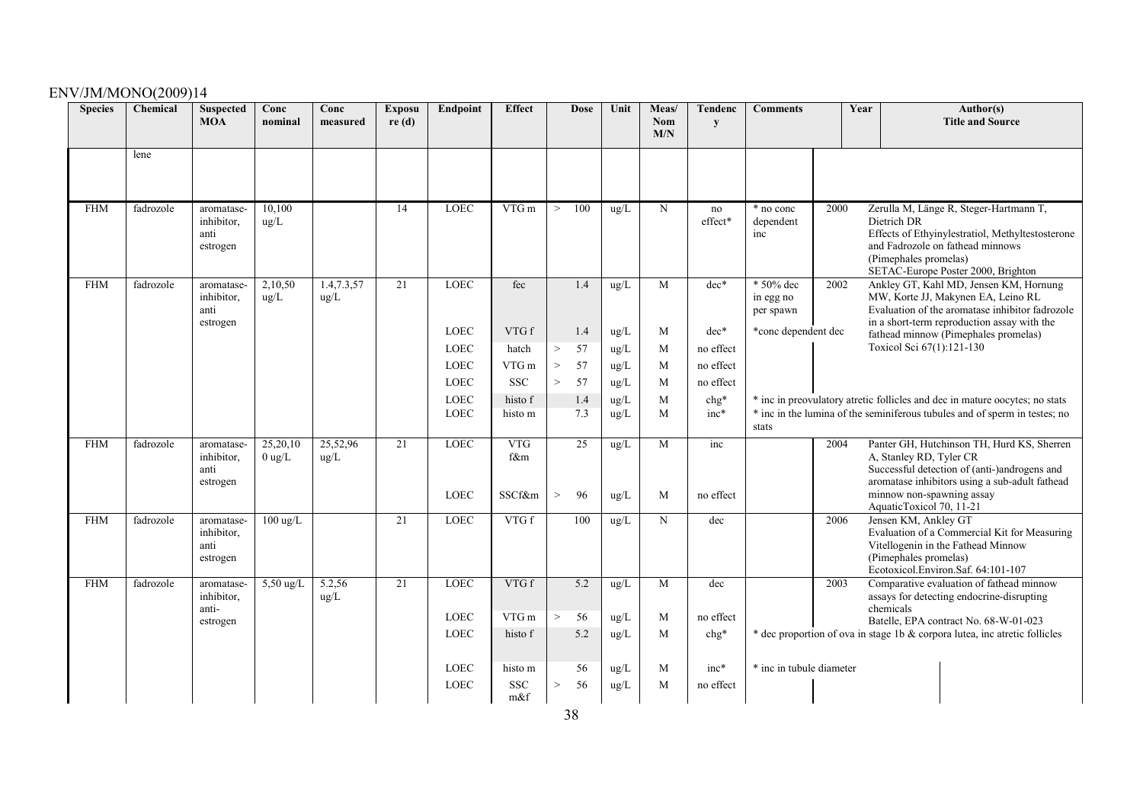| <b>Species</b> | Chemical  | <b>Suspected</b><br><b>MOA</b>               | Conc<br>nominal      | Conc<br>measured     | <b>Exposu</b><br>re(d) | Endpoint                   | <b>Effect</b>               | <b>Dose</b>        | Unit                           | Meas/<br>Nom<br>M/N | Tendenc<br>${\bf y}$ | <b>Comments</b>                     | Year |                                                                                  | Author(s)<br><b>Title and Source</b>                                                                                                                                           |
|----------------|-----------|----------------------------------------------|----------------------|----------------------|------------------------|----------------------------|-----------------------------|--------------------|--------------------------------|---------------------|----------------------|-------------------------------------|------|----------------------------------------------------------------------------------|--------------------------------------------------------------------------------------------------------------------------------------------------------------------------------|
|                | lene      |                                              |                      |                      |                        |                            |                             |                    |                                |                     |                      |                                     |      |                                                                                  |                                                                                                                                                                                |
| <b>FHM</b>     | fadrozole | aromatase-<br>inhibitor.<br>anti<br>estrogen | 10,100<br>ug/L       |                      | 14                     | <b>LOEC</b>                | VTG m                       | 100<br>$\,>$       | $\text{ug/L}$                  | N                   | no<br>effect*        | * no conc<br>dependent<br>inc       | 2000 | Dietrich DR<br>(Pimephales promelas)                                             | Zerulla M, Länge R, Steger-Hartmann T,<br>Effects of Ethyinylestratiol, Methyltestosterone<br>and Fadrozole on fathead minnows<br>SETAC-Europe Poster 2000, Brighton           |
| <b>FHM</b>     | fadrozole | aromatase-<br>inhibitor,<br>anti<br>estrogen | 2,10,50<br>ug/L      | 1.4, 7.3, 57<br>ug/L | 21                     | <b>LOEC</b>                | fec                         | 1.4                | ug/L                           | M                   | $dec*$               | * 50% dec<br>in egg no<br>per spawn | 2002 |                                                                                  | Ankley GT, Kahl MD, Jensen KM, Hornung<br>MW, Korte JJ, Makynen EA, Leino RL<br>Evaluation of the aromatase inhibitor fadrozole<br>in a short-term reproduction assay with the |
|                |           |                                              |                      |                      |                        | <b>LOEC</b>                | VTG f                       | 1.4                | $\text{ug/L}$                  | M                   | $dec*$               | *conc dependent dec                 |      |                                                                                  | fathead minnow (Pimephales promelas)                                                                                                                                           |
|                |           |                                              |                      |                      |                        | <b>LOEC</b>                | hatch                       | 57<br>$\,>$        | ug/L                           | M                   | no effect            |                                     |      | Toxicol Sci 67(1):121-130                                                        |                                                                                                                                                                                |
|                |           |                                              |                      |                      |                        | <b>LOEC</b>                | VTG m                       | 57<br>$\, >$       | $\rm ug/L$                     | M                   | no effect            |                                     |      |                                                                                  |                                                                                                                                                                                |
|                |           |                                              |                      |                      |                        | <b>LOEC</b>                | <b>SSC</b>                  | 57<br>$\,>$        | $\rm ug/L$                     | M                   | no effect            |                                     |      |                                                                                  |                                                                                                                                                                                |
|                |           |                                              |                      |                      |                        | <b>LOEC</b><br><b>LOEC</b> | histo f<br>histo m          | 1.4<br>7.3         | $\rm ug/L$<br>$\rm ug/L$       | M<br>M              | $chg*$<br>inc*       |                                     |      |                                                                                  | * inc in preovulatory atretic follicles and dec in mature oocytes; no stats<br>* inc in the lumina of the seminiferous tubules and of sperm in testes; no                      |
|                |           |                                              |                      |                      |                        |                            |                             |                    |                                |                     |                      | stats                               |      |                                                                                  |                                                                                                                                                                                |
| <b>FHM</b>     | fadrozole | aromatase-<br>inhibitor,<br>anti<br>estrogen | 25,20,10<br>$0$ ug/L | 25,52,96<br>ug/L     | 21                     | <b>LOEC</b><br>LOEC        | <b>VTG</b><br>f&m<br>SSCf&m | 25<br>96<br>$\,>$  | ug/L<br>ug/L                   | M<br>M              | inc<br>no effect     |                                     | 2004 | A, Stanley RD, Tyler CR<br>minnow non-spawning assay<br>AquaticToxicol 70, 11-21 | Panter GH, Hutchinson TH, Hurd KS, Sherren<br>Successful detection of (anti-)androgens and<br>aromatase inhibitors using a sub-adult fathead                                   |
| <b>FHM</b>     | fadrozole | aromatase-<br>inhibitor.<br>anti<br>estrogen | $100 \text{ ug/L}$   |                      | 21                     | <b>LOEC</b>                | VTG f                       | 100                | ug/L                           | N                   | dec                  |                                     | 2006 | Jensen KM, Ankley GT<br>(Pimephales promelas)                                    | Evaluation of a Commercial Kit for Measuring<br>Vitellogenin in the Fathead Minnow<br>Ecotoxicol.Environ.Saf. 64:101-107                                                       |
| <b>FHM</b>     | fadrozole | aromatase-<br>inhibitor,<br>anti-            | $5,50 \text{ ug/L}$  | 5.2,56<br>ug/L       | 21                     | <b>LOEC</b><br><b>LOEC</b> | VTG f<br>VTG m              | 5.2<br>56<br>$\,>$ | $\text{ug/L}$<br>$\text{ug/L}$ | M<br>M              | dec<br>no effect     |                                     | 2003 | chemicals                                                                        | Comparative evaluation of fathead minnow<br>assays for detecting endocrine-disrupting                                                                                          |
|                |           | estrogen                                     |                      |                      |                        | LOEC                       | histo f                     | 5.2                | $\rm ug/L$                     | M                   | $chg*$               |                                     |      |                                                                                  | Batelle, EPA contract No. 68-W-01-023<br>* dec proportion of ova in stage 1b & corpora lutea, inc atretic follicles                                                            |
|                |           |                                              |                      |                      |                        |                            |                             |                    |                                |                     |                      |                                     |      |                                                                                  |                                                                                                                                                                                |
|                |           |                                              |                      |                      |                        | <b>LOEC</b>                | histo m                     | 56                 | $\rm ug/L$                     | M                   | $inc*$               | * inc in tubule diameter            |      |                                                                                  |                                                                                                                                                                                |
|                |           |                                              |                      |                      |                        | <b>LOEC</b>                | <b>SSC</b>                  | 56<br>$\rm{>}$     | $\rm ug/L$                     | M                   | no effect            |                                     |      |                                                                                  |                                                                                                                                                                                |
|                |           |                                              |                      |                      |                        |                            | m&f                         |                    |                                |                     |                      |                                     |      |                                                                                  |                                                                                                                                                                                |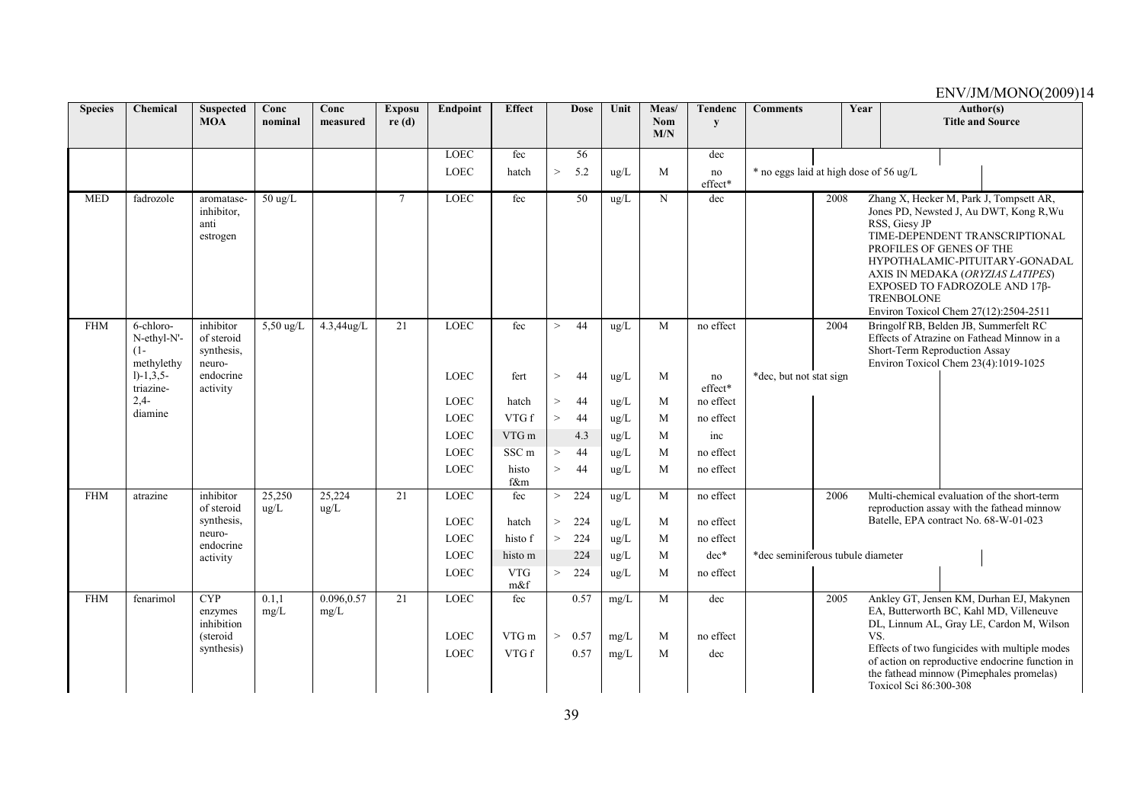| <b>Species</b> | Chemical                                         | <b>Suspected</b><br><b>MOA</b>                                | Conc<br>nominal     | Conc<br>measured        | <b>Exposu</b><br>re(d) | <b>Endpoint</b>                           | <b>Effect</b>         |        | <b>Dose</b>          | Unit                 | Meas/<br><b>Nom</b> | <b>Tendenc</b><br>y     | <b>Comments</b>                        |      | Year |                                                                                                                | Author(s)<br><b>Title and Source</b> |                                                                                                                                                                                                                                                                                 |  |
|----------------|--------------------------------------------------|---------------------------------------------------------------|---------------------|-------------------------|------------------------|-------------------------------------------|-----------------------|--------|----------------------|----------------------|---------------------|-------------------------|----------------------------------------|------|------|----------------------------------------------------------------------------------------------------------------|--------------------------------------|---------------------------------------------------------------------------------------------------------------------------------------------------------------------------------------------------------------------------------------------------------------------------------|--|
|                |                                                  |                                                               |                     |                         |                        |                                           |                       |        |                      |                      | M/N                 |                         |                                        |      |      |                                                                                                                |                                      |                                                                                                                                                                                                                                                                                 |  |
|                |                                                  |                                                               |                     |                         |                        | <b>LOEC</b>                               | fec                   |        | 56                   |                      |                     | dec                     |                                        |      |      |                                                                                                                |                                      |                                                                                                                                                                                                                                                                                 |  |
|                |                                                  |                                                               |                     |                         |                        | LOEC                                      | hatch                 | $\,>$  | 5.2                  | ug/L                 | M                   | no<br>effect*           | * no eggs laid at high dose of 56 ug/L |      |      |                                                                                                                |                                      |                                                                                                                                                                                                                                                                                 |  |
| <b>MED</b>     | fadrozole                                        | aromatase-<br>inhibitor,<br>anti<br>estrogen                  | $50 \text{ ug/L}$   |                         | $\tau$                 | LOEC                                      | fec                   |        | 50                   | ug/L                 | $\mathbf N$         | dec                     |                                        | 2008 |      | RSS, Giesy JP<br>PROFILES OF GENES OF THE<br><b>TRENBOLONE</b>                                                 |                                      | Zhang X, Hecker M, Park J, Tompsett AR,<br>Jones PD, Newsted J, Au DWT, Kong R, Wu<br>TIME-DEPENDENT TRANSCRIPTIONAL<br>HYPOTHALAMIC-PITUITARY-GONADAL<br>AXIS IN MEDAKA (ORYZIAS LATIPES)<br>EXPOSED TO FADROZOLE AND 17B-<br>Environ Toxicol Chem 27(12):2504-2511            |  |
| <b>FHM</b>     | 6-chloro-<br>N-ethyl-N'-<br>$(1 -$<br>methylethy | inhibitor<br>of steroid<br>synthesis,<br>neuro-               | $5,50 \text{ ug/L}$ | 4.3,44ug/L              | 21                     | <b>LOEC</b>                               | fec                   | >      | 44                   | ug/L                 | M                   | no effect               |                                        | 2004 |      | Bringolf RB, Belden JB, Summerfelt RC<br>Short-Term Reproduction Assay<br>Environ Toxicol Chem 23(4):1019-1025 |                                      | Effects of Atrazine on Fathead Minnow in a                                                                                                                                                                                                                                      |  |
|                | $1)-1,3,5-$<br>triazine-                         | endocrine<br>activity                                         |                     |                         |                        | <b>LOEC</b>                               | fert                  | $\geq$ | 44                   | ug/L                 | M                   | no<br>effect*           | *dec, but not stat sign                |      |      |                                                                                                                |                                      |                                                                                                                                                                                                                                                                                 |  |
|                | $2.4 -$<br>diamine                               |                                                               |                     |                         |                        | <b>LOEC</b>                               | hatch                 | $\geq$ | 44                   | ug/L                 | M                   | no effect               |                                        |      |      |                                                                                                                |                                      |                                                                                                                                                                                                                                                                                 |  |
|                |                                                  |                                                               |                     |                         |                        | <b>LOEC</b>                               | VTG f                 | $\geq$ | 44                   | ug/L                 | M                   | no effect               |                                        |      |      |                                                                                                                |                                      |                                                                                                                                                                                                                                                                                 |  |
|                |                                                  |                                                               |                     |                         |                        | <b>LOEC</b>                               | VTG m                 |        | 4.3                  | ug/L                 | M                   | inc                     |                                        |      |      |                                                                                                                |                                      |                                                                                                                                                                                                                                                                                 |  |
|                |                                                  |                                                               |                     |                         |                        | <b>LOEC</b>                               | SSC <sub>m</sub>      | >      | 44                   | ug/L                 | M                   | no effect               |                                        |      |      |                                                                                                                |                                      |                                                                                                                                                                                                                                                                                 |  |
|                |                                                  |                                                               |                     |                         |                        | LOEC                                      | histo<br>f&m          | $\geq$ | 44                   | ug/L                 | M                   | no effect               |                                        |      |      |                                                                                                                |                                      |                                                                                                                                                                                                                                                                                 |  |
| <b>FHM</b>     | atrazine                                         | inhibitor<br>of steroid                                       | 25,250<br>$\mu$ g/L | 25,224<br>$\text{ug/L}$ | 21                     | LOEC                                      | fec                   | $\geq$ | 224                  | ug/L                 | M                   | no effect               |                                        | 2006 |      |                                                                                                                |                                      | Multi-chemical evaluation of the short-term<br>reproduction assay with the fathead minnow                                                                                                                                                                                       |  |
|                |                                                  | synthesis,                                                    |                     |                         |                        | <b>LOEC</b>                               | hatch                 | $\,>$  | 224                  | ug/L                 | M                   | no effect               |                                        |      |      | Batelle, EPA contract No. 68-W-01-023                                                                          |                                      |                                                                                                                                                                                                                                                                                 |  |
|                |                                                  | neuro-<br>endocrine                                           |                     |                         |                        | <b>LOEC</b>                               | histo f               | $\geq$ | 224                  | ug/L                 | M                   | no effect               |                                        |      |      |                                                                                                                |                                      |                                                                                                                                                                                                                                                                                 |  |
|                |                                                  | activity                                                      |                     |                         |                        | <b>LOEC</b>                               | histo m               |        | 224                  | ug/L                 | M                   | dec*                    | *dec seminiferous tubule diameter      |      |      |                                                                                                                |                                      |                                                                                                                                                                                                                                                                                 |  |
|                |                                                  |                                                               |                     |                         |                        | LOEC                                      | <b>VTG</b><br>m&f     | >      | 224                  | ug/L                 | M                   | no effect               |                                        |      |      |                                                                                                                |                                      |                                                                                                                                                                                                                                                                                 |  |
| <b>FHM</b>     | fenarimol                                        | <b>CYP</b><br>enzymes<br>inhibition<br>(steroid<br>synthesis) | 0.1,1<br>mg/L       | 0.096,0.57<br>mg/L      | $\overline{21}$        | <b>LOEC</b><br><b>LOEC</b><br><b>LOEC</b> | fec<br>VTG m<br>VTG f | $\geq$ | 0.57<br>0.57<br>0.57 | mg/L<br>mg/L<br>mg/L | M<br>M<br>M         | dec<br>no effect<br>dec |                                        | 2005 | VS.  | Toxicol Sci 86:300-308                                                                                         |                                      | Ankley GT, Jensen KM, Durhan EJ, Makynen<br>EA, Butterworth BC, Kahl MD, Villeneuve<br>DL, Linnum AL, Gray LE, Cardon M, Wilson<br>Effects of two fungicides with multiple modes<br>of action on reproductive endocrine function in<br>the fathead minnow (Pimephales promelas) |  |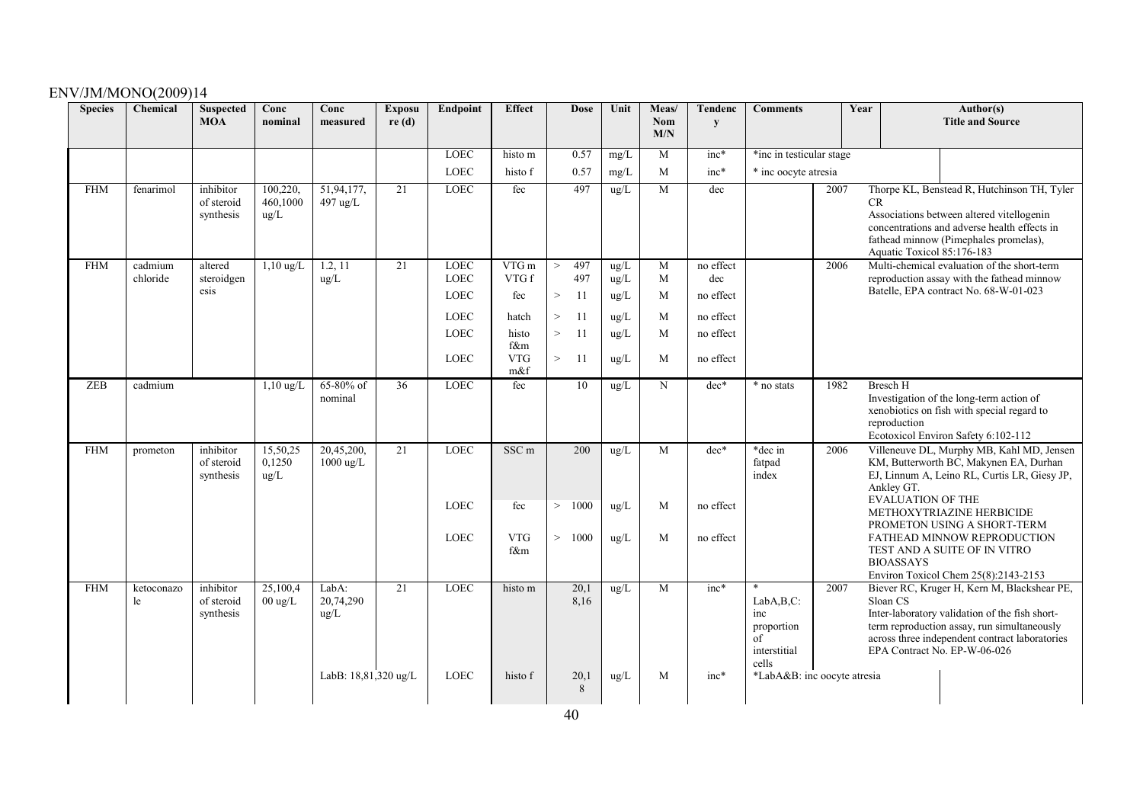| <b>Species</b> | Chemical         | <b>Suspected</b><br><b>MOA</b>       | Conc<br>nominal               | Conc<br>measured                  | <b>Exposu</b><br>re(d) | Endpoint    | <b>Effect</b>            | <b>Dose</b>         | Unit          | Meas/<br><b>Nom</b> | Tendenc<br>y | <b>Comments</b>                                               | Year | Author(s)<br><b>Title and Source</b>                                                                                                                                                                                                       |
|----------------|------------------|--------------------------------------|-------------------------------|-----------------------------------|------------------------|-------------|--------------------------|---------------------|---------------|---------------------|--------------|---------------------------------------------------------------|------|--------------------------------------------------------------------------------------------------------------------------------------------------------------------------------------------------------------------------------------------|
|                |                  |                                      |                               |                                   |                        |             |                          |                     |               | M/N                 |              |                                                               |      |                                                                                                                                                                                                                                            |
|                |                  |                                      |                               |                                   |                        | <b>LOEC</b> | histo m                  | 0.57                | mg/L          | M                   | $inc*$       | *inc in testicular stage                                      |      |                                                                                                                                                                                                                                            |
|                |                  |                                      |                               |                                   |                        | <b>LOEC</b> | histo f                  | 0.57                | mg/L          | M                   | $inc*$       | * inc oocyte atresia                                          |      |                                                                                                                                                                                                                                            |
| <b>FHM</b>     | fenarimol        | inhibitor<br>of steroid<br>synthesis | 100,220,<br>460,1000<br>ug/L  | 51,94,177,<br>497 ug/L            | $\overline{21}$        | <b>LOEC</b> | fec                      | 497                 | ug/L          | M                   | dec          |                                                               | 2007 | Thorpe KL, Benstead R, Hutchinson TH, Tyler<br><b>CR</b><br>Associations between altered vitellogenin<br>concentrations and adverse health effects in<br>fathead minnow (Pimephales promelas),<br>Aquatic Toxicol 85:176-183               |
| <b>FHM</b>     | cadmium          | altered                              | $1,10 \text{ ug/L}$           | 1.2, 11                           | 21                     | <b>LOEC</b> | VTG m                    | 497<br>$\mathbf{I}$ | ug/L          | M                   | no effect    |                                                               | 2006 | Multi-chemical evaluation of the short-term                                                                                                                                                                                                |
|                | chloride         | steroidgen                           |                               | ug/L                              |                        | <b>LOEC</b> | VTG f                    | 497                 | ug/L          | M                   | dec          |                                                               |      | reproduction assay with the fathead minnow                                                                                                                                                                                                 |
|                |                  | esis                                 |                               |                                   |                        | <b>LOEC</b> | fec                      | $\,>$<br>11         | ug/L          | M                   | no effect    |                                                               |      | Batelle, EPA contract No. 68-W-01-023                                                                                                                                                                                                      |
|                |                  |                                      |                               |                                   |                        | <b>LOEC</b> | hatch                    | $\,>$<br>11         | $\text{ug/L}$ | M                   | no effect    |                                                               |      |                                                                                                                                                                                                                                            |
|                |                  |                                      |                               |                                   |                        | <b>LOEC</b> | histo                    | $\, >$<br>11        | ug/L          | M                   | no effect    |                                                               |      |                                                                                                                                                                                                                                            |
|                |                  |                                      |                               |                                   |                        | <b>LOEC</b> | f&m<br><b>VTG</b><br>m&f | $\,>$<br>-11        | ug/L          | M                   | no effect    |                                                               |      |                                                                                                                                                                                                                                            |
| ZEB            | cadmium          |                                      | $1,10$ ug/L                   | 65-80% of<br>nominal              | 36                     | <b>LOEC</b> | fec                      | 10                  | ug/L          | N                   | dec*         | * no stats                                                    | 1982 | <b>Bresch H</b><br>Investigation of the long-term action of<br>xenobiotics on fish with special regard to<br>reproduction<br>Ecotoxicol Environ Safety 6:102-112                                                                           |
| <b>FHM</b>     | prometon         | inhibitor<br>of steroid<br>synthesis | 15,50,25<br>0,1250<br>ug/L    | 20,45,200,<br>$1000 \text{ ug/L}$ | 21                     | <b>LOEC</b> | SSC <sub>m</sub>         | 200                 | ug/L          | M                   | $dec*$       | *dec in<br>fatpad<br>index                                    | 2006 | Villeneuve DL, Murphy MB, Kahl MD, Jensen<br>KM, Butterworth BC, Makynen EA, Durhan<br>EJ, Linnum A, Leino RL, Curtis LR, Giesy JP,<br>Ankley GT.                                                                                          |
|                |                  |                                      |                               |                                   |                        | <b>LOEC</b> | fec                      | 1000<br>>           | $\text{ug/L}$ | M                   | no effect    |                                                               |      | <b>EVALUATION OF THE</b><br>METHOXYTRIAZINE HERBICIDE<br>PROMETON USING A SHORT-TERM                                                                                                                                                       |
|                |                  |                                      |                               |                                   |                        | <b>LOEC</b> | <b>VTG</b><br>f&m        | 1000<br>>           | $\text{ug/L}$ | M                   | no effect    |                                                               |      | FATHEAD MINNOW REPRODUCTION<br>TEST AND A SUITE OF IN VITRO<br><b>BIOASSAYS</b><br>Environ Toxicol Chem 25(8):2143-2153                                                                                                                    |
| <b>FHM</b>     | ketoconazo<br>le | inhibitor<br>of steroid<br>synthesis | 25,100,4<br>$00 \text{ ug/L}$ | LabA:<br>20,74,290<br>ug/L        | $\overline{21}$        | <b>LOEC</b> | histo m                  | 20,1<br>8,16        | ug/L          | M                   | $inc*$       | LabA,B,C:<br>inc<br>proportion<br>of<br>interstitial<br>cells | 2007 | Biever RC, Kruger H, Kern M, Blackshear PE,<br>Sloan CS<br>Inter-laboratory validation of the fish short-<br>term reproduction assay, run simultaneously<br>across three independent contract laboratories<br>EPA Contract No. EP-W-06-026 |
|                |                  |                                      |                               | LabB: 18,81,320 ug/L              |                        | <b>LOEC</b> | histo f                  | 20,1<br>8           | ug/L          | M                   | $inc*$       | *LabA&B: inc oocyte atresia                                   |      |                                                                                                                                                                                                                                            |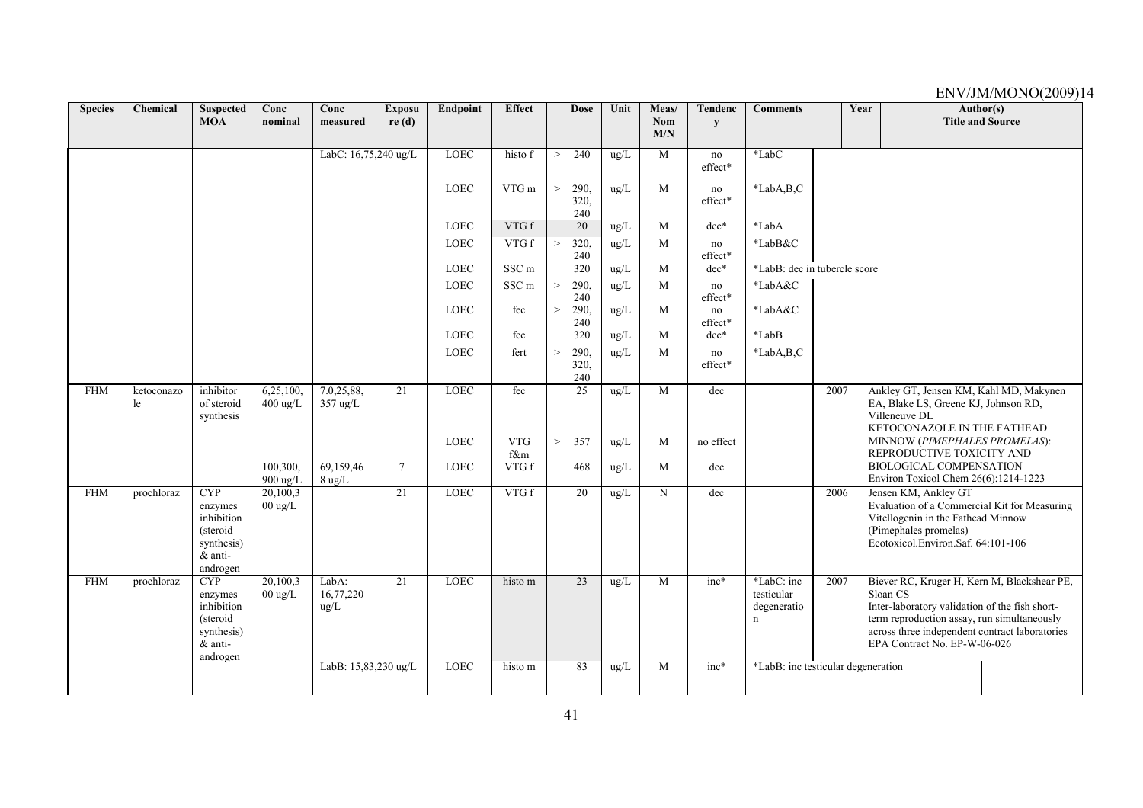| <b>Species</b> | Chemical         | <b>Suspected</b><br><b>MOA</b>                                                          | Conc<br>nominal                 | Conc<br>measured              | <b>Exposu</b><br>re(d) | Endpoint    | <b>Effect</b>     |          | <b>Dose</b>         | Unit          | Meas/<br>Nom | <b>Tendenc</b><br>y | <b>Comments</b>                              |      | Year |                                                                                                                           | Author(s)<br><b>Title and Source</b> |                                                                                                                                                                                                |
|----------------|------------------|-----------------------------------------------------------------------------------------|---------------------------------|-------------------------------|------------------------|-------------|-------------------|----------|---------------------|---------------|--------------|---------------------|----------------------------------------------|------|------|---------------------------------------------------------------------------------------------------------------------------|--------------------------------------|------------------------------------------------------------------------------------------------------------------------------------------------------------------------------------------------|
|                |                  |                                                                                         |                                 |                               |                        |             |                   |          |                     |               | M/N          |                     |                                              |      |      |                                                                                                                           |                                      |                                                                                                                                                                                                |
|                |                  |                                                                                         |                                 | LabC: 16,75,240 ug/L          |                        | <b>LOEC</b> | histo f           | $\geq$   | 240                 | ug/L          | M            | no<br>effect*       | *LabC                                        |      |      |                                                                                                                           |                                      |                                                                                                                                                                                                |
|                |                  |                                                                                         |                                 |                               |                        | LOEC        | VTG m             | $\,>$    | 290,<br>320.<br>240 | $\mu$ g/L     | M            | no<br>effect*       | *LabA,B,C                                    |      |      |                                                                                                                           |                                      |                                                                                                                                                                                                |
|                |                  |                                                                                         |                                 |                               |                        | <b>LOEC</b> | VTG f             |          | 20                  | $\text{ug/L}$ | M            | $dec*$              | *LabA                                        |      |      |                                                                                                                           |                                      |                                                                                                                                                                                                |
|                |                  |                                                                                         |                                 |                               |                        | <b>LOEC</b> | VTG f             | $\rm{>}$ | 320,<br>240         | ug/L          | M            | no<br>effect*       | *LabB&C                                      |      |      |                                                                                                                           |                                      |                                                                                                                                                                                                |
|                |                  |                                                                                         |                                 |                               |                        | LOEC        | SSC <sub>m</sub>  |          | 320                 | ug/L          | M            | $dec*$              | *LabB: dec in tubercle score                 |      |      |                                                                                                                           |                                      |                                                                                                                                                                                                |
|                |                  |                                                                                         |                                 |                               |                        | <b>LOEC</b> | SSC <sub>m</sub>  | $\,>$    | 290.<br>240         | ug/L          | M            | no<br>effect*       | *LabA&C                                      |      |      |                                                                                                                           |                                      |                                                                                                                                                                                                |
|                |                  |                                                                                         |                                 |                               |                        | <b>LOEC</b> | fec               | $\rm{>}$ | 290.<br>240         | $\text{ug/L}$ | M            | no<br>effect*       | $*$ LabA&C                                   |      |      |                                                                                                                           |                                      |                                                                                                                                                                                                |
|                |                  |                                                                                         |                                 |                               |                        | <b>LOEC</b> | fec               |          | 320                 | ug/L          | M            | $dec*$              | $*LabB$                                      |      |      |                                                                                                                           |                                      |                                                                                                                                                                                                |
|                |                  |                                                                                         |                                 |                               |                        | LOEC        | fert              | $\geq$   | 290,<br>320.<br>240 | ug/L          | M            | no<br>effect*       | *LabA,B,C                                    |      |      |                                                                                                                           |                                      |                                                                                                                                                                                                |
| <b>FHM</b>     | ketoconazo<br>le | inhibitor<br>of steroid<br>synthesis                                                    | 6,25,100,<br>$400 \text{ ug/L}$ | 7.0,25,88,<br>357 ug/L        | 21                     | <b>LOEC</b> | fec               |          | $\overline{25}$     | ug/L          | M            | dec                 |                                              | 2007 |      | EA, Blake LS, Greene KJ, Johnson RD,<br>Villeneuve DL<br>KETOCONAZOLE IN THE FATHEAD                                      |                                      | Ankley GT, Jensen KM, Kahl MD, Makynen                                                                                                                                                         |
|                |                  |                                                                                         |                                 |                               |                        | <b>LOEC</b> | <b>VTG</b><br>f&m | $\geq$   | 357                 | $\text{ug/L}$ | M            | no effect           |                                              |      |      | REPRODUCTIVE TOXICITY AND                                                                                                 |                                      | MINNOW (PIMEPHALES PROMELAS):                                                                                                                                                                  |
|                |                  |                                                                                         | 100,300,<br>$900 \text{ ug/L}$  | 69.159.46<br>$8 \text{ ug/L}$ | $\tau$                 | <b>LOEC</b> | VTG f             |          | 468                 | ug/L          | M            | dec                 |                                              |      |      | <b>BIOLOGICAL COMPENSATION</b><br>Environ Toxicol Chem 26(6):1214-1223                                                    |                                      |                                                                                                                                                                                                |
| <b>FHM</b>     | prochloraz       | <b>CYP</b><br>enzymes<br>inhibition<br>(steroid)<br>synthesis)<br>& anti-<br>androgen   | 20,100,3<br>$00 \text{ ug/L}$   |                               | 21                     | LOEC        | VTG f             |          | 20                  | ug/L          | N            | dec                 |                                              | 2006 |      | Jensen KM, Ankley GT<br>Vitellogenin in the Fathead Minnow<br>(Pimephales promelas)<br>Ecotoxicol.Environ.Saf. 64:101-106 |                                      | Evaluation of a Commercial Kit for Measuring                                                                                                                                                   |
| <b>FHM</b>     | prochloraz       | <b>CYP</b><br>enzymes<br>inhibition<br>(steroid)<br>synthesis)<br>$&$ anti-<br>androgen | 20,100,3<br>$00 \text{ ug/L}$   | LabA:<br>16,77,220<br>ug/L    | 21                     | LOEC        | histo m           |          | 23                  | ug/L          | M            | $inc*$              | *LabC: inc<br>testicular<br>degeneratio<br>n | 2007 |      | Sloan CS<br>EPA Contract No. EP-W-06-026                                                                                  |                                      | Biever RC, Kruger H, Kern M, Blackshear PE,<br>Inter-laboratory validation of the fish short-<br>term reproduction assay, run simultaneously<br>across three independent contract laboratories |
|                |                  |                                                                                         |                                 | LabB: 15,83,230 ug/L          |                        | LOEC        | histo m           |          | 83                  | ug/L          | M            | $inc*$              | *LabB: inc testicular degeneration           |      |      |                                                                                                                           |                                      |                                                                                                                                                                                                |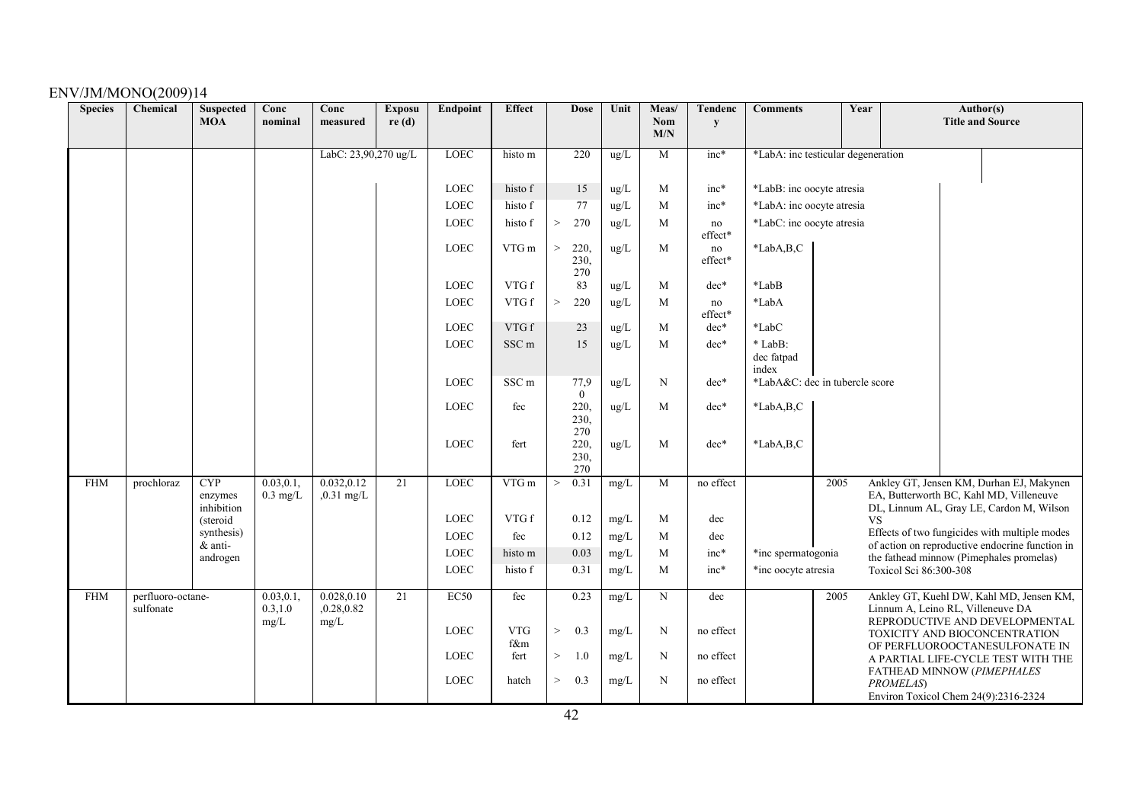| <b>Species</b> | Chemical          | <b>Suspected</b><br><b>MOA</b> | Conc<br>nominal | Conc<br>measured     | <b>Exposu</b><br>re(d) | Endpoint    | <b>Effect</b>    | <b>Dose</b>              | Unit       | Meas/<br><b>Nom</b> | <b>Tendenc</b><br>y | <b>Comments</b>                    |      | Year      |                                   | Author(s)<br><b>Title and Source</b>                                                        |
|----------------|-------------------|--------------------------------|-----------------|----------------------|------------------------|-------------|------------------|--------------------------|------------|---------------------|---------------------|------------------------------------|------|-----------|-----------------------------------|---------------------------------------------------------------------------------------------|
|                |                   |                                |                 |                      |                        |             |                  |                          |            | M/N                 |                     |                                    |      |           |                                   |                                                                                             |
|                |                   |                                |                 | LabC: 23,90,270 ug/L |                        | LOEC        | histo m          | 220                      | ug/L       | M                   | inc*                | *LabA: inc testicular degeneration |      |           |                                   |                                                                                             |
|                |                   |                                |                 |                      |                        |             |                  |                          |            |                     |                     |                                    |      |           |                                   |                                                                                             |
|                |                   |                                |                 |                      |                        | LOEC        | histo f          | 15                       | ug/L       | M                   | $inc*$              | *LabB: inc oocyte atresia          |      |           |                                   |                                                                                             |
|                |                   |                                |                 |                      |                        | <b>LOEC</b> | histo f          | 77                       | ug/L       | M                   | $inc*$              | *LabA: inc oocyte atresia          |      |           |                                   |                                                                                             |
|                |                   |                                |                 |                      |                        | LOEC        | histo f          | 270<br>$\,>$             | $\rm ug/L$ | $\mathbf{M}$        | no<br>effect*       | *LabC: inc oocyte atresia          |      |           |                                   |                                                                                             |
|                |                   |                                |                 |                      |                        | LOEC        | VTG m            | 220,<br>><br>230.<br>270 | ug/L       | M                   | no<br>effect*       | *LabA,B,C                          |      |           |                                   |                                                                                             |
|                |                   |                                |                 |                      |                        | LOEC        | VTG f            | 83                       | $\rm ug/L$ | M                   | $dec*$              | *LabB                              |      |           |                                   |                                                                                             |
|                |                   |                                |                 |                      |                        | <b>LOEC</b> | VTG f            | $\, >$<br>220            | ug/L       | M                   | no<br>effect*       | *LabA                              |      |           |                                   |                                                                                             |
|                |                   |                                |                 |                      |                        | LOEC        | VTG f            | 23                       | ug/L       | M                   | $dec*$              | *LabC                              |      |           |                                   |                                                                                             |
|                |                   |                                |                 |                      |                        | LOEC        | SSC <sub>m</sub> | 15                       | ug/L       | M                   | $dec*$              | * LabB:                            |      |           |                                   |                                                                                             |
|                |                   |                                |                 |                      |                        |             |                  |                          |            |                     |                     | dec fatpad<br>index                |      |           |                                   |                                                                                             |
|                |                   |                                |                 |                      |                        | LOEC        | SSC <sub>m</sub> | 77,9                     | $\rm ug/L$ | N                   | $dec*$              | *LabA&C: dec in tubercle score     |      |           |                                   |                                                                                             |
|                |                   |                                |                 |                      |                        | <b>LOEC</b> | fec              | $\overline{0}$<br>220,   | $\rm ug/L$ | M                   | $dec*$              | $*LabA,B,C$                        |      |           |                                   |                                                                                             |
|                |                   |                                |                 |                      |                        |             |                  | 230,                     |            |                     |                     |                                    |      |           |                                   |                                                                                             |
|                |                   |                                |                 |                      |                        | LOEC        | fert             | 270<br>220,              | ug/L       | M                   | $dec*$              | *LabA,B,C                          |      |           |                                   |                                                                                             |
|                |                   |                                |                 |                      |                        |             |                  | 230.                     |            |                     |                     |                                    |      |           |                                   |                                                                                             |
| <b>FHM</b>     | prochloraz        | <b>CYP</b>                     | 0.03, 0.1       | 0.032, 0.12          | $\overline{21}$        | <b>LOEC</b> | VTG m            | 270<br>0.31<br>$\,>$     | mg/L       | $\overline{M}$      | no effect           |                                    | 2005 |           |                                   | Ankley GT, Jensen KM, Durhan EJ, Makynen                                                    |
|                |                   | enzymes                        | $0.3$ mg/L      | $,0.31$ mg/L         |                        |             |                  |                          |            |                     |                     |                                    |      |           |                                   | EA, Butterworth BC, Kahl MD, Villeneuve                                                     |
|                |                   | inhibition<br>(steroid         |                 |                      |                        | LOEC        | VTG f            | 0.12                     | mg/L       | M                   | dec                 |                                    |      | <b>VS</b> |                                   | DL, Linnum AL, Gray LE, Cardon M, Wilson                                                    |
|                |                   | synthesis)                     |                 |                      |                        | LOEC        | fec              | 0.12                     | mg/L       | M                   | dec                 |                                    |      |           |                                   | Effects of two fungicides with multiple modes                                               |
|                |                   | & anti-<br>androgen            |                 |                      |                        | LOEC        | histo m          | 0.03                     | mg/L       | M                   | inc*                | *inc spermatogonia                 |      |           |                                   | of action on reproductive endocrine function in<br>the fathead minnow (Pimephales promelas) |
|                |                   |                                |                 |                      |                        | LOEC        | histo f          | 0.31                     | mg/L       | M                   | $inc*$              | *inc oocyte atresia                |      |           | Toxicol Sci 86:300-308            |                                                                                             |
| <b>FHM</b>     | perfluoro-octane- |                                | 0.03, 0.1       | 0.028, 0.10          | $\overline{21}$        | EC50        | fec              | 0.23                     | mg/L       | $\mathbf N$         | dec                 |                                    | 2005 |           |                                   | Ankley GT, Kuehl DW, Kahl MD, Jensen KM,                                                    |
|                | sulfonate         |                                | 0.3, 1.0        | 0.28, 0.82           |                        |             |                  |                          |            |                     |                     |                                    |      |           | Linnum A, Leino RL, Villeneuve DA |                                                                                             |
|                |                   |                                | mg/L            | mg/L                 |                        | <b>LOEC</b> | <b>VTG</b>       | 0.3<br>$\,>$             | mg/L       | N                   | no effect           |                                    |      |           |                                   | REPRODUCTIVE AND DEVELOPMENTAL<br>TOXICITY AND BIOCONCENTRATION                             |
|                |                   |                                |                 |                      |                        | <b>LOEC</b> | f&m<br>fert      | 1.0<br>>                 | mg/L       | N                   | no effect           |                                    |      |           |                                   | OF PERFLUOROOCTANESULFONATE IN                                                              |
|                |                   |                                |                 |                      |                        |             |                  |                          |            |                     |                     |                                    |      |           |                                   | A PARTIAL LIFE-CYCLE TEST WITH THE<br>FATHEAD MINNOW (PIMEPHALES                            |
|                |                   |                                |                 |                      |                        | LOEC        | hatch            | 0.3<br>>                 | mg/L       | N                   | no effect           |                                    |      | PROMELAS) |                                   |                                                                                             |
|                |                   |                                |                 |                      |                        |             |                  |                          |            |                     |                     |                                    |      |           |                                   | Environ Toxicol Chem 24(9):2316-2324                                                        |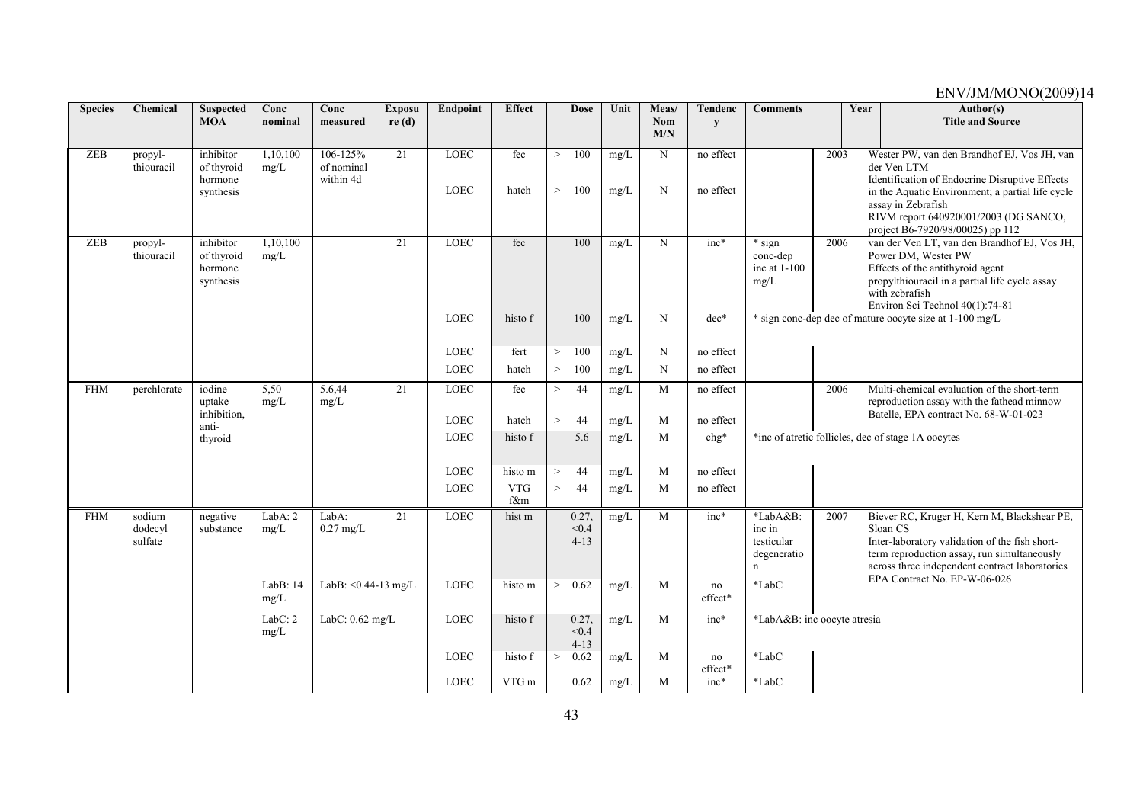| <b>Species</b> | Chemical                     | <b>Suspected</b><br><b>MOA</b>                  | Conc<br>nominal  | Conc<br>measured                    | <b>Exposu</b><br>re(d) | Endpoint                   | <b>Effect</b>     |                  | <b>Dose</b>                | Unit         | Meas/<br>Nom | <b>Tendenc</b><br>y    | <b>Comments</b>                                                |      | Year |                                       | Author(s)<br><b>Title and Source</b>                                                                                                                                                                                           |
|----------------|------------------------------|-------------------------------------------------|------------------|-------------------------------------|------------------------|----------------------------|-------------------|------------------|----------------------------|--------------|--------------|------------------------|----------------------------------------------------------------|------|------|---------------------------------------|--------------------------------------------------------------------------------------------------------------------------------------------------------------------------------------------------------------------------------|
|                |                              |                                                 |                  |                                     |                        |                            |                   |                  |                            |              | M/N          |                        |                                                                |      |      |                                       |                                                                                                                                                                                                                                |
| <b>ZEB</b>     | propyl-<br>thiouracil        | inhibitor<br>of thyroid<br>hormone<br>synthesis | 1,10,100<br>mg/L | 106-125%<br>of nominal<br>within 4d | 21                     | <b>LOEC</b><br><b>LOEC</b> | fec<br>hatch      | $\geq$<br>$\geq$ | 100<br>100                 | mg/L<br>mg/L | N<br>N       | no effect<br>no effect |                                                                | 2003 |      | der Ven LTM<br>assay in Zebrafish     | Wester PW, van den Brandhof EJ, Vos JH, van<br>Identification of Endocrine Disruptive Effects<br>in the Aquatic Environment; a partial life cycle<br>RIVM report 640920001/2003 (DG SANCO,<br>project B6-7920/98/00025) pp 112 |
| <b>ZEB</b>     | propyl-<br>thiouracil        | inhibitor<br>of thyroid<br>hormone<br>synthesis | 1,10,100<br>mg/L |                                     | 21                     | LOEC                       | fec               |                  | 100                        | mg/L         | N            | $inc*$                 | $*$ sign<br>conc-dep<br>inc at 1-100<br>mg/L                   | 2006 |      | Power DM, Wester PW<br>with zebrafish | van der Ven LT, van den Brandhof EJ, Vos JH,<br>Effects of the antithyroid agent<br>propylthiouracil in a partial life cycle assay<br>Environ Sci Technol 40(1):74-81                                                          |
|                |                              |                                                 |                  |                                     |                        | <b>LOEC</b>                | histo f           |                  | 100                        | $mg/L$       | N            | $dec*$                 |                                                                |      |      |                                       | * sign conc-dep dec of mature oocyte size at 1-100 mg/L                                                                                                                                                                        |
|                |                              |                                                 |                  |                                     |                        | <b>LOEC</b>                | fert              | $\geq$           | 100                        | mg/L         | N            | no effect              |                                                                |      |      |                                       |                                                                                                                                                                                                                                |
|                |                              |                                                 |                  |                                     |                        | LOEC                       | hatch             | $\geq$           | 100                        | mg/L         | N            | no effect              |                                                                |      |      |                                       |                                                                                                                                                                                                                                |
| <b>FHM</b>     | perchlorate                  | iodine<br>uptake<br>inhibition,                 | 5,50<br>mg/L     | 5.6,44<br>mg/L                      | 21                     | $\rm LOEC$                 | fec               | $\geq$           | 44                         | mg/L         | M            | no effect              |                                                                | 2006 |      |                                       | Multi-chemical evaluation of the short-term<br>reproduction assay with the fathead minnow<br>Batelle, EPA contract No. 68-W-01-023                                                                                             |
|                |                              | anti-                                           |                  |                                     |                        | <b>LOEC</b>                | hatch             | $\geq$           | 44                         | $mg/L$       | M            | no effect              |                                                                |      |      |                                       |                                                                                                                                                                                                                                |
|                |                              | thyroid                                         |                  |                                     |                        | <b>LOEC</b>                | histo f           |                  | 5.6                        | mg/L         | M            | $chg*$                 | *inc of atretic follicles, dec of stage 1A oocytes             |      |      |                                       |                                                                                                                                                                                                                                |
|                |                              |                                                 |                  |                                     |                        | <b>LOEC</b>                | histo m           | $\geq$           | 44                         | mg/L         | M            | no effect              |                                                                |      |      |                                       |                                                                                                                                                                                                                                |
|                |                              |                                                 |                  |                                     |                        | <b>LOEC</b>                | <b>VTG</b><br>f&m | $\geq$           | 44                         | $mg/L$       | M            | no effect              |                                                                |      |      |                                       |                                                                                                                                                                                                                                |
| <b>FHM</b>     | sodium<br>dodecyl<br>sulfate | negative<br>substance                           | LabA: 2<br>mg/L  | LabA:<br>$0.27$ mg/L                | 21                     | <b>LOEC</b>                | hist m            |                  | 0.27,<br>< 0.4<br>$4 - 13$ | mg/L         | M            | $inc*$                 | *LabA&B:<br>inc in<br>testicular<br>degeneratio<br>$\mathbf n$ | 2007 |      | Sloan CS                              | Biever RC, Kruger H, Kern M, Blackshear PE,<br>Inter-laboratory validation of the fish short-<br>term reproduction assay, run simultaneously<br>across three independent contract laboratories<br>EPA Contract No. EP-W-06-026 |
|                |                              |                                                 | LabB: 14<br>mg/L | LabB: $< 0.44 - 13$ mg/L            |                        | <b>LOEC</b>                | histo m           | >                | 0.62                       | mg/L         | M            | no<br>effect*          | *LabC                                                          |      |      |                                       |                                                                                                                                                                                                                                |
|                |                              |                                                 | LabC: 2<br>mg/L  | LabC: $0.62$ mg/L                   |                        | <b>LOEC</b>                | histo f           |                  | 0.27,<br>< 0.4<br>$4 - 13$ | mg/L         | M            | inc*                   | *LabA&B: inc oocyte atresia                                    |      |      |                                       |                                                                                                                                                                                                                                |
|                |                              |                                                 |                  |                                     |                        | <b>LOEC</b>                | histo f           | $\geq$           | 0.62                       | mg/L         | M            | no<br>effect*          | $*$ Lab $C$                                                    |      |      |                                       |                                                                                                                                                                                                                                |
|                |                              |                                                 |                  |                                     |                        | <b>LOEC</b>                | VTG m             |                  | 0.62                       | mg/L         | M            | $inc*$                 | *LabC                                                          |      |      |                                       |                                                                                                                                                                                                                                |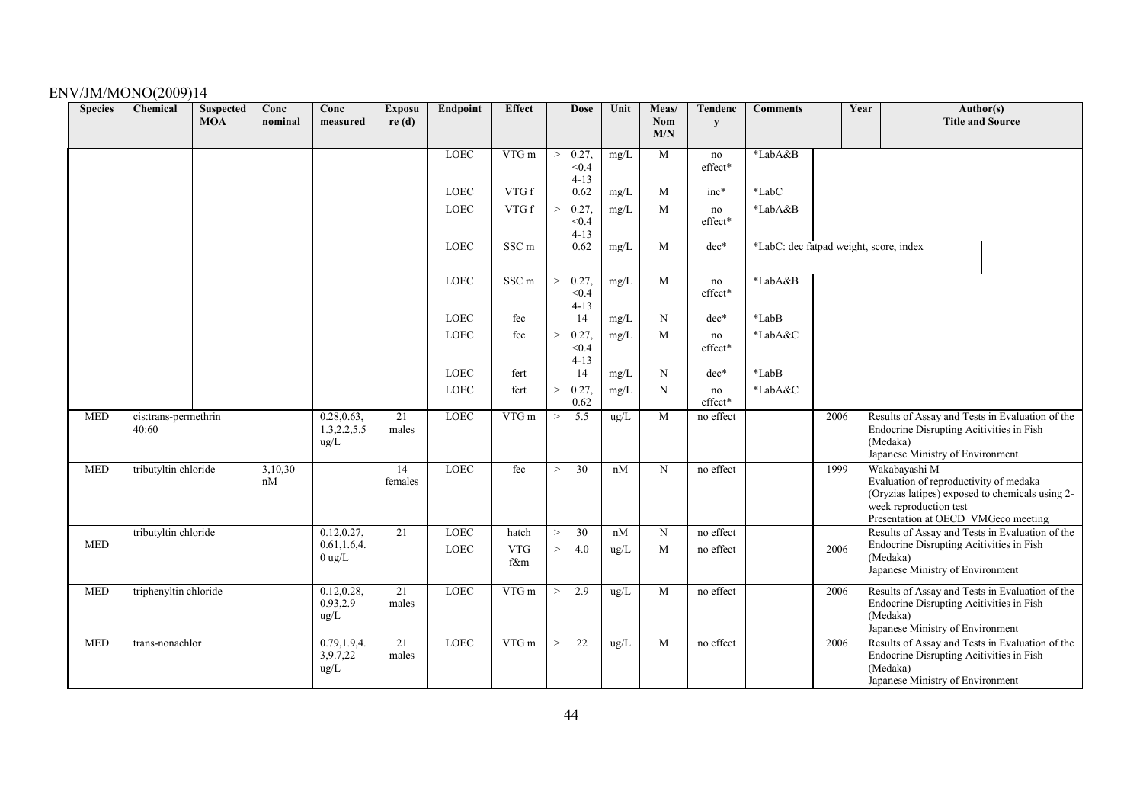| <b>Species</b> | Chemical                      | <b>Suspected</b><br><b>MOA</b> | Conc<br>nominal | Conc<br>measured                           | <b>Exposu</b><br>re(d)   | Endpoint                   | <b>Effect</b>              |                 | <b>Dose</b>                | Unit             | Meas/<br>Nom | <b>Tendenc</b><br>y    | <b>Comments</b>                        |      | Year | Author(s)<br><b>Title and Source</b>                                                                                                                                        |
|----------------|-------------------------------|--------------------------------|-----------------|--------------------------------------------|--------------------------|----------------------------|----------------------------|-----------------|----------------------------|------------------|--------------|------------------------|----------------------------------------|------|------|-----------------------------------------------------------------------------------------------------------------------------------------------------------------------------|
|                |                               |                                |                 |                                            |                          |                            |                            |                 |                            |                  | M/N          |                        |                                        |      |      |                                                                                                                                                                             |
|                |                               |                                |                 |                                            |                          | <b>LOEC</b>                | VTG m                      | $\geq$          | 0.27,<br>< 0.4<br>$4 - 13$ | mg/L             | M            | no<br>effect*          | *LabA&B                                |      |      |                                                                                                                                                                             |
|                |                               |                                |                 |                                            |                          | <b>LOEC</b>                | VTG f                      |                 | 0.62                       | mg/L             | M            | $inc*$                 | *LabC                                  |      |      |                                                                                                                                                                             |
|                |                               |                                |                 |                                            |                          | <b>LOEC</b>                | VTG f                      | $\,>$           | 0.27,<br>< 0.4<br>$4 - 13$ | mg/L             | M            | no<br>$\rm effect*$    | *LabA&B                                |      |      |                                                                                                                                                                             |
|                |                               |                                |                 |                                            |                          | LOEC                       | SSC <sub>m</sub>           |                 | 0.62                       | $mg/L$           | M            | $dec*$                 | *LabC: dec fatpad weight, score, index |      |      |                                                                                                                                                                             |
|                |                               |                                |                 |                                            |                          | <b>LOEC</b>                | SSC <sub>m</sub>           | $\rm{>}$        | 0.27,<br>< 0.4<br>$4 - 13$ | $mg/L$           | M            | no<br>effect*          | *LabA&B                                |      |      |                                                                                                                                                                             |
|                |                               |                                |                 |                                            |                          | <b>LOEC</b>                | fec                        |                 | 14                         | mg/L             | N            | $dec*$                 | *LabB                                  |      |      |                                                                                                                                                                             |
|                |                               |                                |                 |                                            |                          | <b>LOEC</b>                | fec                        | $\,>$           | 0.27,<br>< 0.4<br>$4 - 13$ | mg/L             | M            | no<br>effect*          | *LabA&C                                |      |      |                                                                                                                                                                             |
|                |                               |                                |                 |                                            |                          | <b>LOEC</b>                | fert                       |                 | 14                         | mg/L             | N            | $dec*$                 | *LabB                                  |      |      |                                                                                                                                                                             |
|                |                               |                                |                 |                                            |                          | <b>LOEC</b>                | fert                       | $\,>$           | 0.27,<br>0.62              | mg/L             | N            | no<br>effect*          | *LabA&C                                |      |      |                                                                                                                                                                             |
| <b>MED</b>     | cis:trans-permethrin<br>40:60 |                                |                 | 0.28, 0.63,<br>1.3, 2.2, 5.5<br>ug/L       | 21<br>males              | <b>LOEC</b>                | VTG m                      | $\rm{>}$        | 5.5                        | ug/L             | M            | no effect              |                                        | 2006 |      | Results of Assay and Tests in Evaluation of the<br>Endocrine Disrupting Acitivities in Fish<br>(Medaka)<br>Japanese Ministry of Environment                                 |
| <b>MED</b>     | tributyltin chloride          |                                | 3,10,30<br>nM   |                                            | 14<br>females            | <b>LOEC</b>                | fec                        | $\geq$          | $\overline{30}$            | nM               | $\mathbf N$  | no effect              |                                        | 1999 |      | Wakabayashi M<br>Evaluation of reproductivity of medaka<br>(Oryzias latipes) exposed to chemicals using 2-<br>week reproduction test<br>Presentation at OECD VMGeco meeting |
| <b>MED</b>     | tributyltin chloride          |                                |                 | 0.12, 0.27,<br>0.61, 1.6, 4.<br>$0$ ug/L   | 21                       | <b>LOEC</b><br><b>LOEC</b> | hatch<br><b>VTG</b><br>f&m | $\,>$<br>$\geq$ | 30<br>4.0                  | nM<br>$\rm ug/L$ | N<br>M       | no effect<br>no effect |                                        | 2006 |      | Results of Assay and Tests in Evaluation of the<br>Endocrine Disrupting Acitivities in Fish<br>(Medaka)<br>Japanese Ministry of Environment                                 |
| <b>MED</b>     | triphenyltin chloride         |                                |                 | 0.12, 0.28,<br>0.93,2.9<br>ug/L            | 21<br>males              | <b>LOEC</b>                | VTG m                      | $\geq$          | 2.9                        | ug/L             | M            | no effect              |                                        | 2006 |      | Results of Assay and Tests in Evaluation of the<br>Endocrine Disrupting Acitivities in Fish<br>(Medaka)<br>Japanese Ministry of Environment                                 |
| <b>MED</b>     | trans-nonachlor               |                                |                 | 0.79, 1.9, 4.<br>3,9.7,22<br>$\text{ug/L}$ | $\overline{21}$<br>males | <b>LOEC</b>                | VTG m                      | $\geq$          | $\overline{22}$            | ug/L             | M            | no effect              |                                        | 2006 |      | Results of Assay and Tests in Evaluation of the<br>Endocrine Disrupting Acitivities in Fish<br>(Medaka)<br>Japanese Ministry of Environment                                 |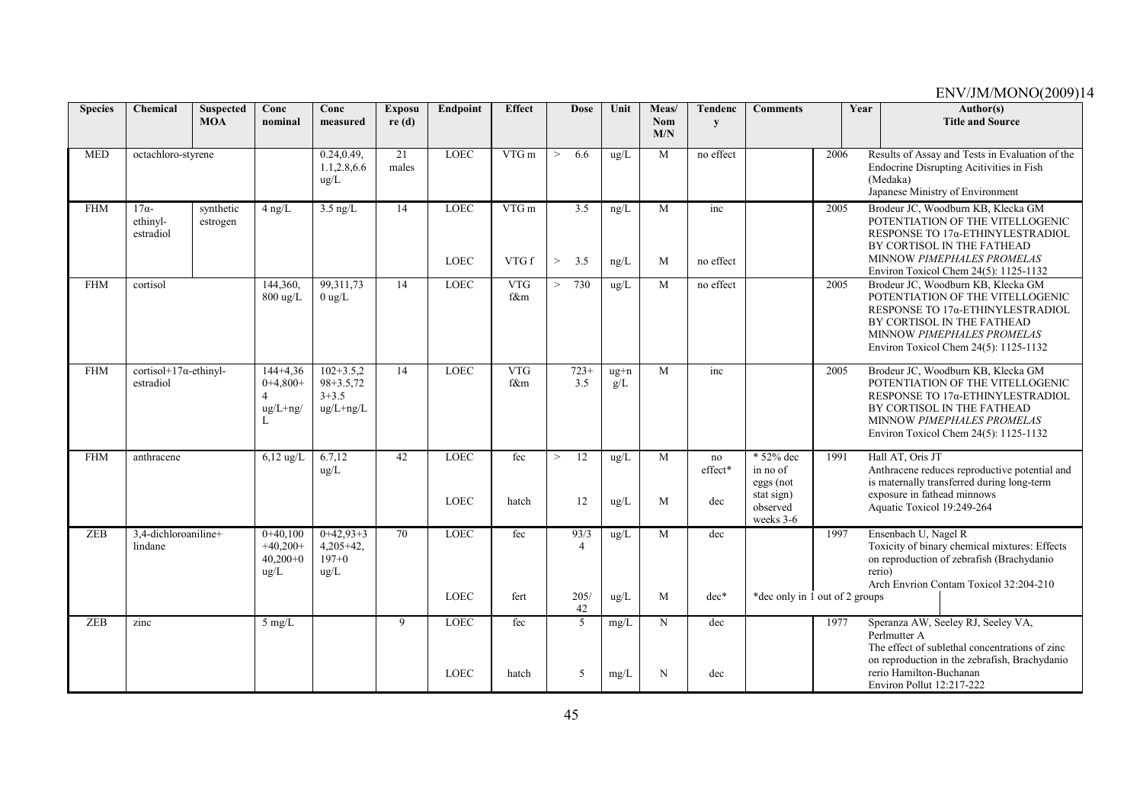| <b>Species</b> | Chemical                                    | <b>Suspected</b><br><b>MOA</b> | Conc<br>nominal                                         | Conc<br>measured                                           | <b>Exposu</b><br>re(d)   | <b>Endpoint</b>            | <b>Effect</b>     | <b>Dose</b>                   | Unit                  | Meas/<br><b>Nom</b> | Tendenc<br>y         | <b>Comments</b>                                                           |      | Year | Author(s)<br><b>Title and Source</b>                                                                                                                                                                            |
|----------------|---------------------------------------------|--------------------------------|---------------------------------------------------------|------------------------------------------------------------|--------------------------|----------------------------|-------------------|-------------------------------|-----------------------|---------------------|----------------------|---------------------------------------------------------------------------|------|------|-----------------------------------------------------------------------------------------------------------------------------------------------------------------------------------------------------------------|
|                |                                             |                                |                                                         |                                                            |                          |                            |                   |                               |                       | M/N                 |                      |                                                                           |      |      |                                                                                                                                                                                                                 |
| <b>MED</b>     | octachloro-styrene                          |                                |                                                         | 0.24, 0.49,<br>1.1.2.8,6.6<br>ug/L                         | $\overline{21}$<br>males | <b>LOEC</b>                | VTGm              | 6.6<br>$\geq$                 | ug/L                  | M                   | no effect            |                                                                           | 2006 |      | Results of Assay and Tests in Evaluation of the<br>Endocrine Disrupting Acitivities in Fish<br>(Medaka)<br>Japanese Ministry of Environment                                                                     |
| <b>FHM</b>     | $17\alpha$<br>ethinyl-<br>estradiol         | synthetic<br>estrogen          | $4$ ng/L                                                | $3.5$ ng/L                                                 | 14                       | <b>LOEC</b><br><b>LOEC</b> | VTGm<br>VTG f     | 3.5<br>$\geq$<br>3.5          | ng/L<br>ng/L          | M<br>M              | inc<br>no effect     |                                                                           | 2005 |      | Brodeur JC, Woodburn KB, Klecka GM<br>POTENTIATION OF THE VITELLOGENIC<br>RESPONSE ΤΟ 17α-ΕΤΗΙΝΥLESTRADIOL<br>BY CORTISOL IN THE FATHEAD<br>MINNOW PIMEPHALES PROMELAS<br>Environ Toxicol Chem 24(5): 1125-1132 |
| <b>FHM</b>     | cortisol                                    |                                | 144,360,<br>$800 \text{ ug/L}$                          | 99,311,73<br>$0$ ug/L                                      | 14                       | LOEC                       | <b>VTG</b><br>f&m | 730<br>$\geq$                 | ug/L                  | M                   | no effect            |                                                                           | 2005 |      | Brodeur JC, Woodburn KB, Klecka GM<br>POTENTIATION OF THE VITELLOGENIC<br>RESPONSE ΤΟ 17α-ΕΤΗΙΝΥLESTRADIOL<br>BY CORTISOL IN THE FATHEAD<br>MINNOW PIMEPHALES PROMELAS<br>Environ Toxicol Chem 24(5): 1125-1132 |
| <b>FHM</b>     | cortisol+17 $\alpha$ -ethinyl-<br>estradiol |                                | $144+4.36$<br>$0+4,800+$<br>$ug/L+ng/$                  | $102 + 3.5.2$<br>$98 + 3.5.72$<br>$3 + 3.5$<br>$ug/L+ng/L$ | 14                       | <b>LOEC</b>                | <b>VTG</b><br>f&m | $723+$<br>3.5                 | $ug+n$<br>g/L         | M                   | inc                  |                                                                           | 2005 |      | Brodeur JC, Woodburn KB, Klecka GM<br>POTENTIATION OF THE VITELLOGENIC<br>RESPONSE ΤΟ 17α-ΕΤΗΙΝΥLESTRADIOL<br>BY CORTISOL IN THE FATHEAD<br>MINNOW PIMEPHALES PROMELAS<br>Environ Toxicol Chem 24(5): 1125-1132 |
| <b>FHM</b>     | anthracene                                  |                                | $6,12$ ug/L                                             | 6.7,12<br>$\text{ug/L}$                                    | 42                       | <b>LOEC</b><br><b>LOEC</b> | fec<br>hatch      | 12<br>$\qquad \qquad >$<br>12 | ug/L<br>$\text{ug/L}$ | M<br>M              | no<br>effect*<br>dec | * 52% dec<br>in no of<br>eggs (not<br>stat sign)<br>observed<br>weeks 3-6 | 1991 |      | Hall AT, Oris JT<br>Anthracene reduces reproductive potential and<br>is maternally transferred during long-term<br>exposure in fathead minnows<br>Aquatic Toxicol 19:249-264                                    |
| <b>ZEB</b>     | 3,4-dichloroaniline+<br>lindane             |                                | $0+40,100$<br>$+40,200+$<br>$40,200+0$<br>$\text{ug/L}$ | $0+42,93+3$<br>$4,205+42,$<br>$197 + 0$<br>ug/L            | 70                       | <b>LOEC</b><br><b>LOEC</b> | fec<br>fert       | 93/3<br>205/                  | ug/L<br>ug/L          | M<br>M              | dec<br>$dec*$        | *dec only in 1 out of 2 groups                                            | 1997 |      | Ensenbach U, Nagel R<br>Toxicity of binary chemical mixtures: Effects<br>on reproduction of zebrafish (Brachydanio<br>rerio)<br>Arch Envrion Contam Toxicol 32:204-210                                          |
| ZEB            | zinc                                        |                                | $5 \text{ mg/L}$                                        |                                                            | 9                        | <b>LOEC</b>                | fec               | 42<br>5                       | mg/L                  | N                   | dec                  |                                                                           | 1977 |      | Speranza AW, Seeley RJ, Seeley VA,<br>Perlmutter A<br>The effect of sublethal concentrations of zinc<br>on reproduction in the zebrafish, Brachydanio                                                           |
|                |                                             |                                |                                                         |                                                            |                          | <b>LOEC</b>                | hatch             | $\overline{5}$                | mg/L                  | N                   | dec                  |                                                                           |      |      | rerio Hamilton-Buchanan<br>Environ Pollut 12:217-222                                                                                                                                                            |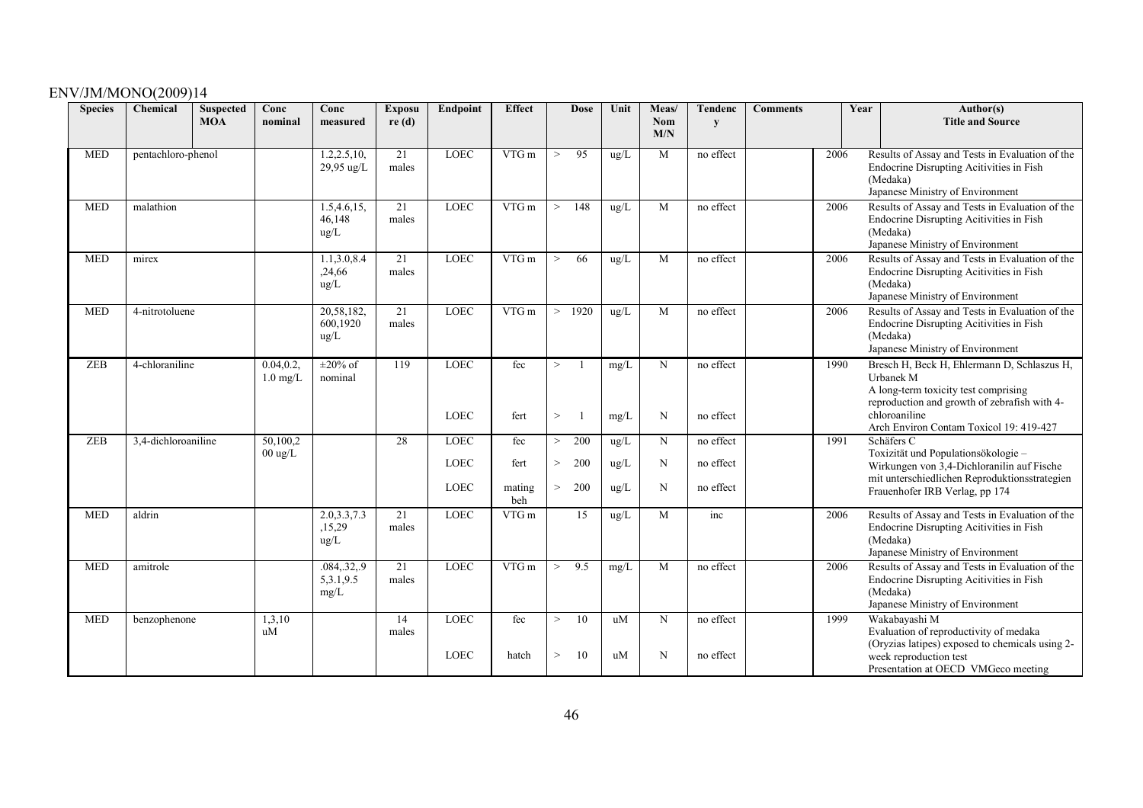| <b>Species</b> | Chemical            | <b>Suspected</b><br><b>MOA</b> | Conc<br>nominal               | Conc<br>measured                       | <b>Exposu</b><br>re(d) | Endpoint                   | <b>Effect</b>         | <b>Dose</b>                | Unit         | Meas/<br><b>Nom</b><br>M/N | Tendenc<br>y           | <b>Comments</b> |      | Author(s)<br>Year<br><b>Title and Source</b>                                                                                                                                |
|----------------|---------------------|--------------------------------|-------------------------------|----------------------------------------|------------------------|----------------------------|-----------------------|----------------------------|--------------|----------------------------|------------------------|-----------------|------|-----------------------------------------------------------------------------------------------------------------------------------------------------------------------------|
| <b>MED</b>     | pentachloro-phenol  |                                |                               | 1.2, 2.5, 10,<br>29,95 ug/L            | 21<br>males            | <b>LOEC</b>                | VTG m                 | 95<br>$\,>$                | ug/L         | M                          | no effect              |                 | 2006 | Results of Assay and Tests in Evaluation of the<br>Endocrine Disrupting Acitivities in Fish<br>(Medaka)<br>Japanese Ministry of Environment                                 |
| <b>MED</b>     | malathion           |                                |                               | 1.5,4.6,15,<br>46,148<br>ug/L          | 21<br>males            | <b>LOEC</b>                | VTG m                 | 148<br>$\geq$              | ug/L         | M                          | no effect              |                 | 2006 | Results of Assay and Tests in Evaluation of the<br>Endocrine Disrupting Acitivities in Fish<br>(Medaka)<br>Japanese Ministry of Environment                                 |
| <b>MED</b>     | mirex               |                                |                               | 1.1,3.0,8.4<br>,24,66<br>$\text{ug/L}$ | 21<br>males            | <b>LOEC</b>                | $VTG$ m               | 66<br>$\geq$               | ug/L         | M                          | no effect              |                 | 2006 | Results of Assay and Tests in Evaluation of the<br>Endocrine Disrupting Acitivities in Fish<br>(Medaka)<br>Japanese Ministry of Environment                                 |
| <b>MED</b>     | 4-nitrotoluene      |                                |                               | 20,58,182,<br>600,1920<br>$\mu$ g/L    | 21<br>males            | <b>LOEC</b>                | VTG m                 | 1920<br>$\,>$              | ug/L         | M                          | no effect              |                 | 2006 | Results of Assay and Tests in Evaluation of the<br>Endocrine Disrupting Acitivities in Fish<br>(Medaka)<br>Japanese Ministry of Environment                                 |
| ZEB            | 4-chloraniline      |                                | 0.04, 0.2<br>$1.0$ mg/L       | $\pm 20\%$ of<br>nominal               | 119                    | <b>LOEC</b><br><b>LOEC</b> | fec<br>fert           | $\mathbf{1}$<br>><br>$\,>$ | mg/L<br>mg/L | $\mathbf N$<br>N           | no effect<br>no effect |                 | 1990 | Bresch H, Beck H, Ehlermann D, Schlaszus H,<br>Urbanek M<br>A long-term toxicity test comprising<br>reproduction and growth of zebrafish with 4-<br>chloroaniline           |
| <b>ZEB</b>     | 3,4-dichloroaniline |                                | 50,100,2<br>$00 \text{ ug/L}$ |                                        | 28                     | <b>LOEC</b>                | fec                   | 200<br>$\rm{>}$            | ug/L         | N                          | no effect              |                 | 1991 | Arch Environ Contam Toxicol 19: 419-427<br>Schäfers C<br>Toxizität und Populationsökologie-                                                                                 |
|                |                     |                                |                               |                                        |                        | LOEC<br>LOEC               | fert<br>mating<br>beh | 200<br>><br>200<br>$\,>$   | ug/L<br>ug/L | N<br>N                     | no effect<br>no effect |                 |      | Wirkungen von 3,4-Dichloranilin auf Fische<br>mit unterschiedlichen Reproduktionsstrategien<br>Frauenhofer IRB Verlag, pp 174                                               |
| <b>MED</b>     | aldrin              |                                |                               | 2.0,3.3,7.3<br>,15,29<br>ug/L          | 21<br>males            | <b>LOEC</b>                | VTG m                 | 15                         | ug/L         | M                          | inc                    |                 | 2006 | Results of Assay and Tests in Evaluation of the<br>Endocrine Disrupting Acitivities in Fish<br>(Medaka)<br>Japanese Ministry of Environment                                 |
| <b>MED</b>     | amitrole            |                                |                               | .084329<br>5, 3.1, 9.5<br>mg/L         | 21<br>males            | <b>LOEC</b>                | VTGm                  | 9.5<br>$\,>$               | mg/L         | M                          | no effect              |                 | 2006 | Results of Assay and Tests in Evaluation of the<br>Endocrine Disrupting Acitivities in Fish<br>(Medaka)<br>Japanese Ministry of Environment                                 |
| <b>MED</b>     | benzophenone        |                                | 1,3,10<br>uM                  |                                        | 14<br>males            | <b>LOEC</b><br>LOEC        | fec<br>hatch          | 10<br>><br>10<br>$\,>$     | uM<br>uM     | $\mathbf N$<br>N           | no effect<br>no effect |                 | 1999 | Wakabayashi M<br>Evaluation of reproductivity of medaka<br>(Oryzias latipes) exposed to chemicals using 2-<br>week reproduction test<br>Presentation at OECD VMGeco meeting |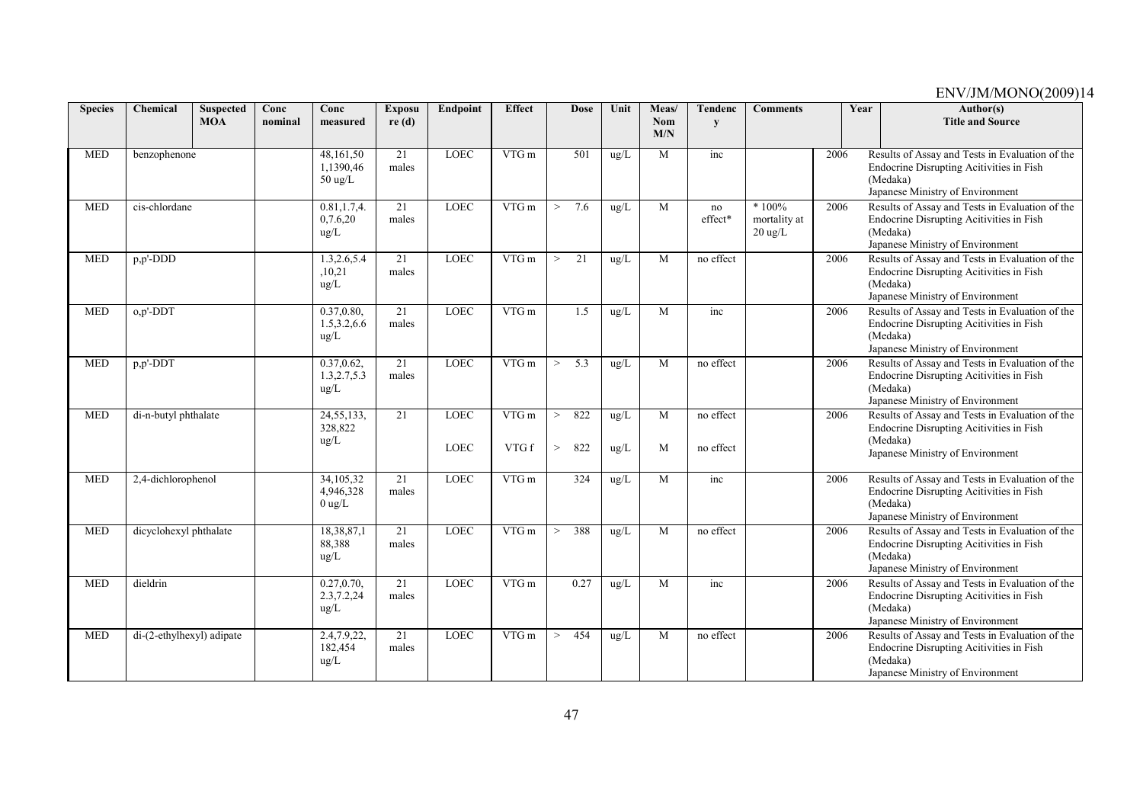| <b>Species</b> | Chemical                  | <b>Suspected</b><br><b>MOA</b> | Conc<br>nominal | Conc<br>measured                              | <b>Exposu</b><br>re(d)   | Endpoint                   | <b>Effect</b>  | <b>Dose</b>               | Unit         | Meas/<br><b>Nom</b><br>M/N | <b>Tendenc</b><br>y    | <b>Comments</b>                              |      | Year | $\overline{\text{Author}}(s)$<br><b>Title and Source</b>                                                                                    |
|----------------|---------------------------|--------------------------------|-----------------|-----------------------------------------------|--------------------------|----------------------------|----------------|---------------------------|--------------|----------------------------|------------------------|----------------------------------------------|------|------|---------------------------------------------------------------------------------------------------------------------------------------------|
| <b>MED</b>     | benzophenone              |                                |                 | 48,161,50<br>1.1390.46<br>$50 \text{ ug/L}$   | 21<br>males              | <b>LOEC</b>                | VTG m          | 501                       | ug/L         | M                          | inc                    |                                              | 2006 |      | Results of Assay and Tests in Evaluation of the<br>Endocrine Disrupting Acitivities in Fish<br>(Medaka)<br>Japanese Ministry of Environment |
| <b>MED</b>     | cis-chlordane             |                                |                 | 0.81, 1.7, 4.<br>0,7.6,20<br>$\text{ug/L}$    | 21<br>males              | LOEC                       | VTG m          | 7.6<br>$\geq$             | ug/L         | M                          | no<br>effect*          | $*100%$<br>mortality at<br>$20 \text{ ug/L}$ | 2006 |      | Results of Assay and Tests in Evaluation of the<br>Endocrine Disrupting Acitivities in Fish<br>(Medaka)<br>Japanese Ministry of Environment |
| <b>MED</b>     | p,p'-DDD                  |                                |                 | 1.3,2.6,5.4<br>,10,21<br>ug/L                 | $\overline{21}$<br>males | <b>LOEC</b>                | $VTG$ m        | 21<br>$\geq$              | ug/L         | M                          | no effect              |                                              | 2006 |      | Results of Assay and Tests in Evaluation of the<br>Endocrine Disrupting Acitivities in Fish<br>(Medaka)<br>Japanese Ministry of Environment |
| <b>MED</b>     | $o, p'$ -DDT              |                                |                 | 0.37,0.80,<br>1.5,3.2,6.6<br>$\text{ug/L}$    | 21<br>males              | <b>LOEC</b>                | VTG m          | 1.5                       | ug/L         | M                          | inc                    |                                              | 2006 |      | Results of Assay and Tests in Evaluation of the<br>Endocrine Disrupting Acitivities in Fish<br>(Medaka)<br>Japanese Ministry of Environment |
| <b>MED</b>     | p,p'-DDT                  |                                |                 | 0.37, 0.62,<br>1.3, 2.7, 5.3<br>$\text{ug/L}$ | 21<br>males              | LOEC                       | VTG m          | 5.3<br>$\geq$             | ug/L         | M                          | no effect              |                                              | 2006 |      | Results of Assay and Tests in Evaluation of the<br>Endocrine Disrupting Acitivities in Fish<br>(Medaka)<br>Japanese Ministry of Environment |
| <b>MED</b>     | di-n-butyl phthalate      |                                |                 | 24, 55, 133,<br>328,822<br>$\text{ug/L}$      | 21                       | <b>LOEC</b><br><b>LOEC</b> | VTG m<br>VTG f | 822<br>$\geq$<br>822<br>> | ug/L<br>ug/L | M<br>M                     | no effect<br>no effect |                                              | 2006 |      | Results of Assay and Tests in Evaluation of the<br>Endocrine Disrupting Acitivities in Fish<br>(Medaka)<br>Japanese Ministry of Environment |
| <b>MED</b>     | 2,4-dichlorophenol        |                                |                 | 34,105,32<br>4,946,328<br>$0 \text{ ug/L}$    | 21<br>males              | <b>LOEC</b>                | $VTG$ m        | 324                       | ug/L         | M                          | inc                    |                                              | 2006 |      | Results of Assay and Tests in Evaluation of the<br>Endocrine Disrupting Acitivities in Fish<br>(Medaka)<br>Japanese Ministry of Environment |
| <b>MED</b>     | dicyclohexyl phthalate    |                                |                 | 18,38,87,1<br>88,388<br>ug/L                  | 21<br>males              | <b>LOEC</b>                | VTG m          | 388<br>$\geq$             | ug/L         | M                          | no effect              |                                              | 2006 |      | Results of Assay and Tests in Evaluation of the<br>Endocrine Disrupting Acitivities in Fish<br>(Medaka)<br>Japanese Ministry of Environment |
| <b>MED</b>     | dieldrin                  |                                |                 | 0.27, 0.70,<br>2.3,7.2,24<br>ug/L             | 21<br>males              | <b>LOEC</b>                | VTG m          | 0.27                      | ug/L         | M                          | inc                    |                                              | 2006 |      | Results of Assay and Tests in Evaluation of the<br>Endocrine Disrupting Acitivities in Fish<br>(Medaka)<br>Japanese Ministry of Environment |
| <b>MED</b>     | di-(2-ethylhexyl) adipate |                                |                 | 2.4,7.9,22,<br>182,454<br>$\text{ug/L}$       | 21<br>males              | <b>LOEC</b>                | VTG m          | 454<br>$\geq$             | ug/L         | M                          | no effect              |                                              | 2006 |      | Results of Assay and Tests in Evaluation of the<br>Endocrine Disrupting Acitivities in Fish<br>(Medaka)<br>Japanese Ministry of Environment |